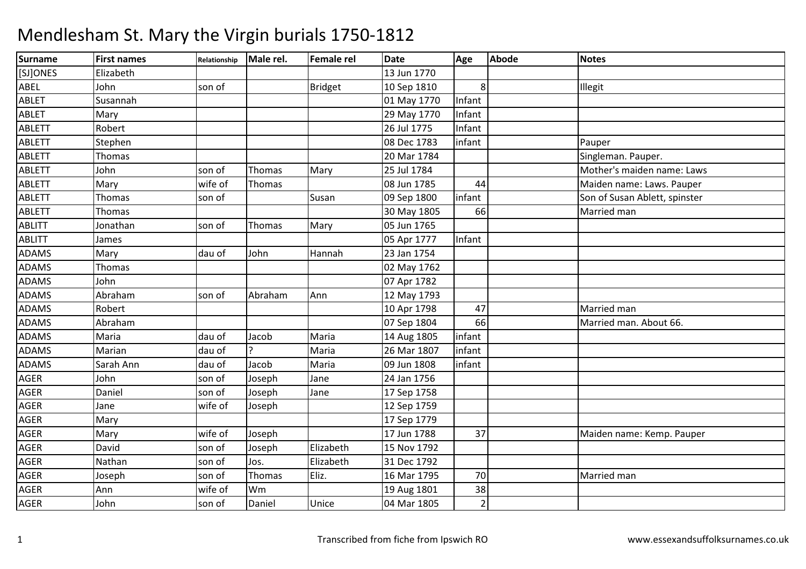| Surname       | <b>First names</b> | Relationship | Male rel.     | Female rel     | <b>Date</b> | Age            | <b>Abode</b> | <b>Notes</b>                  |
|---------------|--------------------|--------------|---------------|----------------|-------------|----------------|--------------|-------------------------------|
| [SJ]ONES      | Elizabeth          |              |               |                | 13 Jun 1770 |                |              |                               |
| ABEL          | John               | son of       |               | <b>Bridget</b> | 10 Sep 1810 | 8 <sup>1</sup> |              | Illegit                       |
| ABLET         | Susannah           |              |               |                | 01 May 1770 | Infant         |              |                               |
| <b>ABLET</b>  | Mary               |              |               |                | 29 May 1770 | Infant         |              |                               |
| <b>ABLETT</b> | Robert             |              |               |                | 26 Jul 1775 | Infant         |              |                               |
| <b>ABLETT</b> | Stephen            |              |               |                | 08 Dec 1783 | infant         |              | Pauper                        |
| <b>ABLETT</b> | Thomas             |              |               |                | 20 Mar 1784 |                |              | Singleman. Pauper.            |
| <b>ABLETT</b> | John               | son of       | Thomas        | Mary           | 25 Jul 1784 |                |              | Mother's maiden name: Laws    |
| <b>ABLETT</b> | Mary               | wife of      | Thomas        |                | 08 Jun 1785 | 44             |              | Maiden name: Laws. Pauper     |
| <b>ABLETT</b> | Thomas             | son of       |               | Susan          | 09 Sep 1800 | infant         |              | Son of Susan Ablett, spinster |
| ABLETT        | Thomas             |              |               |                | 30 May 1805 | 66             |              | Married man                   |
| <b>ABLITT</b> | Jonathan           | son of       | Thomas        | Mary           | 05 Jun 1765 |                |              |                               |
| <b>ABLITT</b> | James              |              |               |                | 05 Apr 1777 | Infant         |              |                               |
| <b>ADAMS</b>  | Mary               | dau of       | John          | Hannah         | 23 Jan 1754 |                |              |                               |
| <b>ADAMS</b>  | Thomas             |              |               |                | 02 May 1762 |                |              |                               |
| <b>ADAMS</b>  | John               |              |               |                | 07 Apr 1782 |                |              |                               |
| ADAMS         | Abraham            | son of       | Abraham       | Ann            | 12 May 1793 |                |              |                               |
| ADAMS         | Robert             |              |               |                | 10 Apr 1798 | 47             |              | Married man                   |
| ADAMS         | Abraham            |              |               |                | 07 Sep 1804 | 66             |              | Married man. About 66.        |
| <b>ADAMS</b>  | Maria              | dau of       | Jacob         | Maria          | 14 Aug 1805 | infant         |              |                               |
| <b>ADAMS</b>  | Marian             | dau of       | $\mathcal{P}$ | Maria          | 26 Mar 1807 | infant         |              |                               |
| ADAMS         | Sarah Ann          | dau of       | Jacob         | Maria          | 09 Jun 1808 | infant         |              |                               |
| AGER          | John               | son of       | Joseph        | Jane           | 24 Jan 1756 |                |              |                               |
| AGER          | Daniel             | son of       | Joseph        | Jane           | 17 Sep 1758 |                |              |                               |
| <b>AGER</b>   | Jane               | wife of      | Joseph        |                | 12 Sep 1759 |                |              |                               |
| AGER          | Mary               |              |               |                | 17 Sep 1779 |                |              |                               |
| AGER          | Mary               | wife of      | Joseph        |                | 17 Jun 1788 | 37             |              | Maiden name: Kemp. Pauper     |
| <b>AGER</b>   | David              | son of       | Joseph        | Elizabeth      | 15 Nov 1792 |                |              |                               |
| <b>AGER</b>   | Nathan             | son of       | Jos.          | Elizabeth      | 31 Dec 1792 |                |              |                               |
| AGER          | Joseph             | son of       | Thomas        | Eliz.          | 16 Mar 1795 | 70             |              | Married man                   |
| AGER          | Ann                | wife of      | Wm            |                | 19 Aug 1801 | 38             |              |                               |
| <b>AGER</b>   | John               | son of       | Daniel        | Unice          | 04 Mar 1805 | $\overline{2}$ |              |                               |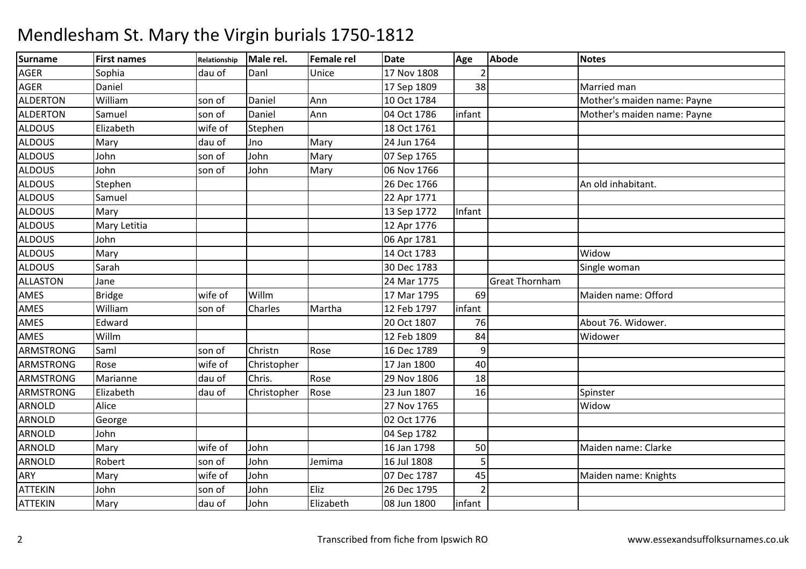### Surnamee First names Relationship Male rel. Female rel Date Age Abode Notes AGERR Sophia dau of Danl Unice 17 Nov 1808 2 AGER Daniel 17 Sep 1809 <sup>38</sup> Married man ALDERTONWilliam<br>Samuel son of Daniel Ann 10 Oct 1784 Mother's maiden name: Payne<br>son of Daniel Ann 04 Oct 1786 infant ALDERTONson of Daniel Ann 104 Oct 1786 infant Mother's maiden name: Payne<br>wife of Stephen 18 Oct 1761 ALDOUS Elizabethh wife of Stephen 18 Oct 1761 ALDOUSS Mary dau of Jno <u>Ino</u> Mary 24 Jun 1764<br>John Mary 07 Sep 1765 ALDOUS Johnn 1765 Son of John Mary 1765 ALDOUS Johnn 1990 Son of John Mary 1966 Nov 1766 ALDOUS Stephen 26 Dec 1766 An old inhabitant. ALDOUSSamuel 22 Apr 1771 13 Sep 1772 ALDOUSS Mary 13 Sep 1772 Infant ALDOUS Mary Letitia 12 Apr 1776 06 Apr 1781 ALDOUS JohnALDOUSS Mary 14 Oct 1783 3 Widow Single woman ALDOUS Sarahh 30 Dec 1783 |Single woman ALLASTONN Jane 24 Mar 1775 Great Thornham AMES Bridge wife of Willm 17 Mar 1795 <sup>69</sup> Maiden name: Offord AMES William son of Charles Martha 12 Feb 1797 infant AMES Edward 20 Oct 1807 <sup>76</sup> About 76. Widower. AMES Willm 12 Feb 1809 <sup>84</sup> Widower ARMSTRONGG Saml son of Christn Rose 16 Dec 1789 940 ARMSTRONGG Rose Wife of Christopher 17 Jan 1800 40 ARMSTRONGG Marianne dau of Chris. Rose 29 Nov 1806 18 ARMSTRONGG Elizabeth (dau of Christopher Rose 23 Jun 1807 16 Spinster ARNOLDD Alice Nicolas Reserves and Alice 27 Nov 1765 November 27 Nov 1765 November 27 November 27 November 27 November 27 November 27 November 27 November 27 November 27 November 27 November 27 November 27 November 27 November 2 ARNOLD George 02 Oct 1776 ARNOLDD John 1782 ARNOLDD Mary wife of John 16 Jan 1798 50 Maiden name: Clarke ARNOLDD Robert Son of John Jemima 16 Jul 1808 5 ARYY Mary When Wife of John 07 Dec 1787 <sup>45</sup> Maiden name: Knights ATTEKINN John son of John Eliz 26 Dec 1795 2 ATTEKINN | Mary | dau of | John | Elizabeth | 08 Jun 1800 | infant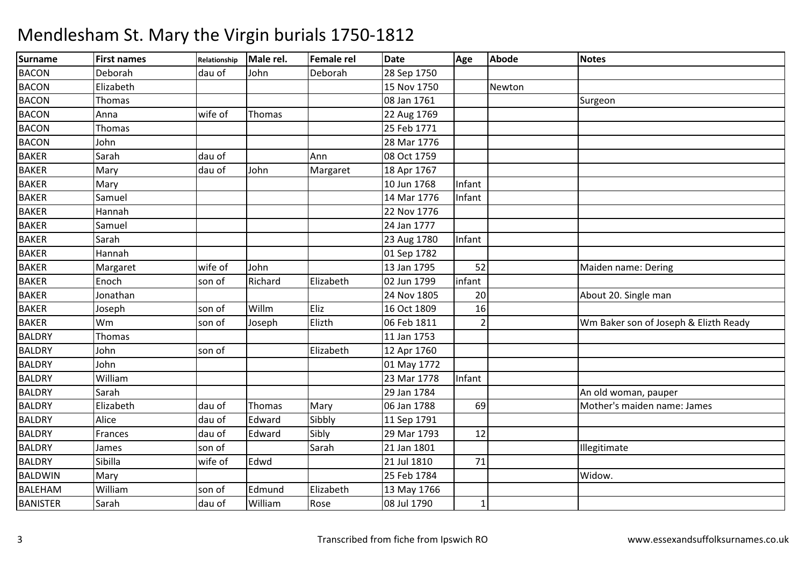| <b>Surname</b>  | <b>First names</b> | Relationship | Male rel. | Female rel | Date        | Age            | <b>Abode</b> | <b>Notes</b>                          |
|-----------------|--------------------|--------------|-----------|------------|-------------|----------------|--------------|---------------------------------------|
| <b>BACON</b>    | Deborah            | dau of       | John      | Deborah    | 28 Sep 1750 |                |              |                                       |
| <b>BACON</b>    | Elizabeth          |              |           |            | 15 Nov 1750 |                | Newton       |                                       |
| <b>BACON</b>    | Thomas             |              |           |            | 08 Jan 1761 |                |              | Surgeon                               |
| <b>BACON</b>    | Anna               | wife of      | Thomas    |            | 22 Aug 1769 |                |              |                                       |
| <b>BACON</b>    | Thomas             |              |           |            | 25 Feb 1771 |                |              |                                       |
| <b>BACON</b>    | John               |              |           |            | 28 Mar 1776 |                |              |                                       |
| <b>BAKER</b>    | Sarah              | dau of       |           | Ann        | 08 Oct 1759 |                |              |                                       |
| <b>BAKER</b>    | Mary               | dau of       | John      | Margaret   | 18 Apr 1767 |                |              |                                       |
| <b>BAKER</b>    | Mary               |              |           |            | 10 Jun 1768 | Infant         |              |                                       |
| <b>BAKER</b>    | Samuel             |              |           |            | 14 Mar 1776 | Infant         |              |                                       |
| <b>BAKER</b>    | Hannah             |              |           |            | 22 Nov 1776 |                |              |                                       |
| <b>BAKER</b>    | Samuel             |              |           |            | 24 Jan 1777 |                |              |                                       |
| <b>BAKER</b>    | Sarah              |              |           |            | 23 Aug 1780 | Infant         |              |                                       |
| <b>BAKER</b>    | Hannah             |              |           |            | 01 Sep 1782 |                |              |                                       |
| <b>BAKER</b>    | Margaret           | wife of      | John      |            | 13 Jan 1795 | 52             |              | Maiden name: Dering                   |
| <b>BAKER</b>    | Enoch              | son of       | Richard   | Elizabeth  | 02 Jun 1799 | infant         |              |                                       |
| <b>BAKER</b>    | Jonathan           |              |           |            | 24 Nov 1805 | 20             |              | About 20. Single man                  |
| <b>BAKER</b>    | Joseph             | son of       | Willm     | Eliz       | 16 Oct 1809 | 16             |              |                                       |
| <b>BAKER</b>    | Wm                 | son of       | Joseph    | Elizth     | 06 Feb 1811 | $\overline{2}$ |              | Wm Baker son of Joseph & Elizth Ready |
| <b>BALDRY</b>   | Thomas             |              |           |            | 11 Jan 1753 |                |              |                                       |
| <b>BALDRY</b>   | John               | son of       |           | Elizabeth  | 12 Apr 1760 |                |              |                                       |
| <b>BALDRY</b>   | John               |              |           |            | 01 May 1772 |                |              |                                       |
| <b>BALDRY</b>   | William            |              |           |            | 23 Mar 1778 | Infant         |              |                                       |
| <b>BALDRY</b>   | Sarah              |              |           |            | 29 Jan 1784 |                |              | An old woman, pauper                  |
| <b>BALDRY</b>   | Elizabeth          | dau of       | Thomas    | Mary       | 06 Jan 1788 | 69             |              | Mother's maiden name: James           |
| <b>BALDRY</b>   | Alice              | dau of       | Edward    | Sibbly     | 11 Sep 1791 |                |              |                                       |
| <b>BALDRY</b>   | Frances            | dau of       | Edward    | Sibly      | 29 Mar 1793 | 12             |              |                                       |
| <b>BALDRY</b>   | James              | son of       |           | Sarah      | 21 Jan 1801 |                |              | Illegitimate                          |
| <b>BALDRY</b>   | Sibilla            | wife of      | Edwd      |            | 21 Jul 1810 | 71             |              |                                       |
| <b>BALDWIN</b>  | Mary               |              |           |            | 25 Feb 1784 |                |              | Widow.                                |
| BALEHAM         | William            | son of       | Edmund    | Elizabeth  | 13 May 1766 |                |              |                                       |
| <b>BANISTER</b> | Sarah              | dau of       | William   | Rose       | 08 Jul 1790 | $\mathbf{1}$   |              |                                       |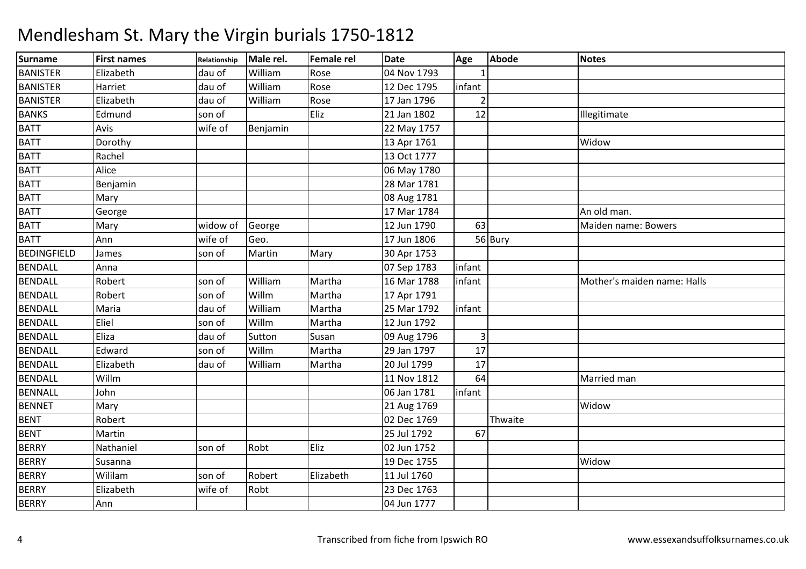| Surname         | <b>First names</b> | Relationship | Male rel. | Female rel | <b>Date</b> | Age            | <b>Abode</b> | <b>Notes</b>                |
|-----------------|--------------------|--------------|-----------|------------|-------------|----------------|--------------|-----------------------------|
| <b>BANISTER</b> | Elizabeth          | dau of       | William   | Rose       | 04 Nov 1793 |                |              |                             |
| <b>BANISTER</b> | Harriet            | dau of       | William   | Rose       | 12 Dec 1795 | infant         |              |                             |
| <b>BANISTER</b> | Elizabeth          | dau of       | William   | Rose       | 17 Jan 1796 |                |              |                             |
| <b>BANKS</b>    | Edmund             | son of       |           | Eliz       | 21 Jan 1802 | 12             |              | Illegitimate                |
| <b>BATT</b>     | Avis               | wife of      | Benjamin  |            | 22 May 1757 |                |              |                             |
| <b>BATT</b>     | Dorothy            |              |           |            | 13 Apr 1761 |                |              | Widow                       |
| <b>BATT</b>     | Rachel             |              |           |            | 13 Oct 1777 |                |              |                             |
| <b>BATT</b>     | Alice              |              |           |            | 06 May 1780 |                |              |                             |
| <b>BATT</b>     | Benjamin           |              |           |            | 28 Mar 1781 |                |              |                             |
| <b>BATT</b>     | Mary               |              |           |            | 08 Aug 1781 |                |              |                             |
| <b>BATT</b>     | George             |              |           |            | 17 Mar 1784 |                |              | An old man.                 |
| <b>BATT</b>     | Mary               | widow of     | George    |            | 12 Jun 1790 | 63             |              | Maiden name: Bowers         |
| <b>BATT</b>     | Ann                | wife of      | Geo.      |            | 17 Jun 1806 |                | 56 Bury      |                             |
| BEDINGFIELD     | James              | son of       | Martin    | Mary       | 30 Apr 1753 |                |              |                             |
| <b>BENDALL</b>  | Anna               |              |           |            | 07 Sep 1783 | infant         |              |                             |
| <b>BENDALL</b>  | Robert             | son of       | William   | Martha     | 16 Mar 1788 | infant         |              | Mother's maiden name: Halls |
| <b>BENDALL</b>  | Robert             | son of       | Willm     | Martha     | 17 Apr 1791 |                |              |                             |
| <b>BENDALL</b>  | Maria              | dau of       | William   | Martha     | 25 Mar 1792 | infant         |              |                             |
| <b>BENDALL</b>  | Eliel              | son of       | Willm     | Martha     | 12 Jun 1792 |                |              |                             |
| <b>BENDALL</b>  | Eliza              | dau of       | Sutton    | Susan      | 09 Aug 1796 | $\overline{3}$ |              |                             |
| <b>BENDALL</b>  | Edward             | son of       | Willm     | Martha     | 29 Jan 1797 | 17             |              |                             |
| <b>BENDALL</b>  | Elizabeth          | dau of       | William   | Martha     | 20 Jul 1799 | 17             |              |                             |
| <b>BENDALL</b>  | Willm              |              |           |            | 11 Nov 1812 | 64             |              | Married man                 |
| <b>BENNALL</b>  | John               |              |           |            | 06 Jan 1781 | infant         |              |                             |
| <b>BENNET</b>   | Mary               |              |           |            | 21 Aug 1769 |                |              | Widow                       |
| <b>BENT</b>     | Robert             |              |           |            | 02 Dec 1769 |                | Thwaite      |                             |
| <b>BENT</b>     | Martin             |              |           |            | 25 Jul 1792 | 67             |              |                             |
| <b>BERRY</b>    | Nathaniel          | son of       | Robt      | Eliz       | 02 Jun 1752 |                |              |                             |
| <b>BERRY</b>    | Susanna            |              |           |            | 19 Dec 1755 |                |              | Widow                       |
| <b>BERRY</b>    | Wililam            | son of       | Robert    | Elizabeth  | 11 Jul 1760 |                |              |                             |
| <b>BERRY</b>    | Elizabeth          | wife of      | Robt      |            | 23 Dec 1763 |                |              |                             |
| <b>BERRY</b>    | Ann                |              |           |            | 04 Jun 1777 |                |              |                             |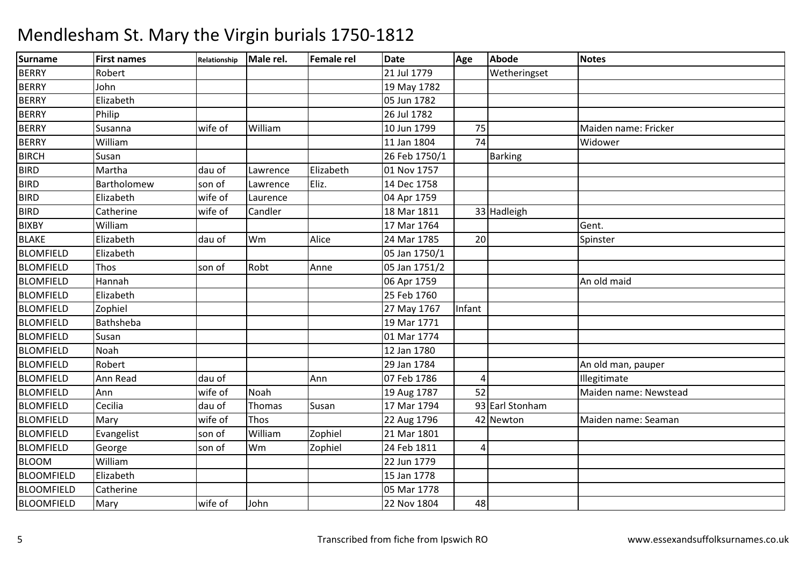| <b>Surname</b>    | <b>First names</b> | Relationship | Male rel. | Female rel | <b>Date</b>   | Age             | <b>Abode</b>    | <b>Notes</b>          |
|-------------------|--------------------|--------------|-----------|------------|---------------|-----------------|-----------------|-----------------------|
| <b>BERRY</b>      | Robert             |              |           |            | 21 Jul 1779   |                 | Wetheringset    |                       |
| <b>BERRY</b>      | John               |              |           |            | 19 May 1782   |                 |                 |                       |
| <b>BERRY</b>      | Elizabeth          |              |           |            | 05 Jun 1782   |                 |                 |                       |
| <b>BERRY</b>      | Philip             |              |           |            | 26 Jul 1782   |                 |                 |                       |
| <b>BERRY</b>      | Susanna            | wife of      | William   |            | 10 Jun 1799   | 75              |                 | Maiden name: Fricker  |
| <b>BERRY</b>      | William            |              |           |            | 11 Jan 1804   | $\overline{74}$ |                 | Widower               |
| <b>BIRCH</b>      | Susan              |              |           |            | 26 Feb 1750/1 |                 | <b>Barking</b>  |                       |
| <b>BIRD</b>       | Martha             | dau of       | Lawrence  | Elizabeth  | 01 Nov 1757   |                 |                 |                       |
| <b>BIRD</b>       | Bartholomew        | son of       | Lawrence  | Eliz.      | 14 Dec 1758   |                 |                 |                       |
| <b>BIRD</b>       | Elizabeth          | wife of      | Laurence  |            | 04 Apr 1759   |                 |                 |                       |
| <b>BIRD</b>       | Catherine          | wife of      | Candler   |            | 18 Mar 1811   |                 | 33 Hadleigh     |                       |
| <b>BIXBY</b>      | William            |              |           |            | 17 Mar 1764   |                 |                 | Gent.                 |
| <b>BLAKE</b>      | Elizabeth          | dau of       | Wm        | Alice      | 24 Mar 1785   | 20              |                 | Spinster              |
| <b>BLOMFIELD</b>  | Elizabeth          |              |           |            | 05 Jan 1750/1 |                 |                 |                       |
| <b>BLOMFIELD</b>  | Thos               | son of       | Robt      | Anne       | 05 Jan 1751/2 |                 |                 |                       |
| <b>BLOMFIELD</b>  | Hannah             |              |           |            | 06 Apr 1759   |                 |                 | An old maid           |
| <b>BLOMFIELD</b>  | Elizabeth          |              |           |            | 25 Feb 1760   |                 |                 |                       |
| <b>BLOMFIELD</b>  | Zophiel            |              |           |            | 27 May 1767   | Infant          |                 |                       |
| <b>BLOMFIELD</b>  | Bathsheba          |              |           |            | 19 Mar 1771   |                 |                 |                       |
| <b>BLOMFIELD</b>  | Susan              |              |           |            | 01 Mar 1774   |                 |                 |                       |
| <b>BLOMFIELD</b>  | Noah               |              |           |            | 12 Jan 1780   |                 |                 |                       |
| <b>BLOMFIELD</b>  | Robert             |              |           |            | 29 Jan 1784   |                 |                 | An old man, pauper    |
| <b>BLOMFIELD</b>  | Ann Read           | dau of       |           | Ann        | 07 Feb 1786   | 4               |                 | Illegitimate          |
| <b>BLOMFIELD</b>  | Ann                | wife of      | Noah      |            | 19 Aug 1787   | 52              |                 | Maiden name: Newstead |
| <b>BLOMFIELD</b>  | Cecilia            | dau of       | Thomas    | Susan      | 17 Mar 1794   |                 | 93 Earl Stonham |                       |
| <b>BLOMFIELD</b>  | Mary               | wife of      | Thos      |            | 22 Aug 1796   |                 | 42 Newton       | Maiden name: Seaman   |
| <b>BLOMFIELD</b>  | Evangelist         | son of       | William   | Zophiel    | 21 Mar 1801   |                 |                 |                       |
| <b>BLOMFIELD</b>  | George             | son of       | Wm        | Zophiel    | 24 Feb 1811   | 4               |                 |                       |
| <b>BLOOM</b>      | William            |              |           |            | 22 Jun 1779   |                 |                 |                       |
| <b>BLOOMFIELD</b> | Elizabeth          |              |           |            | 15 Jan 1778   |                 |                 |                       |
| <b>BLOOMFIELD</b> | Catherine          |              |           |            | 05 Mar 1778   |                 |                 |                       |
| <b>BLOOMFIELD</b> | Mary               | wife of      | John      |            | 22 Nov 1804   | 48              |                 |                       |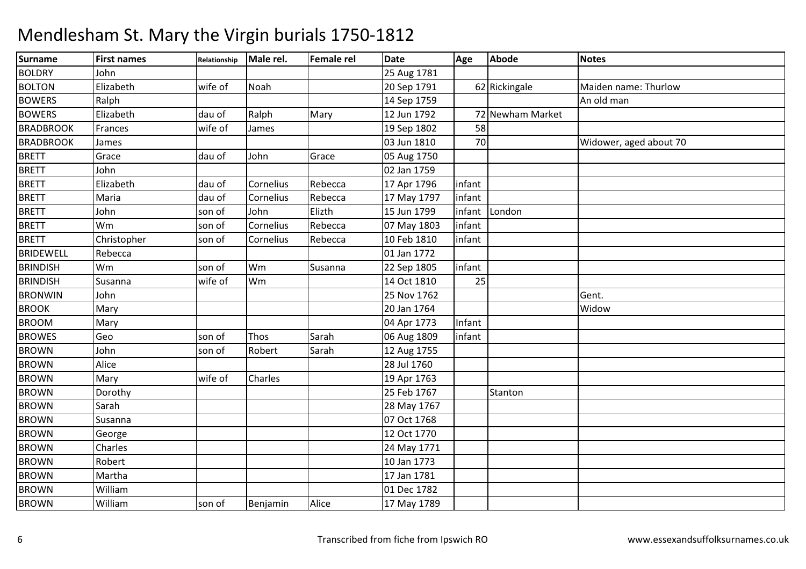| <b>Surname</b>   | <b>First names</b> | Relationship | Male rel. | Female rel | Date        | Age    | <b>Abode</b>     | <b>Notes</b>           |
|------------------|--------------------|--------------|-----------|------------|-------------|--------|------------------|------------------------|
| <b>BOLDRY</b>    | John               |              |           |            | 25 Aug 1781 |        |                  |                        |
| <b>BOLTON</b>    | Elizabeth          | wife of      | Noah      |            | 20 Sep 1791 |        | 62 Rickingale    | Maiden name: Thurlow   |
| <b>BOWERS</b>    | Ralph              |              |           |            | 14 Sep 1759 |        |                  | An old man             |
| <b>BOWERS</b>    | Elizabeth          | dau of       | Ralph     | Mary       | 12 Jun 1792 |        | 72 Newham Market |                        |
| <b>BRADBROOK</b> | Frances            | wife of      | James     |            | 19 Sep 1802 | 58     |                  |                        |
| <b>BRADBROOK</b> | James              |              |           |            | 03 Jun 1810 | 70     |                  | Widower, aged about 70 |
| <b>BRETT</b>     | Grace              | dau of       | John      | Grace      | 05 Aug 1750 |        |                  |                        |
| <b>BRETT</b>     | John               |              |           |            | 02 Jan 1759 |        |                  |                        |
| <b>BRETT</b>     | Elizabeth          | dau of       | Cornelius | Rebecca    | 17 Apr 1796 | infant |                  |                        |
| <b>BRETT</b>     | Maria              | dau of       | Cornelius | Rebecca    | 17 May 1797 | infant |                  |                        |
| <b>BRETT</b>     | John               | son of       | John      | Elizth     | 15 Jun 1799 | infant | London           |                        |
| <b>BRETT</b>     | Wm                 | son of       | Cornelius | Rebecca    | 07 May 1803 | infant |                  |                        |
| <b>BRETT</b>     | Christopher        | son of       | Cornelius | Rebecca    | 10 Feb 1810 | infant |                  |                        |
| <b>BRIDEWELL</b> | Rebecca            |              |           |            | 01 Jan 1772 |        |                  |                        |
| <b>BRINDISH</b>  | Wm                 | son of       | Wm        | Susanna    | 22 Sep 1805 | infant |                  |                        |
| <b>BRINDISH</b>  | Susanna            | wife of      | Wm        |            | 14 Oct 1810 | 25     |                  |                        |
| <b>BRONWIN</b>   | John               |              |           |            | 25 Nov 1762 |        |                  | Gent.                  |
| <b>BROOK</b>     | Mary               |              |           |            | 20 Jan 1764 |        |                  | Widow                  |
| <b>BROOM</b>     | Mary               |              |           |            | 04 Apr 1773 | Infant |                  |                        |
| <b>BROWES</b>    | Geo                | son of       | Thos      | Sarah      | 06 Aug 1809 | infant |                  |                        |
| <b>BROWN</b>     | John               | son of       | Robert    | Sarah      | 12 Aug 1755 |        |                  |                        |
| <b>BROWN</b>     | Alice              |              |           |            | 28 Jul 1760 |        |                  |                        |
| <b>BROWN</b>     | Mary               | wife of      | Charles   |            | 19 Apr 1763 |        |                  |                        |
| <b>BROWN</b>     | Dorothy            |              |           |            | 25 Feb 1767 |        | Stanton          |                        |
| <b>BROWN</b>     | Sarah              |              |           |            | 28 May 1767 |        |                  |                        |
| <b>BROWN</b>     | Susanna            |              |           |            | 07 Oct 1768 |        |                  |                        |
| <b>BROWN</b>     | George             |              |           |            | 12 Oct 1770 |        |                  |                        |
| <b>BROWN</b>     | Charles            |              |           |            | 24 May 1771 |        |                  |                        |
| <b>BROWN</b>     | Robert             |              |           |            | 10 Jan 1773 |        |                  |                        |
| <b>BROWN</b>     | Martha             |              |           |            | 17 Jan 1781 |        |                  |                        |
| <b>BROWN</b>     | William            |              |           |            | 01 Dec 1782 |        |                  |                        |
| <b>BROWN</b>     | William            | son of       | Benjamin  | Alice      | 17 May 1789 |        |                  |                        |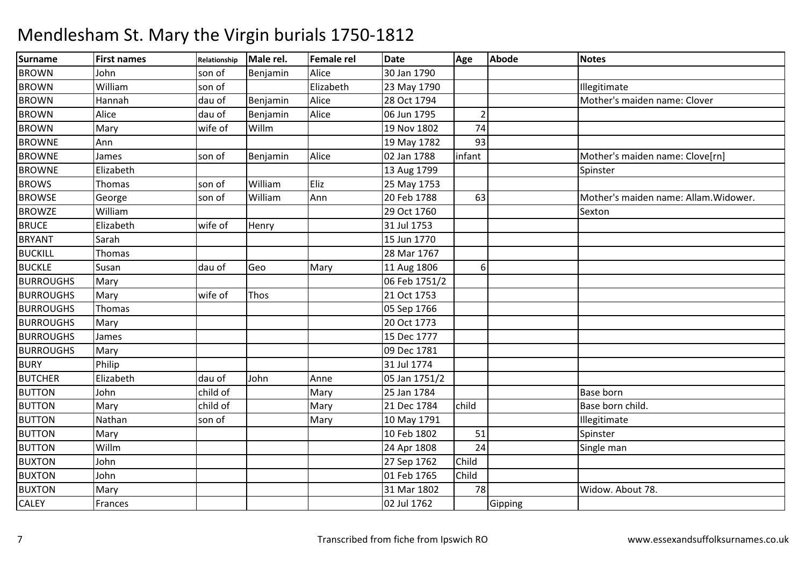| <b>Surname</b>   | <b>First names</b> | Relationship | Male rel. | <b>Female rel</b> | <b>Date</b>   | Age            | Abode   | <b>Notes</b>                          |
|------------------|--------------------|--------------|-----------|-------------------|---------------|----------------|---------|---------------------------------------|
| <b>BROWN</b>     | John               | son of       | Benjamin  | Alice             | 30 Jan 1790   |                |         |                                       |
| <b>BROWN</b>     | William            | son of       |           | Elizabeth         | 23 May 1790   |                |         | Illegitimate                          |
| <b>BROWN</b>     | Hannah             | dau of       | Benjamin  | Alice             | 28 Oct 1794   |                |         | Mother's maiden name: Clover          |
| <b>BROWN</b>     | Alice              | dau of       | Benjamin  | Alice             | 06 Jun 1795   | $\overline{2}$ |         |                                       |
| <b>BROWN</b>     | Mary               | wife of      | Willm     |                   | 19 Nov 1802   | 74             |         |                                       |
| <b>BROWNE</b>    | Ann                |              |           |                   | 19 May 1782   | 93             |         |                                       |
| <b>BROWNE</b>    | James              | son of       | Benjamin  | Alice             | 02 Jan 1788   | infant         |         | Mother's maiden name: Clove[rn]       |
| <b>BROWNE</b>    | Elizabeth          |              |           |                   | 13 Aug 1799   |                |         | Spinster                              |
| <b>BROWS</b>     | Thomas             | son of       | William   | Eliz              | 25 May 1753   |                |         |                                       |
| <b>BROWSE</b>    | George             | son of       | William   | Ann               | 20 Feb 1788   | 63             |         | Mother's maiden name: Allam. Widower. |
| <b>BROWZE</b>    | William            |              |           |                   | 29 Oct 1760   |                |         | Sexton                                |
| <b>BRUCE</b>     | Elizabeth          | wife of      | Henry     |                   | 31 Jul 1753   |                |         |                                       |
| <b>BRYANT</b>    | Sarah              |              |           |                   | 15 Jun 1770   |                |         |                                       |
| <b>BUCKILL</b>   | Thomas             |              |           |                   | 28 Mar 1767   |                |         |                                       |
| <b>BUCKLE</b>    | Susan              | dau of       | Geo       | Mary              | 11 Aug 1806   | 6              |         |                                       |
| <b>BURROUGHS</b> | Mary               |              |           |                   | 06 Feb 1751/2 |                |         |                                       |
| <b>BURROUGHS</b> | Mary               | wife of      | Thos      |                   | 21 Oct 1753   |                |         |                                       |
| <b>BURROUGHS</b> | Thomas             |              |           |                   | 05 Sep 1766   |                |         |                                       |
| <b>BURROUGHS</b> | Mary               |              |           |                   | 20 Oct 1773   |                |         |                                       |
| <b>BURROUGHS</b> | James              |              |           |                   | 15 Dec 1777   |                |         |                                       |
| <b>BURROUGHS</b> | Mary               |              |           |                   | 09 Dec 1781   |                |         |                                       |
| <b>BURY</b>      | Philip             |              |           |                   | 31 Jul 1774   |                |         |                                       |
| <b>BUTCHER</b>   | Elizabeth          | dau of       | John      | Anne              | 05 Jan 1751/2 |                |         |                                       |
| <b>BUTTON</b>    | John               | child of     |           | Mary              | 25 Jan 1784   |                |         | <b>Base born</b>                      |
| <b>BUTTON</b>    | Mary               | child of     |           | Mary              | 21 Dec 1784   | child          |         | Base born child.                      |
| <b>BUTTON</b>    | Nathan             | son of       |           | Mary              | 10 May 1791   |                |         | Illegitimate                          |
| <b>BUTTON</b>    | Mary               |              |           |                   | 10 Feb 1802   | 51             |         | Spinster                              |
| <b>BUTTON</b>    | Willm              |              |           |                   | 24 Apr 1808   | 24             |         | Single man                            |
| <b>BUXTON</b>    | John               |              |           |                   | 27 Sep 1762   | Child          |         |                                       |
| <b>BUXTON</b>    | John               |              |           |                   | 01 Feb 1765   | Child          |         |                                       |
| <b>BUXTON</b>    | Mary               |              |           |                   | 31 Mar 1802   | 78             |         | Widow. About 78.                      |
| <b>CALEY</b>     | Frances            |              |           |                   | 02 Jul 1762   |                | Gipping |                                       |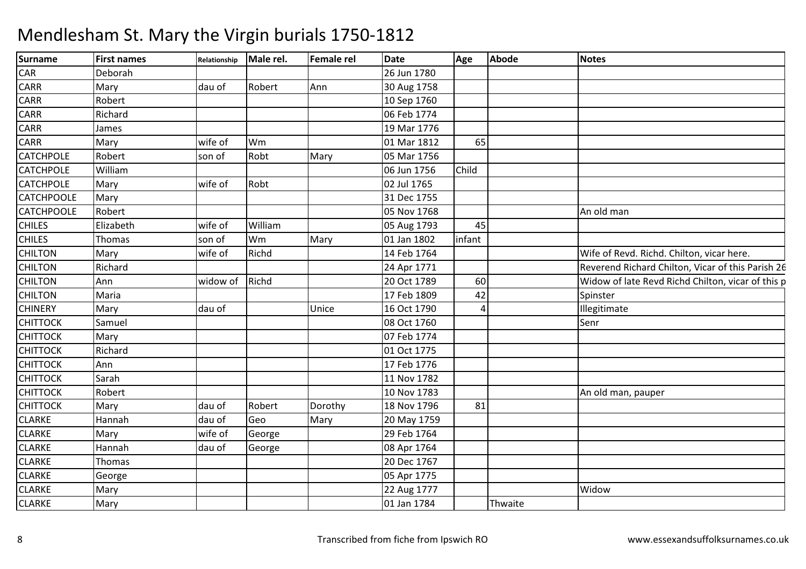| Surname           | <b>First names</b> | Relationship | Male rel. | <b>Female rel</b> | <b>Date</b> | Age    | <b>Abode</b> | <b>Notes</b>                                      |
|-------------------|--------------------|--------------|-----------|-------------------|-------------|--------|--------------|---------------------------------------------------|
| CAR               | Deborah            |              |           |                   | 26 Jun 1780 |        |              |                                                   |
| <b>CARR</b>       | Mary               | dau of       | Robert    | Ann               | 30 Aug 1758 |        |              |                                                   |
| <b>CARR</b>       | Robert             |              |           |                   | 10 Sep 1760 |        |              |                                                   |
| <b>CARR</b>       | Richard            |              |           |                   | 06 Feb 1774 |        |              |                                                   |
| <b>CARR</b>       | James              |              |           |                   | 19 Mar 1776 |        |              |                                                   |
| <b>CARR</b>       | Mary               | wife of      | Wm        |                   | 01 Mar 1812 | 65     |              |                                                   |
| <b>CATCHPOLE</b>  | Robert             | son of       | Robt      | Mary              | 05 Mar 1756 |        |              |                                                   |
| <b>CATCHPOLE</b>  | William            |              |           |                   | 06 Jun 1756 | Child  |              |                                                   |
| <b>CATCHPOLE</b>  | Mary               | wife of      | Robt      |                   | 02 Jul 1765 |        |              |                                                   |
| <b>CATCHPOOLE</b> | Mary               |              |           |                   | 31 Dec 1755 |        |              |                                                   |
| <b>CATCHPOOLE</b> | Robert             |              |           |                   | 05 Nov 1768 |        |              | An old man                                        |
| <b>CHILES</b>     | Elizabeth          | wife of      | William   |                   | 05 Aug 1793 | 45     |              |                                                   |
| <b>CHILES</b>     | Thomas             | son of       | Wm        | Mary              | 01 Jan 1802 | infant |              |                                                   |
| <b>CHILTON</b>    | Mary               | wife of      | Richd     |                   | 14 Feb 1764 |        |              | Wife of Revd. Richd. Chilton, vicar here.         |
| <b>CHILTON</b>    | Richard            |              |           |                   | 24 Apr 1771 |        |              | Reverend Richard Chilton, Vicar of this Parish 26 |
| <b>CHILTON</b>    | Ann                | widow of     | Richd     |                   | 20 Oct 1789 | 60     |              | Widow of late Revd Richd Chilton, vicar of this p |
| <b>CHILTON</b>    | Maria              |              |           |                   | 17 Feb 1809 | 42     |              | Spinster                                          |
| <b>CHINERY</b>    | Mary               | dau of       |           | Unice             | 16 Oct 1790 |        |              | Illegitimate                                      |
| <b>CHITTOCK</b>   | Samuel             |              |           |                   | 08 Oct 1760 |        |              | Senr                                              |
| <b>CHITTOCK</b>   | Mary               |              |           |                   | 07 Feb 1774 |        |              |                                                   |
| <b>CHITTOCK</b>   | Richard            |              |           |                   | 01 Oct 1775 |        |              |                                                   |
| <b>CHITTOCK</b>   | Ann                |              |           |                   | 17 Feb 1776 |        |              |                                                   |
| <b>CHITTOCK</b>   | Sarah              |              |           |                   | 11 Nov 1782 |        |              |                                                   |
| <b>CHITTOCK</b>   | Robert             |              |           |                   | 10 Nov 1783 |        |              | An old man, pauper                                |
| <b>CHITTOCK</b>   | Mary               | dau of       | Robert    | Dorothy           | 18 Nov 1796 | 81     |              |                                                   |
| <b>CLARKE</b>     | Hannah             | dau of       | Geo       | Mary              | 20 May 1759 |        |              |                                                   |
| <b>CLARKE</b>     | Mary               | wife of      | George    |                   | 29 Feb 1764 |        |              |                                                   |
| <b>CLARKE</b>     | Hannah             | dau of       | George    |                   | 08 Apr 1764 |        |              |                                                   |
| <b>CLARKE</b>     | Thomas             |              |           |                   | 20 Dec 1767 |        |              |                                                   |
| <b>CLARKE</b>     | George             |              |           |                   | 05 Apr 1775 |        |              |                                                   |
| <b>CLARKE</b>     | Mary               |              |           |                   | 22 Aug 1777 |        |              | Widow                                             |
| <b>CLARKE</b>     | Mary               |              |           |                   | 01 Jan 1784 |        | Thwaite      |                                                   |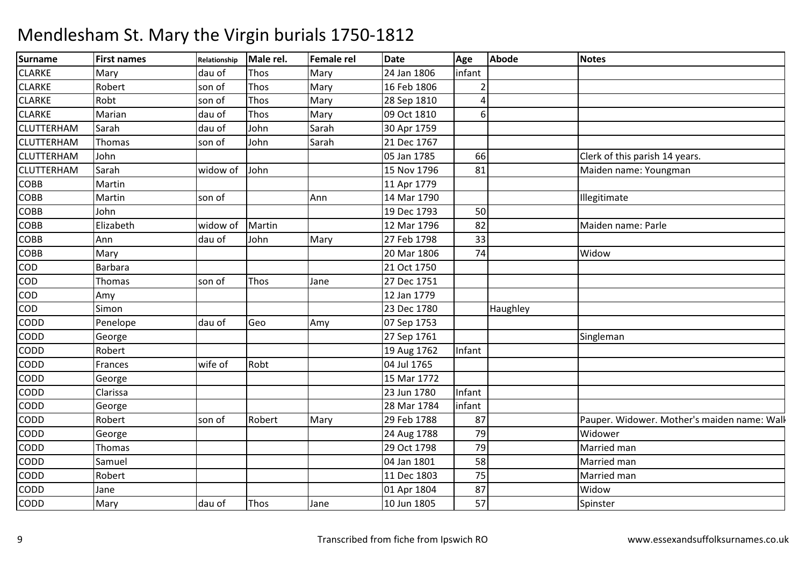| <b>Surname</b>    | <b>First names</b> | Relationship | Male rel. | <b>Female rel</b> | <b>Date</b> | Age    | <b>Abode</b> | <b>Notes</b>                                |
|-------------------|--------------------|--------------|-----------|-------------------|-------------|--------|--------------|---------------------------------------------|
| <b>CLARKE</b>     | Mary               | dau of       | Thos      | Mary              | 24 Jan 1806 | infant |              |                                             |
| <b>CLARKE</b>     | Robert             | son of       | Thos      | Mary              | 16 Feb 1806 |        |              |                                             |
| <b>CLARKE</b>     | Robt               | son of       | Thos      | Mary              | 28 Sep 1810 | Δ      |              |                                             |
| <b>CLARKE</b>     | Marian             | dau of       | Thos      | Mary              | 09 Oct 1810 | 6      |              |                                             |
| <b>CLUTTERHAM</b> | Sarah              | dau of       | John      | Sarah             | 30 Apr 1759 |        |              |                                             |
| <b>CLUTTERHAM</b> | Thomas             | son of       | John      | Sarah             | 21 Dec 1767 |        |              |                                             |
| <b>CLUTTERHAM</b> | John               |              |           |                   | 05 Jan 1785 | 66     |              | Clerk of this parish 14 years.              |
| <b>CLUTTERHAM</b> | Sarah              | widow of     | John      |                   | 15 Nov 1796 | 81     |              | Maiden name: Youngman                       |
| <b>COBB</b>       | Martin             |              |           |                   | 11 Apr 1779 |        |              |                                             |
| <b>COBB</b>       | Martin             | son of       |           | Ann               | 14 Mar 1790 |        |              | Illegitimate                                |
| COBB              | John               |              |           |                   | 19 Dec 1793 | 50     |              |                                             |
| COBB              | Elizabeth          | widow of     | Martin    |                   | 12 Mar 1796 | 82     |              | Maiden name: Parle                          |
| COBB              | Ann                | dau of       | John      | Mary              | 27 Feb 1798 | 33     |              |                                             |
| COBB              | Mary               |              |           |                   | 20 Mar 1806 | 74     |              | Widow                                       |
| COD               | Barbara            |              |           |                   | 21 Oct 1750 |        |              |                                             |
| COD               | Thomas             | son of       | Thos      | Jane              | 27 Dec 1751 |        |              |                                             |
| COD               | Amy                |              |           |                   | 12 Jan 1779 |        |              |                                             |
| COD               | Simon              |              |           |                   | 23 Dec 1780 |        | Haughley     |                                             |
| CODD              | Penelope           | dau of       | Geo       | Amy               | 07 Sep 1753 |        |              |                                             |
| CODD              | George             |              |           |                   | 27 Sep 1761 |        |              | Singleman                                   |
| CODD              | Robert             |              |           |                   | 19 Aug 1762 | Infant |              |                                             |
| CODD              | Frances            | wife of      | Robt      |                   | 04 Jul 1765 |        |              |                                             |
| CODD              | George             |              |           |                   | 15 Mar 1772 |        |              |                                             |
| CODD              | Clarissa           |              |           |                   | 23 Jun 1780 | Infant |              |                                             |
| CODD              | George             |              |           |                   | 28 Mar 1784 | infant |              |                                             |
| <b>CODD</b>       | Robert             | son of       | Robert    | Mary              | 29 Feb 1788 | 87     |              | Pauper. Widower. Mother's maiden name: Wall |
| CODD              | George             |              |           |                   | 24 Aug 1788 | 79     |              | Widower                                     |
| CODD              | Thomas             |              |           |                   | 29 Oct 1798 | 79     |              | Married man                                 |
| CODD              | Samuel             |              |           |                   | 04 Jan 1801 | 58     |              | Married man                                 |
| CODD              | Robert             |              |           |                   | 11 Dec 1803 | 75     |              | Married man                                 |
| CODD              | Jane               |              |           |                   | 01 Apr 1804 | 87     |              | Widow                                       |
| CODD              | Mary               | dau of       | Thos      | Jane              | 10 Jun 1805 | 57     |              | Spinster                                    |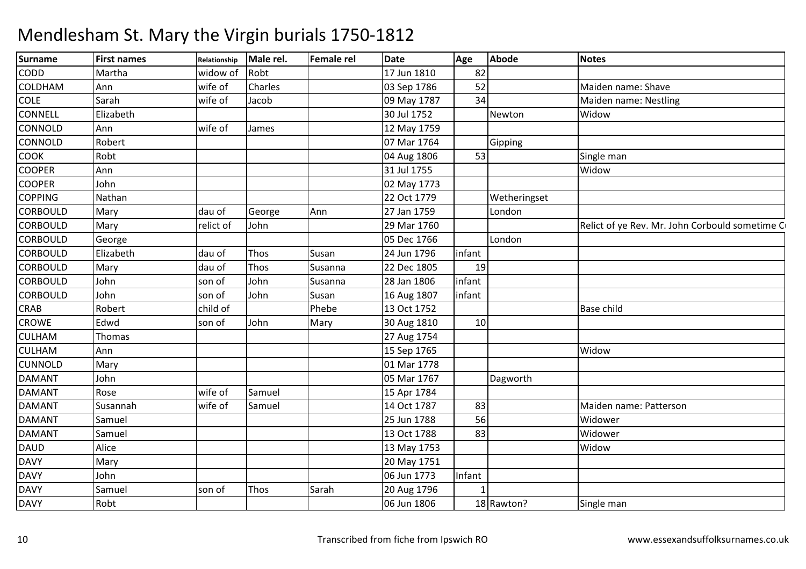| <b>Surname</b>  | <b>First names</b> | Relationship | Male rel. | <b>Female rel</b> | <b>Date</b> | Age    | Abode        | <b>Notes</b>                                   |
|-----------------|--------------------|--------------|-----------|-------------------|-------------|--------|--------------|------------------------------------------------|
| <b>CODD</b>     | Martha             | widow of     | Robt      |                   | 17 Jun 1810 | 82     |              |                                                |
| <b>COLDHAM</b>  | Ann                | wife of      | Charles   |                   | 03 Sep 1786 | 52     |              | Maiden name: Shave                             |
| <b>COLE</b>     | Sarah              | wife of      | Jacob     |                   | 09 May 1787 | 34     |              | Maiden name: Nestling                          |
| <b>CONNELL</b>  | Elizabeth          |              |           |                   | 30 Jul 1752 |        | Newton       | Widow                                          |
| <b>CONNOLD</b>  | Ann                | wife of      | James     |                   | 12 May 1759 |        |              |                                                |
| <b>CONNOLD</b>  | Robert             |              |           |                   | 07 Mar 1764 |        | Gipping      |                                                |
| <b>COOK</b>     | Robt               |              |           |                   | 04 Aug 1806 | 53     |              | Single man                                     |
| <b>COOPER</b>   | Ann                |              |           |                   | 31 Jul 1755 |        |              | Widow                                          |
| <b>COOPER</b>   | John               |              |           |                   | 02 May 1773 |        |              |                                                |
| <b>COPPING</b>  | Nathan             |              |           |                   | 22 Oct 1779 |        | Wetheringset |                                                |
| <b>CORBOULD</b> | Mary               | dau of       | George    | Ann               | 27 Jan 1759 |        | London       |                                                |
| <b>CORBOULD</b> | Mary               | relict of    | John      |                   | 29 Mar 1760 |        |              | Relict of ye Rev. Mr. John Corbould sometime C |
| <b>CORBOULD</b> | George             |              |           |                   | 05 Dec 1766 |        | London       |                                                |
| <b>CORBOULD</b> | Elizabeth          | dau of       | Thos      | Susan             | 24 Jun 1796 | infant |              |                                                |
| <b>CORBOULD</b> | Mary               | dau of       | Thos      | Susanna           | 22 Dec 1805 | 19     |              |                                                |
| <b>CORBOULD</b> | John               | son of       | John      | Susanna           | 28 Jan 1806 | infant |              |                                                |
| <b>CORBOULD</b> | John               | son of       | John      | Susan             | 16 Aug 1807 | infant |              |                                                |
| <b>CRAB</b>     | Robert             | child of     |           | Phebe             | 13 Oct 1752 |        |              | <b>Base child</b>                              |
| <b>CROWE</b>    | Edwd               | son of       | John      | Mary              | 30 Aug 1810 | $10\,$ |              |                                                |
| <b>CULHAM</b>   | Thomas             |              |           |                   | 27 Aug 1754 |        |              |                                                |
| <b>CULHAM</b>   | Ann                |              |           |                   | 15 Sep 1765 |        |              | Widow                                          |
| <b>CUNNOLD</b>  | Mary               |              |           |                   | 01 Mar 1778 |        |              |                                                |
| <b>DAMANT</b>   | John               |              |           |                   | 05 Mar 1767 |        | Dagworth     |                                                |
| <b>DAMANT</b>   | Rose               | wife of      | Samuel    |                   | 15 Apr 1784 |        |              |                                                |
| <b>DAMANT</b>   | Susannah           | wife of      | Samuel    |                   | 14 Oct 1787 | 83     |              | Maiden name: Patterson                         |
| <b>DAMANT</b>   | Samuel             |              |           |                   | 25 Jun 1788 | 56     |              | Widower                                        |
| <b>DAMANT</b>   | Samuel             |              |           |                   | 13 Oct 1788 | 83     |              | Widower                                        |
| <b>DAUD</b>     | Alice              |              |           |                   | 13 May 1753 |        |              | Widow                                          |
| <b>DAVY</b>     | Mary               |              |           |                   | 20 May 1751 |        |              |                                                |
| <b>DAVY</b>     | John               |              |           |                   | 06 Jun 1773 | Infant |              |                                                |
| <b>DAVY</b>     | Samuel             | son of       | Thos      | Sarah             | 20 Aug 1796 |        |              |                                                |
| <b>DAVY</b>     | Robt               |              |           |                   | 06 Jun 1806 |        | 18 Rawton?   | Single man                                     |
|                 |                    |              |           |                   |             |        |              |                                                |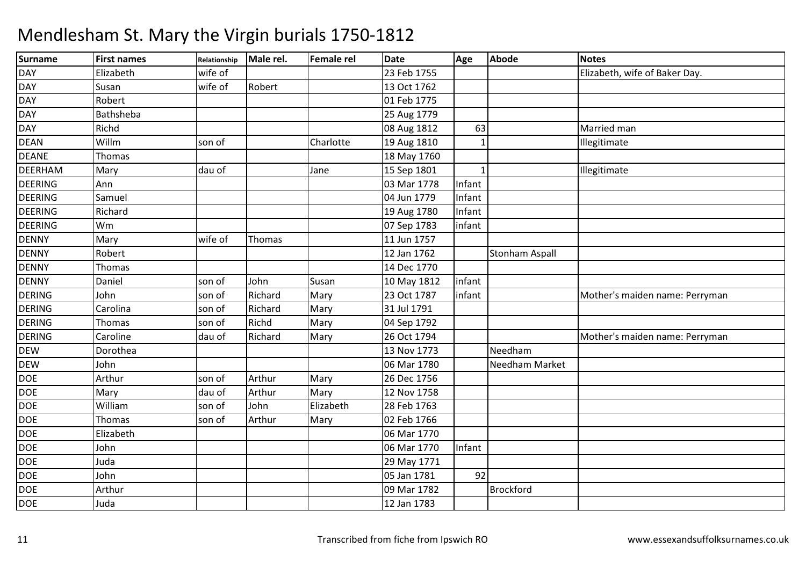| <b>Surname</b> | <b>First names</b> | Relationship | Male rel. | <b>Female rel</b> | <b>Date</b> | Age          | <b>Abode</b>          | <b>Notes</b>                   |
|----------------|--------------------|--------------|-----------|-------------------|-------------|--------------|-----------------------|--------------------------------|
| <b>DAY</b>     | Elizabeth          | wife of      |           |                   | 23 Feb 1755 |              |                       | Elizabeth, wife of Baker Day.  |
| <b>DAY</b>     | Susan              | wife of      | Robert    |                   | 13 Oct 1762 |              |                       |                                |
| <b>DAY</b>     | Robert             |              |           |                   | 01 Feb 1775 |              |                       |                                |
| <b>DAY</b>     | Bathsheba          |              |           |                   | 25 Aug 1779 |              |                       |                                |
| <b>DAY</b>     | Richd              |              |           |                   | 08 Aug 1812 | 63           |                       | Married man                    |
| <b>DEAN</b>    | Willm              | son of       |           | Charlotte         | 19 Aug 1810 | $\mathbf{1}$ |                       | Illegitimate                   |
| <b>DEANE</b>   | Thomas             |              |           |                   | 18 May 1760 |              |                       |                                |
| <b>DEERHAM</b> | Mary               | dau of       |           | Jane              | 15 Sep 1801 | 1            |                       | Illegitimate                   |
| <b>DEERING</b> | Ann                |              |           |                   | 03 Mar 1778 | Infant       |                       |                                |
| <b>DEERING</b> | Samuel             |              |           |                   | 04 Jun 1779 | Infant       |                       |                                |
| <b>DEERING</b> | Richard            |              |           |                   | 19 Aug 1780 | Infant       |                       |                                |
| <b>DEERING</b> | Wm                 |              |           |                   | 07 Sep 1783 | infant       |                       |                                |
| <b>DENNY</b>   | Mary               | wife of      | Thomas    |                   | 11 Jun 1757 |              |                       |                                |
| <b>DENNY</b>   | Robert             |              |           |                   | 12 Jan 1762 |              | <b>Stonham Aspall</b> |                                |
| <b>DENNY</b>   | Thomas             |              |           |                   | 14 Dec 1770 |              |                       |                                |
| <b>DENNY</b>   | Daniel             | son of       | John      | Susan             | 10 May 1812 | infant       |                       |                                |
| <b>DERING</b>  | John               | son of       | Richard   | Mary              | 23 Oct 1787 | infant       |                       | Mother's maiden name: Perryman |
| <b>DERING</b>  | Carolina           | son of       | Richard   | Mary              | 31 Jul 1791 |              |                       |                                |
| <b>DERING</b>  | Thomas             | son of       | Richd     | Mary              | 04 Sep 1792 |              |                       |                                |
| <b>DERING</b>  | Caroline           | dau of       | Richard   | Mary              | 26 Oct 1794 |              |                       | Mother's maiden name: Perryman |
| <b>DEW</b>     | Dorothea           |              |           |                   | 13 Nov 1773 |              | Needham               |                                |
| <b>DEW</b>     | John               |              |           |                   | 06 Mar 1780 |              | Needham Market        |                                |
| <b>DOE</b>     | Arthur             | son of       | Arthur    | Mary              | 26 Dec 1756 |              |                       |                                |
| <b>DOE</b>     | Mary               | dau of       | Arthur    | Mary              | 12 Nov 1758 |              |                       |                                |
| <b>DOE</b>     | William            | son of       | John      | Elizabeth         | 28 Feb 1763 |              |                       |                                |
| <b>DOE</b>     | Thomas             | son of       | Arthur    | Mary              | 02 Feb 1766 |              |                       |                                |
| <b>DOE</b>     | Elizabeth          |              |           |                   | 06 Mar 1770 |              |                       |                                |
| <b>DOE</b>     | John               |              |           |                   | 06 Mar 1770 | Infant       |                       |                                |
| <b>DOE</b>     | Juda               |              |           |                   | 29 May 1771 |              |                       |                                |
| <b>DOE</b>     | John               |              |           |                   | 05 Jan 1781 | 92           |                       |                                |
| <b>DOE</b>     | Arthur             |              |           |                   | 09 Mar 1782 |              | <b>Brockford</b>      |                                |
| <b>DOE</b>     | Juda               |              |           |                   | 12 Jan 1783 |              |                       |                                |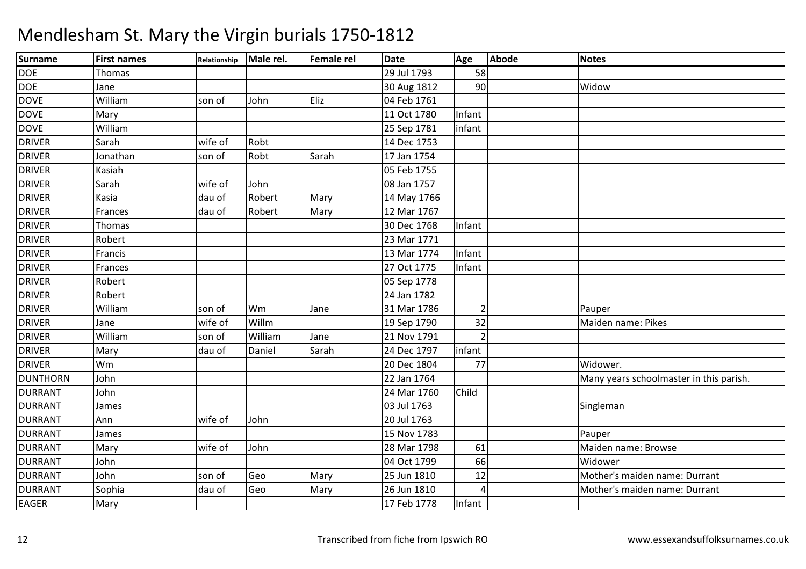| <b>Surname</b>  | <b>First names</b> | Relationship | Male rel. | <b>Female rel</b> | <b>Date</b> | Age            | Abode | <b>Notes</b>                            |
|-----------------|--------------------|--------------|-----------|-------------------|-------------|----------------|-------|-----------------------------------------|
| <b>DOE</b>      | Thomas             |              |           |                   | 29 Jul 1793 | 58             |       |                                         |
| <b>DOE</b>      | Jane               |              |           |                   | 30 Aug 1812 | 90             |       | Widow                                   |
| <b>DOVE</b>     | William            | son of       | John      | Eliz              | 04 Feb 1761 |                |       |                                         |
| <b>DOVE</b>     | Mary               |              |           |                   | 11 Oct 1780 | Infant         |       |                                         |
| <b>DOVE</b>     | William            |              |           |                   | 25 Sep 1781 | infant         |       |                                         |
| <b>DRIVER</b>   | Sarah              | wife of      | Robt      |                   | 14 Dec 1753 |                |       |                                         |
| <b>DRIVER</b>   | Jonathan           | son of       | Robt      | Sarah             | 17 Jan 1754 |                |       |                                         |
| <b>DRIVER</b>   | Kasiah             |              |           |                   | 05 Feb 1755 |                |       |                                         |
| <b>DRIVER</b>   | Sarah              | wife of      | John      |                   | 08 Jan 1757 |                |       |                                         |
| <b>DRIVER</b>   | Kasia              | dau of       | Robert    | Mary              | 14 May 1766 |                |       |                                         |
| <b>DRIVER</b>   | Frances            | dau of       | Robert    | Mary              | 12 Mar 1767 |                |       |                                         |
| <b>DRIVER</b>   | Thomas             |              |           |                   | 30 Dec 1768 | Infant         |       |                                         |
| <b>DRIVER</b>   | Robert             |              |           |                   | 23 Mar 1771 |                |       |                                         |
| <b>DRIVER</b>   | Francis            |              |           |                   | 13 Mar 1774 | Infant         |       |                                         |
| <b>DRIVER</b>   | Frances            |              |           |                   | 27 Oct 1775 | Infant         |       |                                         |
| <b>DRIVER</b>   | Robert             |              |           |                   | 05 Sep 1778 |                |       |                                         |
| <b>DRIVER</b>   | Robert             |              |           |                   | 24 Jan 1782 |                |       |                                         |
| <b>DRIVER</b>   | William            | son of       | Wm        | Jane              | 31 Mar 1786 | $\overline{2}$ |       | Pauper                                  |
| <b>DRIVER</b>   | Jane               | wife of      | Willm     |                   | 19 Sep 1790 | 32             |       | Maiden name: Pikes                      |
| <b>DRIVER</b>   | William            | son of       | William   | Jane              | 21 Nov 1791 |                |       |                                         |
| <b>DRIVER</b>   | Mary               | dau of       | Daniel    | Sarah             | 24 Dec 1797 | infant         |       |                                         |
| <b>DRIVER</b>   | Wm                 |              |           |                   | 20 Dec 1804 | 77             |       | Widower.                                |
| <b>DUNTHORN</b> | John               |              |           |                   | 22 Jan 1764 |                |       | Many years schoolmaster in this parish. |
| <b>DURRANT</b>  | John               |              |           |                   | 24 Mar 1760 | Child          |       |                                         |
| <b>DURRANT</b>  | James              |              |           |                   | 03 Jul 1763 |                |       | Singleman                               |
| <b>DURRANT</b>  | Ann                | wife of      | John      |                   | 20 Jul 1763 |                |       |                                         |
| <b>DURRANT</b>  | James              |              |           |                   | 15 Nov 1783 |                |       | Pauper                                  |
| <b>DURRANT</b>  | Mary               | wife of      | John      |                   | 28 Mar 1798 | 61             |       | Maiden name: Browse                     |
| <b>DURRANT</b>  | John               |              |           |                   | 04 Oct 1799 | 66             |       | Widower                                 |
| <b>DURRANT</b>  | John               | son of       | Geo       | Mary              | 25 Jun 1810 | 12             |       | Mother's maiden name: Durrant           |
| <b>DURRANT</b>  | Sophia             | dau of       | Geo       | Mary              | 26 Jun 1810 |                |       | Mother's maiden name: Durrant           |
| <b>EAGER</b>    | Mary               |              |           |                   | 17 Feb 1778 | Infant         |       |                                         |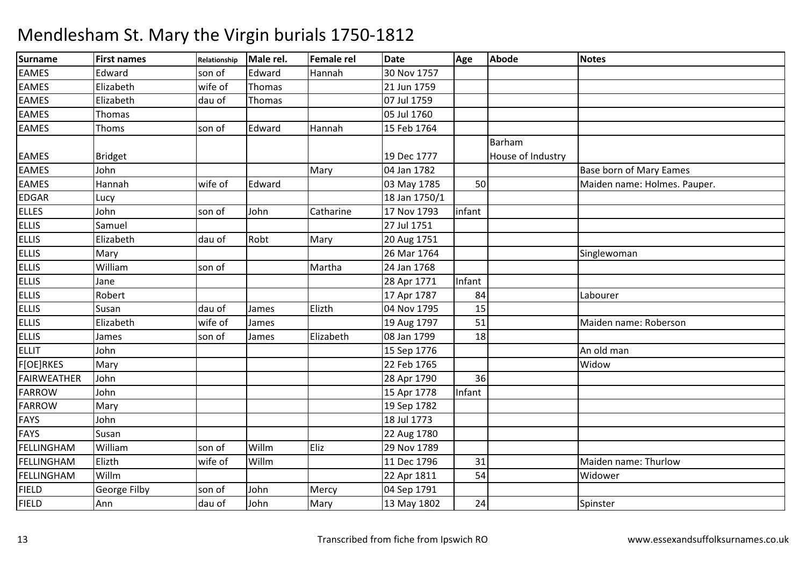| Surname            | <b>First names</b> | Relationship | Male rel. | Female rel | <b>Date</b>   | Age    | <b>Abode</b>      | <b>Notes</b>                   |
|--------------------|--------------------|--------------|-----------|------------|---------------|--------|-------------------|--------------------------------|
| <b>EAMES</b>       | Edward             | son of       | Edward    | Hannah     | 30 Nov 1757   |        |                   |                                |
| <b>EAMES</b>       | Elizabeth          | wife of      | Thomas    |            | 21 Jun 1759   |        |                   |                                |
| <b>EAMES</b>       | Elizabeth          | dau of       | Thomas    |            | 07 Jul 1759   |        |                   |                                |
| <b>EAMES</b>       | Thomas             |              |           |            | 05 Jul 1760   |        |                   |                                |
| <b>EAMES</b>       | Thoms              | son of       | Edward    | Hannah     | 15 Feb 1764   |        |                   |                                |
|                    |                    |              |           |            |               |        | Barham            |                                |
| <b>EAMES</b>       | <b>Bridget</b>     |              |           |            | 19 Dec 1777   |        | House of Industry |                                |
| <b>EAMES</b>       | John               |              |           | Mary       | 04 Jan 1782   |        |                   | <b>Base born of Mary Eames</b> |
| <b>EAMES</b>       | Hannah             | wife of      | Edward    |            | 03 May 1785   | 50     |                   | Maiden name: Holmes. Pauper.   |
| <b>EDGAR</b>       | Lucy               |              |           |            | 18 Jan 1750/1 |        |                   |                                |
| <b>ELLES</b>       | John               | son of       | John      | Catharine  | 17 Nov 1793   | infant |                   |                                |
| <b>ELLIS</b>       | Samuel             |              |           |            | 27 Jul 1751   |        |                   |                                |
| <b>ELLIS</b>       | Elizabeth          | dau of       | Robt      | Mary       | 20 Aug 1751   |        |                   |                                |
| <b>ELLIS</b>       | Mary               |              |           |            | 26 Mar 1764   |        |                   | Singlewoman                    |
| <b>ELLIS</b>       | William            | son of       |           | Martha     | 24 Jan 1768   |        |                   |                                |
| <b>ELLIS</b>       | Jane               |              |           |            | 28 Apr 1771   | Infant |                   |                                |
| <b>ELLIS</b>       | Robert             |              |           |            | 17 Apr 1787   | 84     |                   | Labourer                       |
| <b>ELLIS</b>       | Susan              | dau of       | James     | Elizth     | 04 Nov 1795   | 15     |                   |                                |
| <b>ELLIS</b>       | Elizabeth          | wife of      | James     |            | 19 Aug 1797   | 51     |                   | Maiden name: Roberson          |
| <b>ELLIS</b>       | James              | son of       | James     | Elizabeth  | 08 Jan 1799   | 18     |                   |                                |
| <b>ELLIT</b>       | John               |              |           |            | 15 Sep 1776   |        |                   | An old man                     |
| <b>F[OE]RKES</b>   | Mary               |              |           |            | 22 Feb 1765   |        |                   | Widow                          |
| <b>FAIRWEATHER</b> | John               |              |           |            | 28 Apr 1790   | 36     |                   |                                |
| <b>FARROW</b>      | John               |              |           |            | 15 Apr 1778   | Infant |                   |                                |
| <b>FARROW</b>      | Mary               |              |           |            | 19 Sep 1782   |        |                   |                                |
| <b>FAYS</b>        | John               |              |           |            | 18 Jul 1773   |        |                   |                                |
| <b>FAYS</b>        | Susan              |              |           |            | 22 Aug 1780   |        |                   |                                |
| <b>FELLINGHAM</b>  | William            | son of       | Willm     | Eliz       | 29 Nov 1789   |        |                   |                                |
| FELLINGHAM         | Elizth             | wife of      | Willm     |            | 11 Dec 1796   | 31     |                   | Maiden name: Thurlow           |
| FELLINGHAM         | Willm              |              |           |            | 22 Apr 1811   | 54     |                   | Widower                        |
| <b>FIELD</b>       | George Filby       | son of       | John      | Mercy      | 04 Sep 1791   |        |                   |                                |
| <b>FIELD</b>       | Ann                | dau of       | John      | Mary       | 13 May 1802   | 24     |                   | Spinster                       |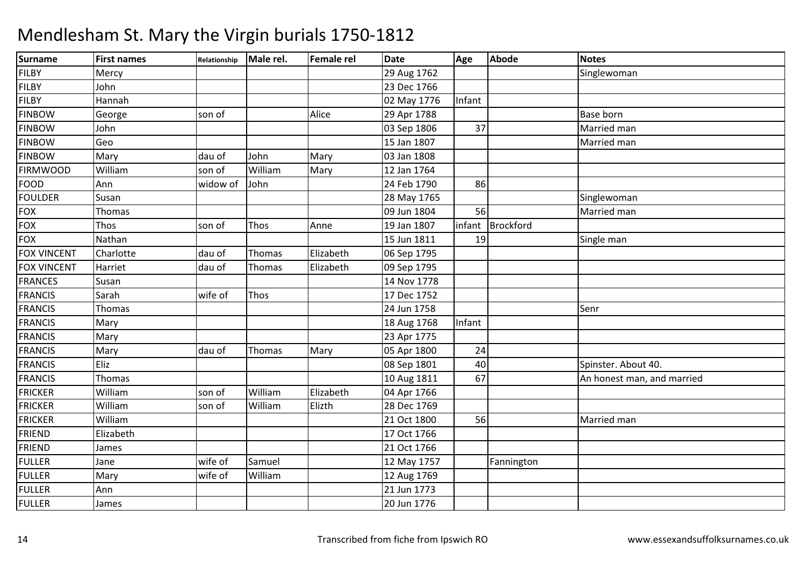| <b>Surname</b>     | <b>First names</b> | Relationship | Male rel. | <b>Female rel</b> | <b>Date</b> | Age    | <b>Abode</b> | <b>Notes</b>               |
|--------------------|--------------------|--------------|-----------|-------------------|-------------|--------|--------------|----------------------------|
| <b>FILBY</b>       | Mercy              |              |           |                   | 29 Aug 1762 |        |              | Singlewoman                |
| <b>FILBY</b>       | John               |              |           |                   | 23 Dec 1766 |        |              |                            |
| <b>FILBY</b>       | Hannah             |              |           |                   | 02 May 1776 | Infant |              |                            |
| <b>FINBOW</b>      | George             | son of       |           | Alice             | 29 Apr 1788 |        |              | <b>Base born</b>           |
| <b>FINBOW</b>      | John               |              |           |                   | 03 Sep 1806 | 37     |              | Married man                |
| <b>FINBOW</b>      | Geo                |              |           |                   | 15 Jan 1807 |        |              | Married man                |
| <b>FINBOW</b>      | Mary               | dau of       | John      | Mary              | 03 Jan 1808 |        |              |                            |
| <b>FIRMWOOD</b>    | William            | son of       | William   | Mary              | 12 Jan 1764 |        |              |                            |
| <b>FOOD</b>        | Ann                | widow of     | John      |                   | 24 Feb 1790 | 86     |              |                            |
| <b>FOULDER</b>     | Susan              |              |           |                   | 28 May 1765 |        |              | Singlewoman                |
| <b>FOX</b>         | Thomas             |              |           |                   | 09 Jun 1804 | 56     |              | Married man                |
| <b>FOX</b>         | Thos               | son of       | Thos      | Anne              | 19 Jan 1807 | infant | Brockford    |                            |
| <b>FOX</b>         | Nathan             |              |           |                   | 15 Jun 1811 | 19     |              | Single man                 |
| <b>FOX VINCENT</b> | Charlotte          | dau of       | Thomas    | Elizabeth         | 06 Sep 1795 |        |              |                            |
| <b>FOX VINCENT</b> | Harriet            | dau of       | Thomas    | Elizabeth         | 09 Sep 1795 |        |              |                            |
| <b>FRANCES</b>     | Susan              |              |           |                   | 14 Nov 1778 |        |              |                            |
| <b>FRANCIS</b>     | Sarah              | wife of      | Thos      |                   | 17 Dec 1752 |        |              |                            |
| <b>FRANCIS</b>     | Thomas             |              |           |                   | 24 Jun 1758 |        |              | Senr                       |
| <b>FRANCIS</b>     | Mary               |              |           |                   | 18 Aug 1768 | Infant |              |                            |
| <b>FRANCIS</b>     | Mary               |              |           |                   | 23 Apr 1775 |        |              |                            |
| <b>FRANCIS</b>     | Mary               | dau of       | Thomas    | Mary              | 05 Apr 1800 | 24     |              |                            |
| <b>FRANCIS</b>     | Eliz               |              |           |                   | 08 Sep 1801 | 40     |              | Spinster. About 40.        |
| <b>FRANCIS</b>     | Thomas             |              |           |                   | 10 Aug 1811 | 67     |              | An honest man, and married |
| <b>FRICKER</b>     | William            | son of       | William   | Elizabeth         | 04 Apr 1766 |        |              |                            |
| <b>FRICKER</b>     | William            | son of       | William   | Elizth            | 28 Dec 1769 |        |              |                            |
| <b>FRICKER</b>     | William            |              |           |                   | 21 Oct 1800 | 56     |              | Married man                |
| <b>FRIEND</b>      | Elizabeth          |              |           |                   | 17 Oct 1766 |        |              |                            |
| <b>FRIEND</b>      | James              |              |           |                   | 21 Oct 1766 |        |              |                            |
| <b>FULLER</b>      | Jane               | wife of      | Samuel    |                   | 12 May 1757 |        | Fannington   |                            |
| <b>FULLER</b>      | Mary               | wife of      | William   |                   | 12 Aug 1769 |        |              |                            |
| <b>FULLER</b>      | Ann                |              |           |                   | 21 Jun 1773 |        |              |                            |
| <b>FULLER</b>      | James              |              |           |                   | 20 Jun 1776 |        |              |                            |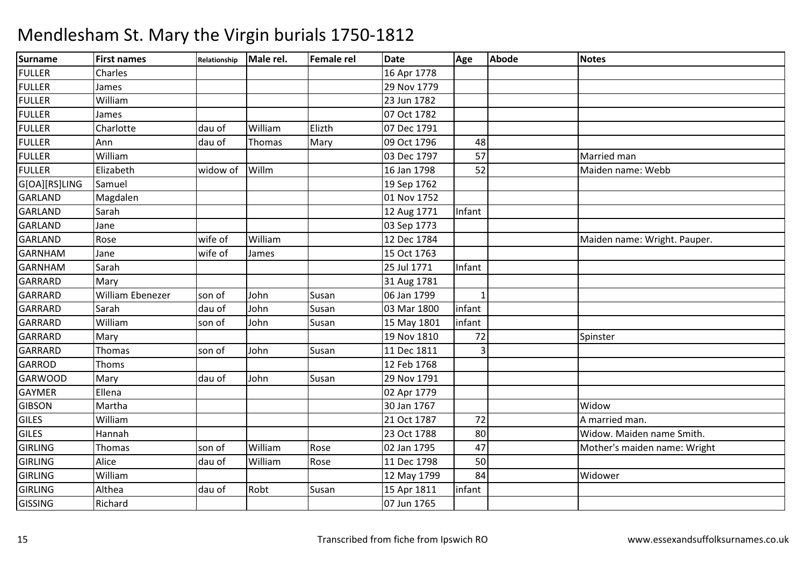| <b>Surname</b> | <b>First names</b>      | Relationship | Male rel. | Female rel | <b>Date</b> | Age    | Abode | <b>Notes</b>                 |
|----------------|-------------------------|--------------|-----------|------------|-------------|--------|-------|------------------------------|
| <b>FULLER</b>  | Charles                 |              |           |            | 16 Apr 1778 |        |       |                              |
| <b>FULLER</b>  | James                   |              |           |            | 29 Nov 1779 |        |       |                              |
| <b>FULLER</b>  | William                 |              |           |            | 23 Jun 1782 |        |       |                              |
| <b>FULLER</b>  | James                   |              |           |            | 07 Oct 1782 |        |       |                              |
| <b>FULLER</b>  | Charlotte               | dau of       | William   | Elizth     | 07 Dec 1791 |        |       |                              |
| <b>FULLER</b>  | Ann                     | dau of       | Thomas    | Mary       | 09 Oct 1796 | 48     |       |                              |
| <b>FULLER</b>  | William                 |              |           |            | 03 Dec 1797 | 57     |       | Married man                  |
| <b>FULLER</b>  | Elizabeth               | widow of     | Willm     |            | 16 Jan 1798 | 52     |       | Maiden name: Webb            |
| G[OA][RS]LING  | Samuel                  |              |           |            | 19 Sep 1762 |        |       |                              |
| GARLAND        | Magdalen                |              |           |            | 01 Nov 1752 |        |       |                              |
| <b>GARLAND</b> | Sarah                   |              |           |            | 12 Aug 1771 | Infant |       |                              |
| <b>GARLAND</b> | Jane                    |              |           |            | 03 Sep 1773 |        |       |                              |
| <b>GARLAND</b> | Rose                    | wife of      | William   |            | 12 Dec 1784 |        |       | Maiden name: Wright. Pauper. |
| <b>GARNHAM</b> | Jane                    | wife of      | James     |            | 15 Oct 1763 |        |       |                              |
| <b>GARNHAM</b> | Sarah                   |              |           |            | 25 Jul 1771 | Infant |       |                              |
| <b>GARRARD</b> | Mary                    |              |           |            | 31 Aug 1781 |        |       |                              |
| <b>GARRARD</b> | <b>William Ebenezer</b> | son of       | John      | Susan      | 06 Jan 1799 |        |       |                              |
| <b>GARRARD</b> | Sarah                   | dau of       | John      | Susan      | 03 Mar 1800 | infant |       |                              |
| <b>GARRARD</b> | William                 | son of       | John      | Susan      | 15 May 1801 | infant |       |                              |
| <b>GARRARD</b> | Mary                    |              |           |            | 19 Nov 1810 | 72     |       | Spinster                     |
| <b>GARRARD</b> | Thomas                  | son of       | John      | Susan      | 11 Dec 1811 | 3      |       |                              |
| <b>GARROD</b>  | Thoms                   |              |           |            | 12 Feb 1768 |        |       |                              |
| <b>GARWOOD</b> | Mary                    | dau of       | John      | Susan      | 29 Nov 1791 |        |       |                              |
| <b>GAYMER</b>  | Ellena                  |              |           |            | 02 Apr 1779 |        |       |                              |
| <b>GIBSON</b>  | Martha                  |              |           |            | 30 Jan 1767 |        |       | Widow                        |
| <b>GILES</b>   | William                 |              |           |            | 21 Oct 1787 | 72     |       | A married man.               |
| <b>GILES</b>   | Hannah                  |              |           |            | 23 Oct 1788 | 80     |       | Widow. Maiden name Smith.    |
| <b>GIRLING</b> | Thomas                  | son of       | William   | Rose       | 02 Jan 1795 | 47     |       | Mother's maiden name: Wright |
| <b>GIRLING</b> | Alice                   | dau of       | William   | Rose       | 11 Dec 1798 | 50     |       |                              |
| <b>GIRLING</b> | William                 |              |           |            | 12 May 1799 | 84     |       | Widower                      |
| <b>GIRLING</b> | Althea                  | dau of       | Robt      | Susan      | 15 Apr 1811 | infant |       |                              |
| <b>GISSING</b> | Richard                 |              |           |            | 07 Jun 1765 |        |       |                              |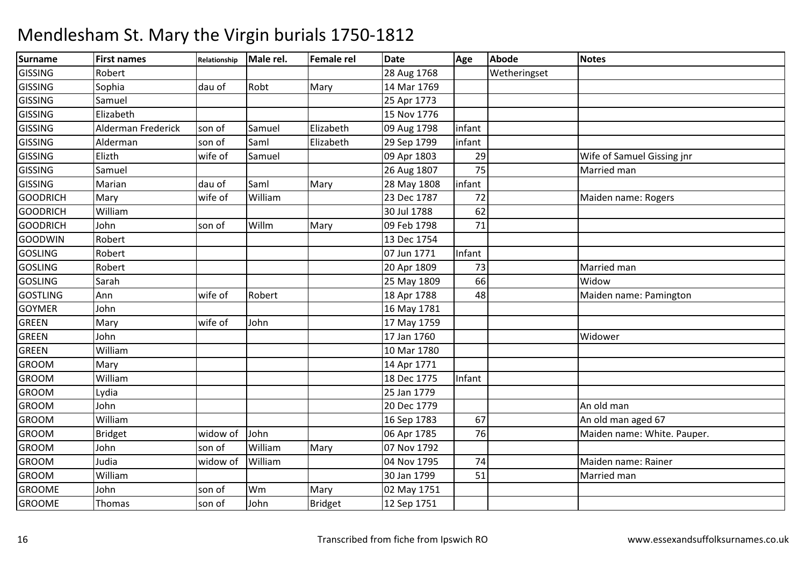| Surname         | <b>First names</b> | Relationship | Male rel. | <b>Female rel</b> | <b>Date</b> | Age    | <b>Abode</b> | <b>Notes</b>                |
|-----------------|--------------------|--------------|-----------|-------------------|-------------|--------|--------------|-----------------------------|
| <b>GISSING</b>  | Robert             |              |           |                   | 28 Aug 1768 |        | Wetheringset |                             |
| <b>GISSING</b>  | Sophia             | dau of       | Robt      | Mary              | 14 Mar 1769 |        |              |                             |
| <b>GISSING</b>  | Samuel             |              |           |                   | 25 Apr 1773 |        |              |                             |
| <b>GISSING</b>  | Elizabeth          |              |           |                   | 15 Nov 1776 |        |              |                             |
| <b>GISSING</b>  | Alderman Frederick | son of       | Samuel    | Elizabeth         | 09 Aug 1798 | infant |              |                             |
| <b>GISSING</b>  | Alderman           | son of       | Saml      | Elizabeth         | 29 Sep 1799 | infant |              |                             |
| <b>GISSING</b>  | Elizth             | wife of      | Samuel    |                   | 09 Apr 1803 | 29     |              | Wife of Samuel Gissing jnr  |
| <b>GISSING</b>  | Samuel             |              |           |                   | 26 Aug 1807 | 75     |              | Married man                 |
| <b>GISSING</b>  | Marian             | dau of       | Saml      | Mary              | 28 May 1808 | infant |              |                             |
| <b>GOODRICH</b> | Mary               | wife of      | William   |                   | 23 Dec 1787 | 72     |              | Maiden name: Rogers         |
| <b>GOODRICH</b> | William            |              |           |                   | 30 Jul 1788 | 62     |              |                             |
| <b>GOODRICH</b> | John               | son of       | Willm     | Mary              | 09 Feb 1798 | 71     |              |                             |
| <b>GOODWIN</b>  | Robert             |              |           |                   | 13 Dec 1754 |        |              |                             |
| <b>GOSLING</b>  | Robert             |              |           |                   | 07 Jun 1771 | Infant |              |                             |
| GOSLING         | Robert             |              |           |                   | 20 Apr 1809 | 73     |              | Married man                 |
| <b>GOSLING</b>  | Sarah              |              |           |                   | 25 May 1809 | 66     |              | Widow                       |
| <b>GOSTLING</b> | Ann                | wife of      | Robert    |                   | 18 Apr 1788 | 48     |              | Maiden name: Pamington      |
| <b>GOYMER</b>   | John               |              |           |                   | 16 May 1781 |        |              |                             |
| GREEN           | Mary               | wife of      | John      |                   | 17 May 1759 |        |              |                             |
| <b>GREEN</b>    | John               |              |           |                   | 17 Jan 1760 |        |              | Widower                     |
| <b>GREEN</b>    | William            |              |           |                   | 10 Mar 1780 |        |              |                             |
| <b>GROOM</b>    | Mary               |              |           |                   | 14 Apr 1771 |        |              |                             |
| <b>GROOM</b>    | William            |              |           |                   | 18 Dec 1775 | Infant |              |                             |
| <b>GROOM</b>    | Lydia              |              |           |                   | 25 Jan 1779 |        |              |                             |
| <b>GROOM</b>    | John               |              |           |                   | 20 Dec 1779 |        |              | An old man                  |
| <b>GROOM</b>    | William            |              |           |                   | 16 Sep 1783 | 67     |              | An old man aged 67          |
| <b>GROOM</b>    | <b>Bridget</b>     | widow of     | John      |                   | 06 Apr 1785 | 76     |              | Maiden name: White. Pauper. |
| <b>GROOM</b>    | John               | son of       | William   | Mary              | 07 Nov 1792 |        |              |                             |
| <b>GROOM</b>    | Judia              | widow of     | William   |                   | 04 Nov 1795 | 74     |              | Maiden name: Rainer         |
| <b>GROOM</b>    | William            |              |           |                   | 30 Jan 1799 | 51     |              | Married man                 |
| <b>GROOME</b>   | John               | son of       | Wm        | Mary              | 02 May 1751 |        |              |                             |
| <b>GROOME</b>   | Thomas             | son of       | John      | <b>Bridget</b>    | 12 Sep 1751 |        |              |                             |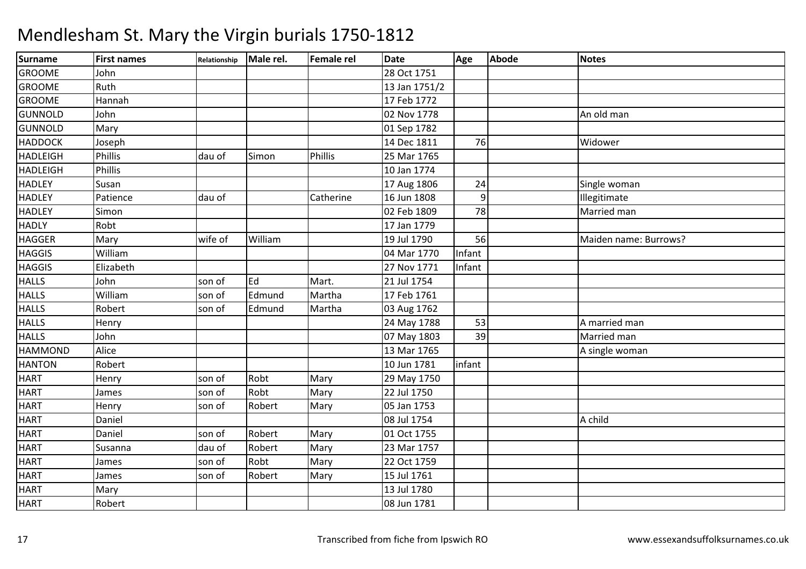| Surname         | <b>First names</b> | Relationship | Male rel. | <b>Female rel</b> | <b>Date</b>   | Age            | Abode | <b>Notes</b>          |
|-----------------|--------------------|--------------|-----------|-------------------|---------------|----------------|-------|-----------------------|
| <b>GROOME</b>   | John               |              |           |                   | 28 Oct 1751   |                |       |                       |
| <b>GROOME</b>   | Ruth               |              |           |                   | 13 Jan 1751/2 |                |       |                       |
| <b>GROOME</b>   | Hannah             |              |           |                   | 17 Feb 1772   |                |       |                       |
| <b>GUNNOLD</b>  | John               |              |           |                   | 02 Nov 1778   |                |       | An old man            |
| <b>GUNNOLD</b>  | Mary               |              |           |                   | 01 Sep 1782   |                |       |                       |
| <b>HADDOCK</b>  | Joseph             |              |           |                   | 14 Dec 1811   | 76             |       | Widower               |
| <b>HADLEIGH</b> | <b>Phillis</b>     | dau of       | Simon     | Phillis           | 25 Mar 1765   |                |       |                       |
| <b>HADLEIGH</b> | <b>Phillis</b>     |              |           |                   | 10 Jan 1774   |                |       |                       |
| <b>HADLEY</b>   | Susan              |              |           |                   | 17 Aug 1806   | 24             |       | Single woman          |
| <b>HADLEY</b>   | Patience           | dau of       |           | Catherine         | 16 Jun 1808   | $\overline{9}$ |       | Illegitimate          |
| <b>HADLEY</b>   | Simon              |              |           |                   | 02 Feb 1809   | 78             |       | Married man           |
| <b>HADLY</b>    | Robt               |              |           |                   | 17 Jan 1779   |                |       |                       |
| <b>HAGGER</b>   | Mary               | wife of      | William   |                   | 19 Jul 1790   | 56             |       | Maiden name: Burrows? |
| <b>HAGGIS</b>   | William            |              |           |                   | 04 Mar 1770   | Infant         |       |                       |
| <b>HAGGIS</b>   | Elizabeth          |              |           |                   | 27 Nov 1771   | Infant         |       |                       |
| <b>HALLS</b>    | John               | son of       | Ed        | Mart.             | 21 Jul 1754   |                |       |                       |
| <b>HALLS</b>    | William            | son of       | Edmund    | Martha            | 17 Feb 1761   |                |       |                       |
| <b>HALLS</b>    | Robert             | son of       | Edmund    | Martha            | 03 Aug 1762   |                |       |                       |
| <b>HALLS</b>    | Henry              |              |           |                   | 24 May 1788   | 53             |       | A married man         |
| <b>HALLS</b>    | John               |              |           |                   | 07 May 1803   | 39             |       | Married man           |
| <b>HAMMOND</b>  | Alice              |              |           |                   | 13 Mar 1765   |                |       | A single woman        |
| <b>HANTON</b>   | Robert             |              |           |                   | 10 Jun 1781   | infant         |       |                       |
| <b>HART</b>     | Henry              | son of       | Robt      | Mary              | 29 May 1750   |                |       |                       |
| <b>HART</b>     | James              | son of       | Robt      | Mary              | 22 Jul 1750   |                |       |                       |
| <b>HART</b>     | Henry              | son of       | Robert    | Mary              | 05 Jan 1753   |                |       |                       |
| <b>HART</b>     | Daniel             |              |           |                   | 08 Jul 1754   |                |       | A child               |
| <b>HART</b>     | Daniel             | son of       | Robert    | Mary              | 01 Oct 1755   |                |       |                       |
| <b>HART</b>     | Susanna            | dau of       | Robert    | Mary              | 23 Mar 1757   |                |       |                       |
| <b>HART</b>     | James              | son of       | Robt      | Mary              | 22 Oct 1759   |                |       |                       |
| <b>HART</b>     | James              | son of       | Robert    | Mary              | 15 Jul 1761   |                |       |                       |
| <b>HART</b>     | Mary               |              |           |                   | 13 Jul 1780   |                |       |                       |
| <b>HART</b>     | Robert             |              |           |                   | 08 Jun 1781   |                |       |                       |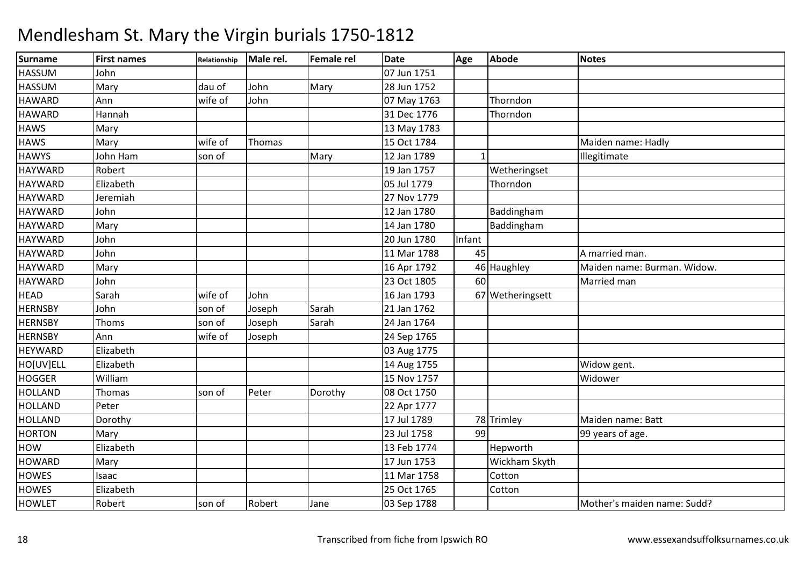| <b>Surname</b> | <b>First names</b> | Relationship | Male rel. | <b>Female rel</b> | <b>Date</b> | Age          | <b>Abode</b>     | <b>Notes</b>                |
|----------------|--------------------|--------------|-----------|-------------------|-------------|--------------|------------------|-----------------------------|
| <b>HASSUM</b>  | John               |              |           |                   | 07 Jun 1751 |              |                  |                             |
| <b>HASSUM</b>  | Mary               | dau of       | John      | Mary              | 28 Jun 1752 |              |                  |                             |
| <b>HAWARD</b>  | Ann                | wife of      | John      |                   | 07 May 1763 |              | Thorndon         |                             |
| <b>HAWARD</b>  | Hannah             |              |           |                   | 31 Dec 1776 |              | Thorndon         |                             |
| <b>HAWS</b>    | Mary               |              |           |                   | 13 May 1783 |              |                  |                             |
| <b>HAWS</b>    | Mary               | wife of      | Thomas    |                   | 15 Oct 1784 |              |                  | Maiden name: Hadly          |
| <b>HAWYS</b>   | John Ham           | son of       |           | Mary              | 12 Jan 1789 | $\mathbf{1}$ |                  | Illegitimate                |
| <b>HAYWARD</b> | Robert             |              |           |                   | 19 Jan 1757 |              | Wetheringset     |                             |
| <b>HAYWARD</b> | Elizabeth          |              |           |                   | 05 Jul 1779 |              | Thorndon         |                             |
| <b>HAYWARD</b> | Jeremiah           |              |           |                   | 27 Nov 1779 |              |                  |                             |
| <b>HAYWARD</b> | John               |              |           |                   | 12 Jan 1780 |              | Baddingham       |                             |
| <b>HAYWARD</b> | Mary               |              |           |                   | 14 Jan 1780 |              | Baddingham       |                             |
| <b>HAYWARD</b> | John               |              |           |                   | 20 Jun 1780 | Infant       |                  |                             |
| <b>HAYWARD</b> | John               |              |           |                   | 11 Mar 1788 | 45           |                  | A married man.              |
| <b>HAYWARD</b> | Mary               |              |           |                   | 16 Apr 1792 |              | 46 Haughley      | Maiden name: Burman. Widow. |
| <b>HAYWARD</b> | John               |              |           |                   | 23 Oct 1805 | 60           |                  | Married man                 |
| <b>HEAD</b>    | Sarah              | wife of      | John      |                   | 16 Jan 1793 |              | 67 Wetheringsett |                             |
| <b>HERNSBY</b> | John               | son of       | Joseph    | Sarah             | 21 Jan 1762 |              |                  |                             |
| <b>HERNSBY</b> | Thoms              | son of       | Joseph    | Sarah             | 24 Jan 1764 |              |                  |                             |
| <b>HERNSBY</b> | Ann                | wife of      | Joseph    |                   | 24 Sep 1765 |              |                  |                             |
| <b>HEYWARD</b> | Elizabeth          |              |           |                   | 03 Aug 1775 |              |                  |                             |
| HO[UV]ELL      | Elizabeth          |              |           |                   | 14 Aug 1755 |              |                  | Widow gent.                 |
| <b>HOGGER</b>  | William            |              |           |                   | 15 Nov 1757 |              |                  | Widower                     |
| <b>HOLLAND</b> | Thomas             | son of       | Peter     | Dorothy           | 08 Oct 1750 |              |                  |                             |
| <b>HOLLAND</b> | Peter              |              |           |                   | 22 Apr 1777 |              |                  |                             |
| <b>HOLLAND</b> | Dorothy            |              |           |                   | 17 Jul 1789 |              | 78 Trimley       | Maiden name: Batt           |
| <b>HORTON</b>  | Mary               |              |           |                   | 23 Jul 1758 | 99           |                  | 99 years of age.            |
| <b>HOW</b>     | Elizabeth          |              |           |                   | 13 Feb 1774 |              | Hepworth         |                             |
| <b>HOWARD</b>  | Mary               |              |           |                   | 17 Jun 1753 |              | Wickham Skyth    |                             |
| <b>HOWES</b>   | Isaac              |              |           |                   | 11 Mar 1758 |              | Cotton           |                             |
| <b>HOWES</b>   | Elizabeth          |              |           |                   | 25 Oct 1765 |              | Cotton           |                             |
| <b>HOWLET</b>  | Robert             | son of       | Robert    | Jane              | 03 Sep 1788 |              |                  | Mother's maiden name: Sudd? |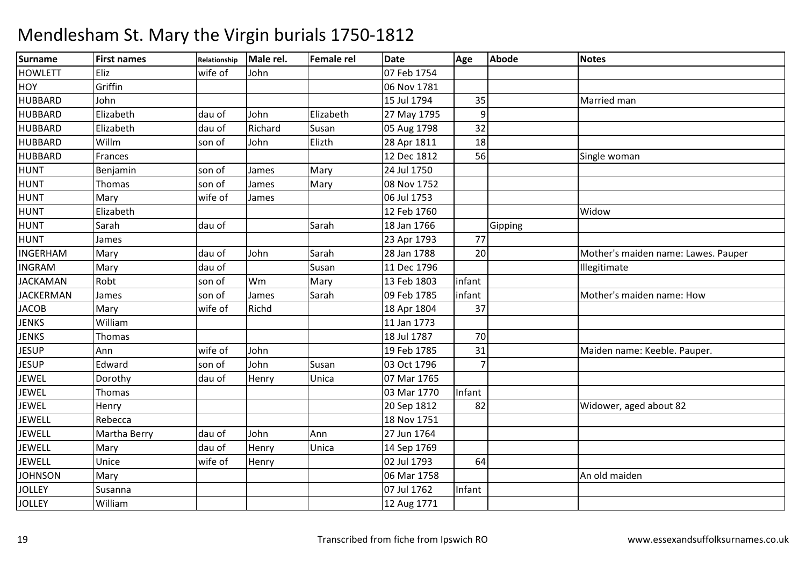| Surname          | <b>First names</b> | Relationship | Male rel. | <b>Female rel</b> | <b>Date</b> | Age            | <b>Abode</b> | <b>Notes</b>                        |
|------------------|--------------------|--------------|-----------|-------------------|-------------|----------------|--------------|-------------------------------------|
| <b>HOWLETT</b>   | Eliz               | wife of      | John      |                   | 07 Feb 1754 |                |              |                                     |
| <b>HOY</b>       | Griffin            |              |           |                   | 06 Nov 1781 |                |              |                                     |
| <b>HUBBARD</b>   | John               |              |           |                   | 15 Jul 1794 | 35             |              | Married man                         |
| <b>HUBBARD</b>   | Elizabeth          | dau of       | John      | Elizabeth         | 27 May 1795 | 9              |              |                                     |
| <b>HUBBARD</b>   | Elizabeth          | dau of       | Richard   | Susan             | 05 Aug 1798 | 32             |              |                                     |
| <b>HUBBARD</b>   | Willm              | son of       | John      | Elizth            | 28 Apr 1811 | 18             |              |                                     |
| <b>HUBBARD</b>   | Frances            |              |           |                   | 12 Dec 1812 | 56             |              | Single woman                        |
| <b>HUNT</b>      | Benjamin           | son of       | James     | Mary              | 24 Jul 1750 |                |              |                                     |
| <b>HUNT</b>      | Thomas             | son of       | James     | Mary              | 08 Nov 1752 |                |              |                                     |
| <b>HUNT</b>      | Mary               | wife of      | James     |                   | 06 Jul 1753 |                |              |                                     |
| HUNT             | Elizabeth          |              |           |                   | 12 Feb 1760 |                |              | Widow                               |
| <b>HUNT</b>      | Sarah              | dau of       |           | Sarah             | 18 Jan 1766 |                | Gipping      |                                     |
| <b>HUNT</b>      | James              |              |           |                   | 23 Apr 1793 | 77             |              |                                     |
| <b>INGERHAM</b>  | Mary               | dau of       | John      | Sarah             | 28 Jan 1788 | 20             |              | Mother's maiden name: Lawes. Pauper |
| <b>INGRAM</b>    | Mary               | dau of       |           | Susan             | 11 Dec 1796 |                |              | Illegitimate                        |
| <b>JACKAMAN</b>  | Robt               | son of       | Wm        | Mary              | 13 Feb 1803 | infant         |              |                                     |
| <b>JACKERMAN</b> | James              | son of       | James     | Sarah             | 09 Feb 1785 | infant         |              | Mother's maiden name: How           |
| <b>JACOB</b>     | Mary               | wife of      | Richd     |                   | 18 Apr 1804 | 37             |              |                                     |
| <b>JENKS</b>     | William            |              |           |                   | 11 Jan 1773 |                |              |                                     |
| <b>JENKS</b>     | Thomas             |              |           |                   | 18 Jul 1787 | 70             |              |                                     |
| <b>JESUP</b>     | Ann                | wife of      | John      |                   | 19 Feb 1785 | 31             |              | Maiden name: Keeble. Pauper.        |
| <b>JESUP</b>     | Edward             | son of       | John      | Susan             | 03 Oct 1796 | $\overline{7}$ |              |                                     |
| <b>JEWEL</b>     | Dorothy            | dau of       | Henry     | Unica             | 07 Mar 1765 |                |              |                                     |
| <b>JEWEL</b>     | Thomas             |              |           |                   | 03 Mar 1770 | Infant         |              |                                     |
| <b>JEWEL</b>     | Henry              |              |           |                   | 20 Sep 1812 | 82             |              | Widower, aged about 82              |
| <b>JEWELL</b>    | Rebecca            |              |           |                   | 18 Nov 1751 |                |              |                                     |
| <b>JEWELL</b>    | Martha Berry       | dau of       | John      | Ann               | 27 Jun 1764 |                |              |                                     |
| <b>JEWELL</b>    | Mary               | dau of       | Henry     | Unica             | 14 Sep 1769 |                |              |                                     |
| <b>JEWELL</b>    | Unice              | wife of      | Henry     |                   | 02 Jul 1793 | 64             |              |                                     |
| <b>JOHNSON</b>   | Mary               |              |           |                   | 06 Mar 1758 |                |              | An old maiden                       |
| <b>JOLLEY</b>    | Susanna            |              |           |                   | 07 Jul 1762 | Infant         |              |                                     |
| <b>JOLLEY</b>    | William            |              |           |                   | 12 Aug 1771 |                |              |                                     |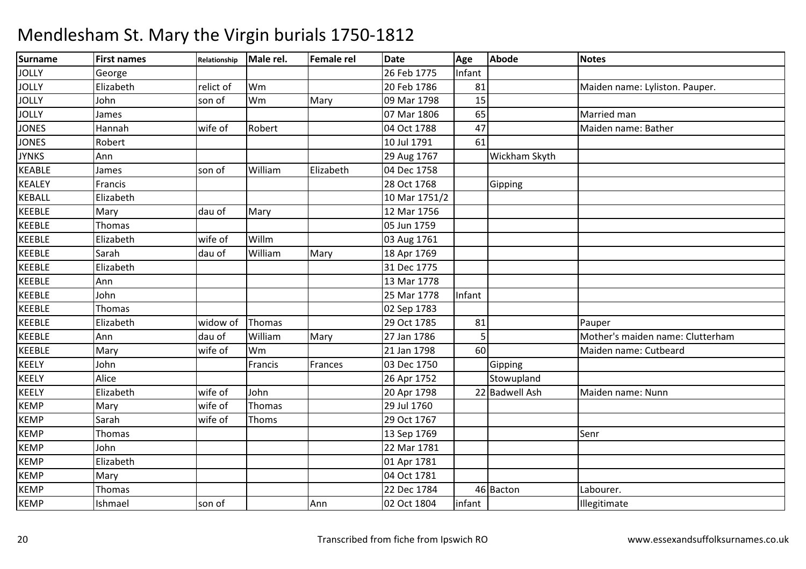| Surname       | <b>First names</b> | Relationship | Male rel. | <b>Female rel</b> | <b>Date</b>   | Age             | <b>Abode</b>   | Notes                            |
|---------------|--------------------|--------------|-----------|-------------------|---------------|-----------------|----------------|----------------------------------|
| <b>JOLLY</b>  | George             |              |           |                   | 26 Feb 1775   | Infant          |                |                                  |
| <b>JOLLY</b>  | Elizabeth          | relict of    | Wm        |                   | 20 Feb 1786   | 81              |                | Maiden name: Lyliston. Pauper.   |
| <b>JOLLY</b>  | John               | son of       | Wm        | Mary              | 09 Mar 1798   | 15              |                |                                  |
| <b>JOLLY</b>  | James              |              |           |                   | 07 Mar 1806   | 65              |                | Married man                      |
| <b>JONES</b>  | Hannah             | wife of      | Robert    |                   | 04 Oct 1788   | 47              |                | Maiden name: Bather              |
| <b>JONES</b>  | Robert             |              |           |                   | 10 Jul 1791   | $\overline{61}$ |                |                                  |
| <b>JYNKS</b>  | Ann                |              |           |                   | 29 Aug 1767   |                 | Wickham Skyth  |                                  |
| <b>KEABLE</b> | James              | son of       | William   | Elizabeth         | 04 Dec 1758   |                 |                |                                  |
| <b>KEALEY</b> | Francis            |              |           |                   | 28 Oct 1768   |                 | Gipping        |                                  |
| <b>KEBALL</b> | Elizabeth          |              |           |                   | 10 Mar 1751/2 |                 |                |                                  |
| <b>KEEBLE</b> | Mary               | dau of       | Mary      |                   | 12 Mar 1756   |                 |                |                                  |
| KEEBLE        | Thomas             |              |           |                   | 05 Jun 1759   |                 |                |                                  |
| KEEBLE        | Elizabeth          | wife of      | Willm     |                   | 03 Aug 1761   |                 |                |                                  |
| <b>KEEBLE</b> | Sarah              | dau of       | William   | Mary              | 18 Apr 1769   |                 |                |                                  |
| <b>KEEBLE</b> | Elizabeth          |              |           |                   | 31 Dec 1775   |                 |                |                                  |
| <b>KEEBLE</b> | Ann                |              |           |                   | 13 Mar 1778   |                 |                |                                  |
| <b>KEEBLE</b> | John               |              |           |                   | 25 Mar 1778   | Infant          |                |                                  |
| KEEBLE        | Thomas             |              |           |                   | 02 Sep 1783   |                 |                |                                  |
| KEEBLE        | Elizabeth          | widow of     | Thomas    |                   | 29 Oct 1785   | 81              |                | Pauper                           |
| <b>KEEBLE</b> | Ann                | dau of       | William   | Mary              | 27 Jan 1786   | 5               |                | Mother's maiden name: Clutterham |
| <b>KEEBLE</b> | Mary               | wife of      | Wm        |                   | 21 Jan 1798   | 60              |                | Maiden name: Cutbeard            |
| KEELY         | John               |              | Francis   | Frances           | 03 Dec 1750   |                 | Gipping        |                                  |
| KEELY         | Alice              |              |           |                   | 26 Apr 1752   |                 | Stowupland     |                                  |
| KEELY         | Elizabeth          | wife of      | John      |                   | 20 Apr 1798   |                 | 22 Badwell Ash | Maiden name: Nunn                |
| <b>KEMP</b>   | Mary               | wife of      | Thomas    |                   | 29 Jul 1760   |                 |                |                                  |
| <b>KEMP</b>   | Sarah              | wife of      | Thoms     |                   | 29 Oct 1767   |                 |                |                                  |
| <b>KEMP</b>   | Thomas             |              |           |                   | 13 Sep 1769   |                 |                | Senr                             |
| <b>KEMP</b>   | John               |              |           |                   | 22 Mar 1781   |                 |                |                                  |
| <b>KEMP</b>   | Elizabeth          |              |           |                   | 01 Apr 1781   |                 |                |                                  |
| <b>KEMP</b>   | Mary               |              |           |                   | 04 Oct 1781   |                 |                |                                  |
| <b>KEMP</b>   | Thomas             |              |           |                   | 22 Dec 1784   |                 | 46 Bacton      | Labourer.                        |
| <b>KEMP</b>   | Ishmael            | son of       |           | Ann               | 02 Oct 1804   | infant          |                | Illegitimate                     |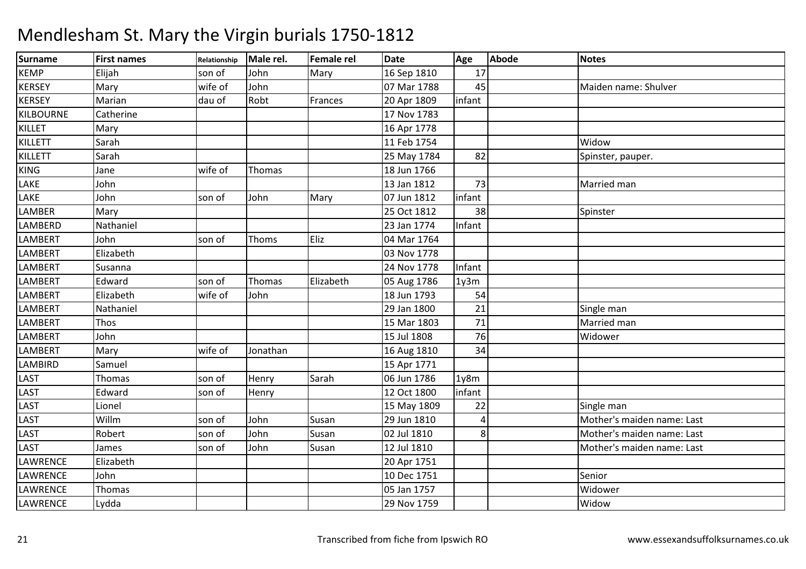#### Surnamee First names Relationship Male rel. Female rel Date Age Abode Notes KEMP Elijah son of John Mary 16 Sep 1810 <sup>17</sup> **KERSEY** Y Mary Wife of John 07 Mar 1788 <sup>45</sup> Maiden name: Shulver **KERSEY**  Mariann 1809 dau of Robt Frances 20 Apr 1809 linfant KILBOURNE**Catherine**  17 Nov 178316 Apr 1778 **KILLET** T Mary 16 Apr 1778 11 Feb 1754 KILLETT Sarah 11 Feb 1754 WidowSpinster, pauper. KILLETT Sarah 25 May 1784 <sup>82</sup> Spinster, pauper. KINGG Jane Wife of Thomas 18 Jun 1766 LAKE Johnn 13 Jan 1812 | 73 Married man | 13 Jan 1812 | 73 Married man | Married man | Married man | Married man | Married man |  $\sim$  1910 | Married man | Married man |  $\sim$  1910 | Married man |  $\sim$  1910 |  $\sim$  1910 |  $\sim$  1910 | LAKE John son of John Mary 07 Jun 1812 infant LAMBERR Mary 25 Oct 1812 38 Spinster LAMBERDD Nathaniel 23 Jan 1774 Infant LAMBERT Johnson of IThoms Eliz 104 Mar 1764 **LAMBERT**  Elizabethh 03 Nov 1778 LAMBERT Susanna 24 Nov 177824 Nov 1778 | Infant LAMBERT**Edward**  son of Thomas Elizabeth 05 Aug 1786 1y3mLAMBERT Elizabeth wife of John 18 Jun 1793 <sup>54</sup> LAMBERTT Nathaniel 29 Jan 1800 29 Jan 1800 21 Single man<br>15 Mar 1803 71 Married man 3 71 Married man LAMBERTT Thos 1803 LAMBERT John 15 Jul 1808 <sup>76</sup> Widower LAMBERTT Mary Wife of Jonathan **16 Aug 1810** 34<br>15 Apr 1771 LAMBIRDD Samuel 15 Apr 1771 LASTT Thomas Son of Henry Sarah Sarah 06 Jun 1786 1y8m<br>12 Oct 1800 linfant linfant **LAST Edward** d 12 Oct 1800 infant LAST Lionel 15 May 180915 May 1809 <br>
29 Jun 1810 <br>
29 Jun 1810 <br>
29 Jun 1810 <br>
29 Jun 1810 <br>
29 Jun 1810 <br>
29 Jun 1810 <br>
29 Jun 1810 <br>
29 Jun 1810 <br>
29 Jun 1810 <br>
29 Jun 1810 <br>
29 Jun 1810 <br>
29 Jun 1810 <br>
29 Jun 1810 <br>
29 Jun 1810 <br>
29 Jun 1810 Mother's maiden name: Last LAST Willmm son of John Susan 29 Jun 1810<br>And Susan 20 Jun 1810 4LAST Robert son of JohnJohn Susan 102 Jul 1810 8 Mother's maiden name: Last LASTT James son of John Susan 12 Jul 1810 Mother's maiden name: Last LAWRENCE Elizabeth 20 Apr 1751 LAWRENCE Johnn 10 Dec 1751 Senior Senior (10 Dec 1751 Senior Senior Senior Senior Senior Senior Senior Senior Senior Senior LAWRENCEE Thomas 1757 Widower LAWRENCE Lydda 29 Nov 17599 | Widow | Widow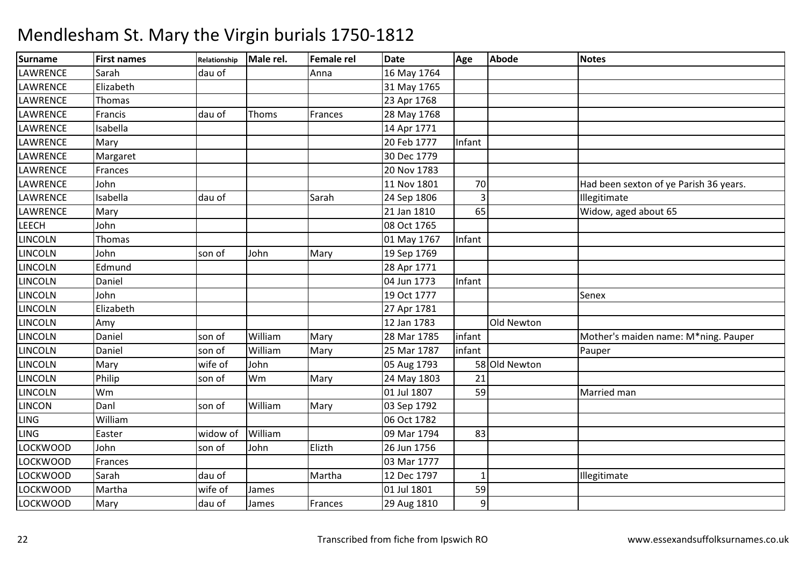| <b>Surname</b>  | <b>First names</b> | Relationship | Male rel. | <b>Female rel</b> | <b>Date</b> | Age            | Abode         | <b>Notes</b>                           |
|-----------------|--------------------|--------------|-----------|-------------------|-------------|----------------|---------------|----------------------------------------|
| <b>LAWRENCE</b> | Sarah              | dau of       |           | Anna              | 16 May 1764 |                |               |                                        |
| LAWRENCE        | Elizabeth          |              |           |                   | 31 May 1765 |                |               |                                        |
| LAWRENCE        | Thomas             |              |           |                   | 23 Apr 1768 |                |               |                                        |
| LAWRENCE        | Francis            | dau of       | Thoms     | Frances           | 28 May 1768 |                |               |                                        |
| LAWRENCE        | Isabella           |              |           |                   | 14 Apr 1771 |                |               |                                        |
| LAWRENCE        | Mary               |              |           |                   | 20 Feb 1777 | Infant         |               |                                        |
| <b>LAWRENCE</b> | Margaret           |              |           |                   | 30 Dec 1779 |                |               |                                        |
| LAWRENCE        | Frances            |              |           |                   | 20 Nov 1783 |                |               |                                        |
| LAWRENCE        | John               |              |           |                   | 11 Nov 1801 | 70             |               | Had been sexton of ye Parish 36 years. |
| LAWRENCE        | Isabella           | dau of       |           | Sarah             | 24 Sep 1806 | 3              |               | Illegitimate                           |
| LAWRENCE        | Mary               |              |           |                   | 21 Jan 1810 | 65             |               | Widow, aged about 65                   |
| LEECH           | John               |              |           |                   | 08 Oct 1765 |                |               |                                        |
| <b>LINCOLN</b>  | Thomas             |              |           |                   | 01 May 1767 | Infant         |               |                                        |
| <b>LINCOLN</b>  | John               | son of       | John      | Mary              | 19 Sep 1769 |                |               |                                        |
| LINCOLN         | Edmund             |              |           |                   | 28 Apr 1771 |                |               |                                        |
| LINCOLN         | Daniel             |              |           |                   | 04 Jun 1773 | Infant         |               |                                        |
| LINCOLN         | John               |              |           |                   | 19 Oct 1777 |                |               | Senex                                  |
| <b>LINCOLN</b>  | Elizabeth          |              |           |                   | 27 Apr 1781 |                |               |                                        |
| LINCOLN         | Amy                |              |           |                   | 12 Jan 1783 |                | Old Newton    |                                        |
| <b>LINCOLN</b>  | Daniel             | son of       | William   | Mary              | 28 Mar 1785 | infant         |               | Mother's maiden name: M*ning. Pauper   |
| LINCOLN         | Daniel             | son of       | William   | Mary              | 25 Mar 1787 | infant         |               | Pauper                                 |
| <b>LINCOLN</b>  | Mary               | wife of      | John      |                   | 05 Aug 1793 |                | 58 Old Newton |                                        |
| <b>LINCOLN</b>  | Philip             | son of       | Wm        | Mary              | 24 May 1803 | 21             |               |                                        |
| <b>LINCOLN</b>  | Wm                 |              |           |                   | 01 Jul 1807 | 59             |               | Married man                            |
| <b>LINCON</b>   | Danl               | son of       | William   | Mary              | 03 Sep 1792 |                |               |                                        |
| <b>LING</b>     | William            |              |           |                   | 06 Oct 1782 |                |               |                                        |
| <b>LING</b>     | Easter             | widow of     | William   |                   | 09 Mar 1794 | 83             |               |                                        |
| LOCKWOOD        | John               | son of       | John      | Elizth            | 26 Jun 1756 |                |               |                                        |
| <b>LOCKWOOD</b> | Frances            |              |           |                   | 03 Mar 1777 |                |               |                                        |
| <b>LOCKWOOD</b> | Sarah              | dau of       |           | Martha            | 12 Dec 1797 | $\mathbf{1}$   |               | Illegitimate                           |
| <b>LOCKWOOD</b> | Martha             | wife of      | James     |                   | 01 Jul 1801 | 59             |               |                                        |
| <b>LOCKWOOD</b> | Mary               | dau of       | James     | Frances           | 29 Aug 1810 | $\overline{9}$ |               |                                        |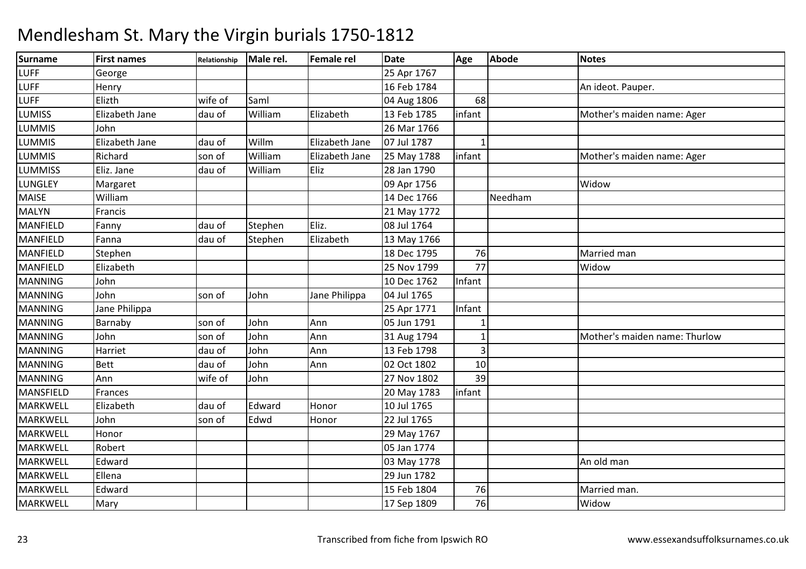| Surname          | <b>First names</b> | Relationship | Male rel. | Female rel     | <b>Date</b> | Age             | <b>Abode</b> | <b>Notes</b>                  |
|------------------|--------------------|--------------|-----------|----------------|-------------|-----------------|--------------|-------------------------------|
| <b>LUFF</b>      | George             |              |           |                | 25 Apr 1767 |                 |              |                               |
| <b>LUFF</b>      | Henry              |              |           |                | 16 Feb 1784 |                 |              | An ideot. Pauper.             |
| <b>LUFF</b>      | Elizth             | wife of      | Saml      |                | 04 Aug 1806 | 68              |              |                               |
| <b>LUMISS</b>    | Elizabeth Jane     | dau of       | William   | Elizabeth      | 13 Feb 1785 | infant          |              | Mother's maiden name: Ager    |
| <b>LUMMIS</b>    | John               |              |           |                | 26 Mar 1766 |                 |              |                               |
| <b>LUMMIS</b>    | Elizabeth Jane     | dau of       | Willm     | Elizabeth Jane | 07 Jul 1787 | 1               |              |                               |
| <b>LUMMIS</b>    | Richard            | son of       | William   | Elizabeth Jane | 25 May 1788 | infant          |              | Mother's maiden name: Ager    |
| <b>LUMMISS</b>   | Eliz. Jane         | dau of       | William   | Eliz           | 28 Jan 1790 |                 |              |                               |
| LUNGLEY          | Margaret           |              |           |                | 09 Apr 1756 |                 |              | Widow                         |
| <b>MAISE</b>     | William            |              |           |                | 14 Dec 1766 |                 | Needham      |                               |
| <b>MALYN</b>     | Francis            |              |           |                | 21 May 1772 |                 |              |                               |
| <b>MANFIELD</b>  | Fanny              | dau of       | Stephen   | Eliz.          | 08 Jul 1764 |                 |              |                               |
| MANFIELD         | Fanna              | dau of       | Stephen   | Elizabeth      | 13 May 1766 |                 |              |                               |
| MANFIELD         | Stephen            |              |           |                | 18 Dec 1795 | 76              |              | Married man                   |
| <b>MANFIELD</b>  | Elizabeth          |              |           |                | 25 Nov 1799 | $\overline{77}$ |              | Widow                         |
| <b>MANNING</b>   | John               |              |           |                | 10 Dec 1762 | Infant          |              |                               |
| <b>MANNING</b>   | John               | son of       | John      | Jane Philippa  | 04 Jul 1765 |                 |              |                               |
| <b>MANNING</b>   | Jane Philippa      |              |           |                | 25 Apr 1771 | Infant          |              |                               |
| <b>MANNING</b>   | Barnaby            | son of       | John      | Ann            | 05 Jun 1791 |                 |              |                               |
| <b>MANNING</b>   | John               | son of       | John      | Ann            | 31 Aug 1794 |                 |              | Mother's maiden name: Thurlow |
| <b>MANNING</b>   | Harriet            | dau of       | John      | Ann            | 13 Feb 1798 | 3               |              |                               |
| <b>MANNING</b>   | <b>Bett</b>        | dau of       | John      | Ann            | 02 Oct 1802 | 10 <sup>1</sup> |              |                               |
| <b>MANNING</b>   | Ann                | wife of      | John      |                | 27 Nov 1802 | 39              |              |                               |
| <b>MANSFIELD</b> | Frances            |              |           |                | 20 May 1783 | infant          |              |                               |
| <b>MARKWELL</b>  | Elizabeth          | dau of       | Edward    | Honor          | 10 Jul 1765 |                 |              |                               |
| <b>MARKWELL</b>  | John               | son of       | Edwd      | Honor          | 22 Jul 1765 |                 |              |                               |
| <b>MARKWELL</b>  | Honor              |              |           |                | 29 May 1767 |                 |              |                               |
| <b>MARKWELL</b>  | Robert             |              |           |                | 05 Jan 1774 |                 |              |                               |
| <b>MARKWELL</b>  | Edward             |              |           |                | 03 May 1778 |                 |              | An old man                    |
| <b>MARKWELL</b>  | Ellena             |              |           |                | 29 Jun 1782 |                 |              |                               |
| <b>MARKWELL</b>  | Edward             |              |           |                | 15 Feb 1804 | 76              |              | Married man.                  |
| MARKWELL         | Mary               |              |           |                | 17 Sep 1809 | 76              |              | Widow                         |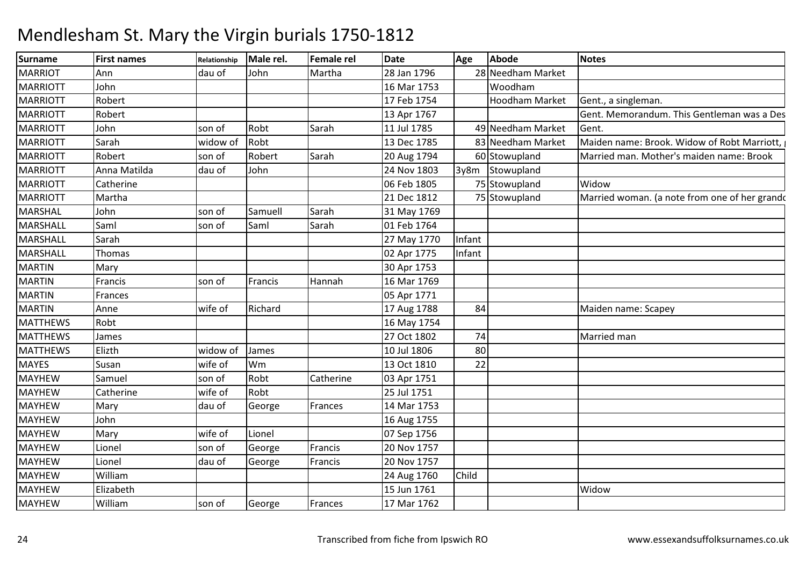### Surnamee First names Relationship Male rel. Female rel Date Age Abode Notes **MARRIOT**  Ann dau of John Martha 28 Jan 1796 <sup>28</sup> Needham Market MARRIOTT John 16 Mar 1753 Woodham**Hoodham Market** MARRIOTTT Robert 17 Feb 1754 17 Feb 1754 | Hoodham Market Gent., a singleman. MARRIOTTT Robert 13 Apr 1767 Gent. Memorandum. This Gentleman was a Descendent of a Family of long standing in this Parish who were all very worthy People - He acquired a very pretty Fortune by his own Industrious Care & Bequeated at his Decease Fifty Pounds to ye Poor of Mendlesham & also Fifty Pounds to ye poor of Stowupland where he had purchased an estate known by ye name of Thorny Hall & where he lived some Time before his Decease. He was buried in a Vault opened for him on ye South Side of ye Chancel where a fair Monument is erected over him & enclosed with a handsome Iron Pallisade. MARRIOTT Johnn 11 Son of Robt Sarah 11 Jul 1785 49 Needham Market Gent. MARRIOTT Sarahwidow of Robt 13 Dec 1785 83 Needham Market Maiden name: Brook. Widow of Robt Marriott, widow of Robt Marriott,<br>son of Robert Sarah 20 Aug 1794 60 Stowupland Married man. Mother's maiden name: Brook MARRIOTTT Robert son of Robert Sarah Sarah 20 Aug 1794 60 Stowupland Married man. Mother's maiden name: Brook<br>24 Nov 1803 3y8m Stowupland MARRIOTTAnna Matilda **dau of** John 24 Nov 1803 **Stowupland** MARRIOTT**Catherine**  06 Feb 180506 Feb 1805 175 Stowupland<br>21 Dec 1812 175 Stowupland Widowd **Married woman.** (a note from one of her grandchildren inally enter name was originally entered wrong MARRIOTT Martha 21 Dec 1812 <sup>75</sup> StowuplandMARSHAL Johnson of Samuell Sarah 31 May 1769 MARSHALLL Saml son of Saml Sarah **Sarah 01 Feb 1764** MARSHALL Sarah 27 May 1770 Infant **MARSHALL** L Thomas 1775 02 Apr 1775 | Infant MARTINN Mary 30 Apr 1753 MARTINN Francis Son of Francis Hannah 16 Mar 1769 MARTINN Frances 1995 Apr 1771 MARTINN Anne wife of Richard 17 Aug 1788 84 Maiden name: Scapey MATTHEWS Robt 16 May 175427 Oct 1802 MATTHEWSS James 27 Oct 1802 <sup>74</sup> Married manMATTHEWS Elizth widow of James 10 Jul 1806 <sup>80</sup> MAYES SusanSusan Wife of Wm<br>
Samuel Son of Robt 13 Oct 1810 22<br>Catherine 03 Apr 1751 MAYHEWW Samuel son of Robt Catherine 03 Apr 1751 **MAYHFW** W Catherine wife of Robt 25 Jul 1751 MAYHEWW Mary dau of George Frances 14 Mar 1753<br>W Liste to the Care of Ceorge Trances 14 Mar 1755 MAYHEWW John 16 Aug 1755<br>W John 16 Aug 1755 MAYHEWW Mary wife of Lionel 1756<br>With the same country of the Country of The 20 November 2001 MAYHEW Lionel son of George Francis 20 Nov 1757 MAYHEWW Lionel dau of George Francis 20 Nov 1757<br>W Lionel Million MAYHEWW William 24 Aug 1760 Child<br>William 24 Aug 1760 Child MAYHEW Elizabeth 15 Jun 1761 Widow MAYHEWW | William | Ison of | George | Frances | 17 Mar 1762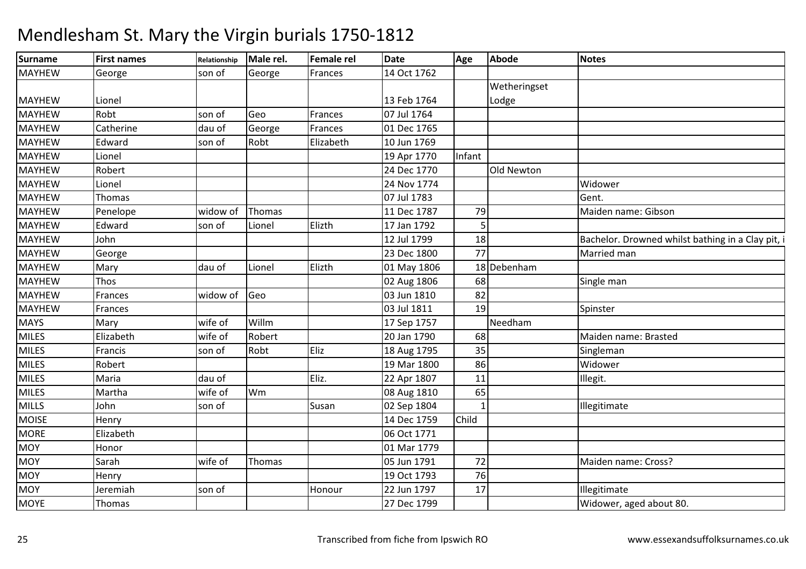| 14 Oct 1762<br><b>MAYHEW</b><br>George<br>George<br>son of<br>Frances<br>Wetheringset<br>13 Feb 1764<br><b>MAYHEW</b><br>Lionel<br>Lodge<br><b>MAYHEW</b><br>Robt<br>Geo<br>07 Jul 1764<br>son of<br>Frances<br><b>MAYHEW</b><br>Catherine<br>George<br>01 Dec 1765<br>dau of<br>Frances<br><b>MAYHEW</b><br>Edward<br>Robt<br>Elizabeth<br>10 Jun 1769<br>son of<br><b>MAYHEW</b><br>19 Apr 1770<br>Infant<br>Lionel<br><b>Old Newton</b><br><b>MAYHEW</b><br>Robert<br>24 Dec 1770<br>24 Nov 1774<br>Widower<br><b>MAYHEW</b><br>Lionel<br><b>MAYHEW</b><br>07 Jul 1783<br>Gent.<br>Thomas<br>79<br>Maiden name: Gibson<br><b>MAYHEW</b><br>Thomas<br>11 Dec 1787<br>Penelope<br>widow of<br>Elizth<br><b>MAYHEW</b><br>5<br>Edward<br>17 Jan 1792<br>son of<br>Lionel<br>18<br><b>MAYHEW</b><br>John<br>12 Jul 1799<br>Bachelor. Drowned whilst bathing in a Clay pit, i<br>77<br><b>MAYHEW</b><br>23 Dec 1800<br>Married man<br>George<br>Elizth<br>18 Debenham<br>01 May 1806<br><b>MAYHEW</b><br>Lionel<br>Mary<br>dau of<br><b>MAYHEW</b><br>68<br>Thos<br>02 Aug 1806<br>Single man<br>widow of Geo<br>82<br><b>MAYHEW</b><br>03 Jun 1810<br>Frances<br><b>MAYHEW</b><br>03 Jul 1811<br>19<br>Spinster<br>Frances<br><b>MAYS</b><br>Willm<br>wife of<br>Needham<br>17 Sep 1757<br>Mary<br><b>MILES</b><br>Elizabeth<br>wife of<br>Robert<br>20 Jan 1790<br>68<br>Maiden name: Brasted<br><b>MILES</b><br>Eliz<br>35<br>Robt<br>Francis<br>18 Aug 1795<br>Singleman<br>son of<br><b>MILES</b><br>19 Mar 1800<br>86<br>Widower<br>Robert<br><b>MILES</b><br>Eliz.<br>11<br>22 Apr 1807<br>Maria<br>dau of<br>Illegit.<br>65<br><b>MILES</b><br>Martha<br>wife of<br>Wm<br>08 Aug 1810<br><b>MILLS</b><br>02 Sep 1804<br>John<br>son of<br>Illegitimate<br>Susan<br><b>MOISE</b><br>14 Dec 1759<br>Child<br>Henry<br><b>MORE</b><br>Elizabeth<br>06 Oct 1771<br><b>MOY</b><br>01 Mar 1779<br>Honor<br>72<br><b>MOY</b><br>Thomas<br>Sarah<br>05 Jun 1791<br>wife of<br>Maiden name: Cross?<br>76<br><b>MOY</b><br>19 Oct 1793<br>Henry<br><b>MOY</b><br>17<br>22 Jun 1797<br>Jeremiah<br><b>Illegitimate</b><br>son of<br>Honour | <b>Surname</b> | <b>First names</b> | Relationship | Male rel. | <b>Female rel</b> | <b>Date</b> | Age | <b>Abode</b> | <b>Notes</b>            |
|---------------------------------------------------------------------------------------------------------------------------------------------------------------------------------------------------------------------------------------------------------------------------------------------------------------------------------------------------------------------------------------------------------------------------------------------------------------------------------------------------------------------------------------------------------------------------------------------------------------------------------------------------------------------------------------------------------------------------------------------------------------------------------------------------------------------------------------------------------------------------------------------------------------------------------------------------------------------------------------------------------------------------------------------------------------------------------------------------------------------------------------------------------------------------------------------------------------------------------------------------------------------------------------------------------------------------------------------------------------------------------------------------------------------------------------------------------------------------------------------------------------------------------------------------------------------------------------------------------------------------------------------------------------------------------------------------------------------------------------------------------------------------------------------------------------------------------------------------------------------------------------------------------------------------------------------------------------------------------------------------------------------------------------------------------------------------------------------------------------------------------------|----------------|--------------------|--------------|-----------|-------------------|-------------|-----|--------------|-------------------------|
|                                                                                                                                                                                                                                                                                                                                                                                                                                                                                                                                                                                                                                                                                                                                                                                                                                                                                                                                                                                                                                                                                                                                                                                                                                                                                                                                                                                                                                                                                                                                                                                                                                                                                                                                                                                                                                                                                                                                                                                                                                                                                                                                       |                |                    |              |           |                   |             |     |              |                         |
|                                                                                                                                                                                                                                                                                                                                                                                                                                                                                                                                                                                                                                                                                                                                                                                                                                                                                                                                                                                                                                                                                                                                                                                                                                                                                                                                                                                                                                                                                                                                                                                                                                                                                                                                                                                                                                                                                                                                                                                                                                                                                                                                       |                |                    |              |           |                   |             |     |              |                         |
|                                                                                                                                                                                                                                                                                                                                                                                                                                                                                                                                                                                                                                                                                                                                                                                                                                                                                                                                                                                                                                                                                                                                                                                                                                                                                                                                                                                                                                                                                                                                                                                                                                                                                                                                                                                                                                                                                                                                                                                                                                                                                                                                       |                |                    |              |           |                   |             |     |              |                         |
|                                                                                                                                                                                                                                                                                                                                                                                                                                                                                                                                                                                                                                                                                                                                                                                                                                                                                                                                                                                                                                                                                                                                                                                                                                                                                                                                                                                                                                                                                                                                                                                                                                                                                                                                                                                                                                                                                                                                                                                                                                                                                                                                       |                |                    |              |           |                   |             |     |              |                         |
|                                                                                                                                                                                                                                                                                                                                                                                                                                                                                                                                                                                                                                                                                                                                                                                                                                                                                                                                                                                                                                                                                                                                                                                                                                                                                                                                                                                                                                                                                                                                                                                                                                                                                                                                                                                                                                                                                                                                                                                                                                                                                                                                       |                |                    |              |           |                   |             |     |              |                         |
|                                                                                                                                                                                                                                                                                                                                                                                                                                                                                                                                                                                                                                                                                                                                                                                                                                                                                                                                                                                                                                                                                                                                                                                                                                                                                                                                                                                                                                                                                                                                                                                                                                                                                                                                                                                                                                                                                                                                                                                                                                                                                                                                       |                |                    |              |           |                   |             |     |              |                         |
|                                                                                                                                                                                                                                                                                                                                                                                                                                                                                                                                                                                                                                                                                                                                                                                                                                                                                                                                                                                                                                                                                                                                                                                                                                                                                                                                                                                                                                                                                                                                                                                                                                                                                                                                                                                                                                                                                                                                                                                                                                                                                                                                       |                |                    |              |           |                   |             |     |              |                         |
|                                                                                                                                                                                                                                                                                                                                                                                                                                                                                                                                                                                                                                                                                                                                                                                                                                                                                                                                                                                                                                                                                                                                                                                                                                                                                                                                                                                                                                                                                                                                                                                                                                                                                                                                                                                                                                                                                                                                                                                                                                                                                                                                       |                |                    |              |           |                   |             |     |              |                         |
|                                                                                                                                                                                                                                                                                                                                                                                                                                                                                                                                                                                                                                                                                                                                                                                                                                                                                                                                                                                                                                                                                                                                                                                                                                                                                                                                                                                                                                                                                                                                                                                                                                                                                                                                                                                                                                                                                                                                                                                                                                                                                                                                       |                |                    |              |           |                   |             |     |              |                         |
|                                                                                                                                                                                                                                                                                                                                                                                                                                                                                                                                                                                                                                                                                                                                                                                                                                                                                                                                                                                                                                                                                                                                                                                                                                                                                                                                                                                                                                                                                                                                                                                                                                                                                                                                                                                                                                                                                                                                                                                                                                                                                                                                       |                |                    |              |           |                   |             |     |              |                         |
|                                                                                                                                                                                                                                                                                                                                                                                                                                                                                                                                                                                                                                                                                                                                                                                                                                                                                                                                                                                                                                                                                                                                                                                                                                                                                                                                                                                                                                                                                                                                                                                                                                                                                                                                                                                                                                                                                                                                                                                                                                                                                                                                       |                |                    |              |           |                   |             |     |              |                         |
|                                                                                                                                                                                                                                                                                                                                                                                                                                                                                                                                                                                                                                                                                                                                                                                                                                                                                                                                                                                                                                                                                                                                                                                                                                                                                                                                                                                                                                                                                                                                                                                                                                                                                                                                                                                                                                                                                                                                                                                                                                                                                                                                       |                |                    |              |           |                   |             |     |              |                         |
|                                                                                                                                                                                                                                                                                                                                                                                                                                                                                                                                                                                                                                                                                                                                                                                                                                                                                                                                                                                                                                                                                                                                                                                                                                                                                                                                                                                                                                                                                                                                                                                                                                                                                                                                                                                                                                                                                                                                                                                                                                                                                                                                       |                |                    |              |           |                   |             |     |              |                         |
|                                                                                                                                                                                                                                                                                                                                                                                                                                                                                                                                                                                                                                                                                                                                                                                                                                                                                                                                                                                                                                                                                                                                                                                                                                                                                                                                                                                                                                                                                                                                                                                                                                                                                                                                                                                                                                                                                                                                                                                                                                                                                                                                       |                |                    |              |           |                   |             |     |              |                         |
|                                                                                                                                                                                                                                                                                                                                                                                                                                                                                                                                                                                                                                                                                                                                                                                                                                                                                                                                                                                                                                                                                                                                                                                                                                                                                                                                                                                                                                                                                                                                                                                                                                                                                                                                                                                                                                                                                                                                                                                                                                                                                                                                       |                |                    |              |           |                   |             |     |              |                         |
|                                                                                                                                                                                                                                                                                                                                                                                                                                                                                                                                                                                                                                                                                                                                                                                                                                                                                                                                                                                                                                                                                                                                                                                                                                                                                                                                                                                                                                                                                                                                                                                                                                                                                                                                                                                                                                                                                                                                                                                                                                                                                                                                       |                |                    |              |           |                   |             |     |              |                         |
|                                                                                                                                                                                                                                                                                                                                                                                                                                                                                                                                                                                                                                                                                                                                                                                                                                                                                                                                                                                                                                                                                                                                                                                                                                                                                                                                                                                                                                                                                                                                                                                                                                                                                                                                                                                                                                                                                                                                                                                                                                                                                                                                       |                |                    |              |           |                   |             |     |              |                         |
|                                                                                                                                                                                                                                                                                                                                                                                                                                                                                                                                                                                                                                                                                                                                                                                                                                                                                                                                                                                                                                                                                                                                                                                                                                                                                                                                                                                                                                                                                                                                                                                                                                                                                                                                                                                                                                                                                                                                                                                                                                                                                                                                       |                |                    |              |           |                   |             |     |              |                         |
|                                                                                                                                                                                                                                                                                                                                                                                                                                                                                                                                                                                                                                                                                                                                                                                                                                                                                                                                                                                                                                                                                                                                                                                                                                                                                                                                                                                                                                                                                                                                                                                                                                                                                                                                                                                                                                                                                                                                                                                                                                                                                                                                       |                |                    |              |           |                   |             |     |              |                         |
|                                                                                                                                                                                                                                                                                                                                                                                                                                                                                                                                                                                                                                                                                                                                                                                                                                                                                                                                                                                                                                                                                                                                                                                                                                                                                                                                                                                                                                                                                                                                                                                                                                                                                                                                                                                                                                                                                                                                                                                                                                                                                                                                       |                |                    |              |           |                   |             |     |              |                         |
|                                                                                                                                                                                                                                                                                                                                                                                                                                                                                                                                                                                                                                                                                                                                                                                                                                                                                                                                                                                                                                                                                                                                                                                                                                                                                                                                                                                                                                                                                                                                                                                                                                                                                                                                                                                                                                                                                                                                                                                                                                                                                                                                       |                |                    |              |           |                   |             |     |              |                         |
|                                                                                                                                                                                                                                                                                                                                                                                                                                                                                                                                                                                                                                                                                                                                                                                                                                                                                                                                                                                                                                                                                                                                                                                                                                                                                                                                                                                                                                                                                                                                                                                                                                                                                                                                                                                                                                                                                                                                                                                                                                                                                                                                       |                |                    |              |           |                   |             |     |              |                         |
|                                                                                                                                                                                                                                                                                                                                                                                                                                                                                                                                                                                                                                                                                                                                                                                                                                                                                                                                                                                                                                                                                                                                                                                                                                                                                                                                                                                                                                                                                                                                                                                                                                                                                                                                                                                                                                                                                                                                                                                                                                                                                                                                       |                |                    |              |           |                   |             |     |              |                         |
|                                                                                                                                                                                                                                                                                                                                                                                                                                                                                                                                                                                                                                                                                                                                                                                                                                                                                                                                                                                                                                                                                                                                                                                                                                                                                                                                                                                                                                                                                                                                                                                                                                                                                                                                                                                                                                                                                                                                                                                                                                                                                                                                       |                |                    |              |           |                   |             |     |              |                         |
|                                                                                                                                                                                                                                                                                                                                                                                                                                                                                                                                                                                                                                                                                                                                                                                                                                                                                                                                                                                                                                                                                                                                                                                                                                                                                                                                                                                                                                                                                                                                                                                                                                                                                                                                                                                                                                                                                                                                                                                                                                                                                                                                       |                |                    |              |           |                   |             |     |              |                         |
|                                                                                                                                                                                                                                                                                                                                                                                                                                                                                                                                                                                                                                                                                                                                                                                                                                                                                                                                                                                                                                                                                                                                                                                                                                                                                                                                                                                                                                                                                                                                                                                                                                                                                                                                                                                                                                                                                                                                                                                                                                                                                                                                       |                |                    |              |           |                   |             |     |              |                         |
|                                                                                                                                                                                                                                                                                                                                                                                                                                                                                                                                                                                                                                                                                                                                                                                                                                                                                                                                                                                                                                                                                                                                                                                                                                                                                                                                                                                                                                                                                                                                                                                                                                                                                                                                                                                                                                                                                                                                                                                                                                                                                                                                       |                |                    |              |           |                   |             |     |              |                         |
|                                                                                                                                                                                                                                                                                                                                                                                                                                                                                                                                                                                                                                                                                                                                                                                                                                                                                                                                                                                                                                                                                                                                                                                                                                                                                                                                                                                                                                                                                                                                                                                                                                                                                                                                                                                                                                                                                                                                                                                                                                                                                                                                       |                |                    |              |           |                   |             |     |              |                         |
|                                                                                                                                                                                                                                                                                                                                                                                                                                                                                                                                                                                                                                                                                                                                                                                                                                                                                                                                                                                                                                                                                                                                                                                                                                                                                                                                                                                                                                                                                                                                                                                                                                                                                                                                                                                                                                                                                                                                                                                                                                                                                                                                       |                |                    |              |           |                   |             |     |              |                         |
|                                                                                                                                                                                                                                                                                                                                                                                                                                                                                                                                                                                                                                                                                                                                                                                                                                                                                                                                                                                                                                                                                                                                                                                                                                                                                                                                                                                                                                                                                                                                                                                                                                                                                                                                                                                                                                                                                                                                                                                                                                                                                                                                       |                |                    |              |           |                   |             |     |              |                         |
|                                                                                                                                                                                                                                                                                                                                                                                                                                                                                                                                                                                                                                                                                                                                                                                                                                                                                                                                                                                                                                                                                                                                                                                                                                                                                                                                                                                                                                                                                                                                                                                                                                                                                                                                                                                                                                                                                                                                                                                                                                                                                                                                       |                |                    |              |           |                   |             |     |              |                         |
|                                                                                                                                                                                                                                                                                                                                                                                                                                                                                                                                                                                                                                                                                                                                                                                                                                                                                                                                                                                                                                                                                                                                                                                                                                                                                                                                                                                                                                                                                                                                                                                                                                                                                                                                                                                                                                                                                                                                                                                                                                                                                                                                       | <b>MOYE</b>    | Thomas             |              |           |                   | 27 Dec 1799 |     |              | Widower, aged about 80. |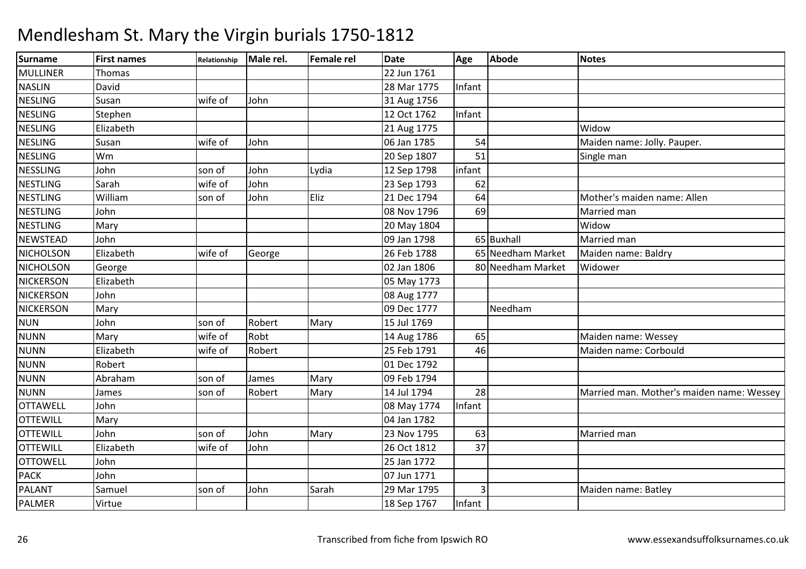| Surname          | <b>First names</b> | Relationship | Male rel. | Female rel | <b>Date</b> | Age            | Abode             | <b>Notes</b>                              |
|------------------|--------------------|--------------|-----------|------------|-------------|----------------|-------------------|-------------------------------------------|
| <b>MULLINER</b>  | Thomas             |              |           |            | 22 Jun 1761 |                |                   |                                           |
| <b>NASLIN</b>    | David              |              |           |            | 28 Mar 1775 | Infant         |                   |                                           |
| <b>NESLING</b>   | Susan              | wife of      | John      |            | 31 Aug 1756 |                |                   |                                           |
| <b>NESLING</b>   | Stephen            |              |           |            | 12 Oct 1762 | Infant         |                   |                                           |
| <b>NESLING</b>   | Elizabeth          |              |           |            | 21 Aug 1775 |                |                   | Widow                                     |
| <b>NESLING</b>   | Susan              | wife of      | John      |            | 06 Jan 1785 | 54             |                   | Maiden name: Jolly. Pauper.               |
| <b>NESLING</b>   | Wm                 |              |           |            | 20 Sep 1807 | 51             |                   | Single man                                |
| <b>NESSLING</b>  | John               | son of       | John      | Lydia      | 12 Sep 1798 | infant         |                   |                                           |
| NESTLING         | Sarah              | wife of      | John      |            | 23 Sep 1793 | 62             |                   |                                           |
| <b>NESTLING</b>  | William            | son of       | John      | Eliz       | 21 Dec 1794 | 64             |                   | Mother's maiden name: Allen               |
| <b>NESTLING</b>  | John               |              |           |            | 08 Nov 1796 | 69             |                   | Married man                               |
| <b>NESTLING</b>  | Mary               |              |           |            | 20 May 1804 |                |                   | Widow                                     |
| NEWSTEAD         | John               |              |           |            | 09 Jan 1798 |                | 65 Buxhall        | Married man                               |
| <b>NICHOLSON</b> | Elizabeth          | wife of      | George    |            | 26 Feb 1788 |                | 65 Needham Market | Maiden name: Baldry                       |
| <b>NICHOLSON</b> | George             |              |           |            | 02 Jan 1806 |                | 80 Needham Market | Widower                                   |
| <b>NICKERSON</b> | Elizabeth          |              |           |            | 05 May 1773 |                |                   |                                           |
| <b>NICKERSON</b> | John               |              |           |            | 08 Aug 1777 |                |                   |                                           |
| NICKERSON        | Mary               |              |           |            | 09 Dec 1777 |                | Needham           |                                           |
| <b>NUN</b>       | John               | son of       | Robert    | Mary       | 15 Jul 1769 |                |                   |                                           |
| <b>NUNN</b>      | Mary               | wife of      | Robt      |            | 14 Aug 1786 | 65             |                   | Maiden name: Wessey                       |
| <b>NUNN</b>      | Elizabeth          | wife of      | Robert    |            | 25 Feb 1791 | 46             |                   | Maiden name: Corbould                     |
| <b>NUNN</b>      | Robert             |              |           |            | 01 Dec 1792 |                |                   |                                           |
| <b>NUNN</b>      | Abraham            | son of       | James     | Mary       | 09 Feb 1794 |                |                   |                                           |
| <b>NUNN</b>      | James              | son of       | Robert    | Mary       | 14 Jul 1794 | 28             |                   | Married man. Mother's maiden name: Wessey |
| <b>OTTAWELL</b>  | John               |              |           |            | 08 May 1774 | Infant         |                   |                                           |
| <b>OTTEWILL</b>  | Mary               |              |           |            | 04 Jan 1782 |                |                   |                                           |
| <b>OTTEWILL</b>  | John               | son of       | John      | Mary       | 23 Nov 1795 | 63             |                   | Married man                               |
| <b>OTTEWILL</b>  | Elizabeth          | wife of      | John      |            | 26 Oct 1812 | 37             |                   |                                           |
| <b>OTTOWELL</b>  | John               |              |           |            | 25 Jan 1772 |                |                   |                                           |
| <b>PACK</b>      | John               |              |           |            | 07 Jun 1771 |                |                   |                                           |
| <b>PALANT</b>    | Samuel             | son of       | John      | Sarah      | 29 Mar 1795 | $\overline{3}$ |                   | Maiden name: Batley                       |
| <b>PALMER</b>    | Virtue             |              |           |            | 18 Sep 1767 | Infant         |                   |                                           |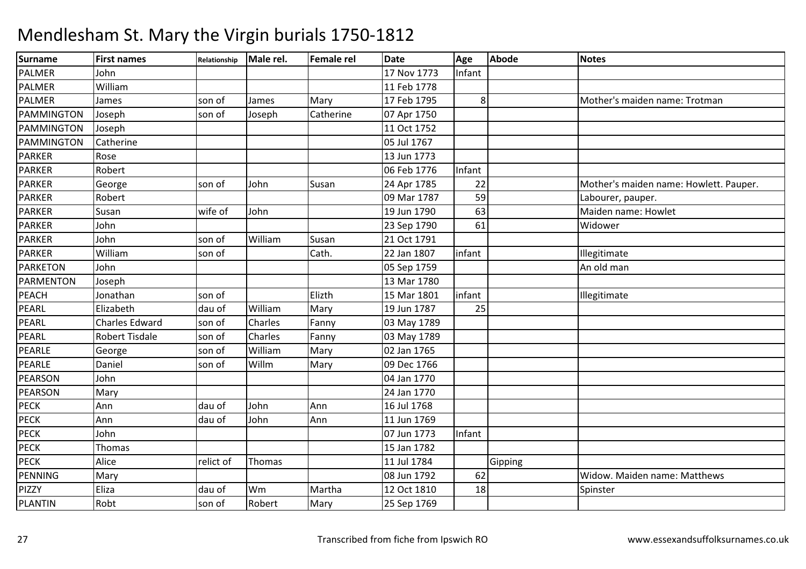| <b>Surname</b>   | <b>First names</b>    | Relationship | Male rel. | <b>Female rel</b> | <b>Date</b> | Age            | <b>Abode</b> | <b>Notes</b>                           |
|------------------|-----------------------|--------------|-----------|-------------------|-------------|----------------|--------------|----------------------------------------|
| PALMER           | John                  |              |           |                   | 17 Nov 1773 | Infant         |              |                                        |
| <b>PALMER</b>    | William               |              |           |                   | 11 Feb 1778 |                |              |                                        |
| PALMER           | James                 | son of       | James     | Mary              | 17 Feb 1795 | 8 <sup>1</sup> |              | Mother's maiden name: Trotman          |
| PAMMINGTON       | Joseph                | son of       | Joseph    | Catherine         | 07 Apr 1750 |                |              |                                        |
| PAMMINGTON       | Joseph                |              |           |                   | 11 Oct 1752 |                |              |                                        |
| PAMMINGTON       | Catherine             |              |           |                   | 05 Jul 1767 |                |              |                                        |
| <b>PARKER</b>    | Rose                  |              |           |                   | 13 Jun 1773 |                |              |                                        |
| <b>PARKER</b>    | Robert                |              |           |                   | 06 Feb 1776 | Infant         |              |                                        |
| <b>PARKER</b>    | George                | son of       | John      | Susan             | 24 Apr 1785 | 22             |              | Mother's maiden name: Howlett. Pauper. |
| <b>PARKER</b>    | Robert                |              |           |                   | 09 Mar 1787 | 59             |              | Labourer, pauper.                      |
| <b>PARKER</b>    | Susan                 | wife of      | John      |                   | 19 Jun 1790 | 63             |              | Maiden name: Howlet                    |
| <b>PARKER</b>    | John                  |              |           |                   | 23 Sep 1790 | 61             |              | Widower                                |
| <b>PARKER</b>    | John                  | son of       | William   | Susan             | 21 Oct 1791 |                |              |                                        |
| <b>PARKER</b>    | William               | son of       |           | Cath.             | 22 Jan 1807 | infant         |              | Illegitimate                           |
| <b>PARKETON</b>  | John                  |              |           |                   | 05 Sep 1759 |                |              | An old man                             |
| <b>PARMENTON</b> | Joseph                |              |           |                   | 13 Mar 1780 |                |              |                                        |
| <b>PEACH</b>     | Jonathan              | son of       |           | Elizth            | 15 Mar 1801 | infant         |              | Illegitimate                           |
| PEARL            | Elizabeth             | dau of       | William   | Mary              | 19 Jun 1787 | 25             |              |                                        |
| PEARL            | <b>Charles Edward</b> | son of       | Charles   | Fanny             | 03 May 1789 |                |              |                                        |
| PEARL            | <b>Robert Tisdale</b> | son of       | Charles   | Fanny             | 03 May 1789 |                |              |                                        |
| PEARLE           | George                | son of       | William   | Mary              | 02 Jan 1765 |                |              |                                        |
| PEARLE           | Daniel                | son of       | Willm     | Mary              | 09 Dec 1766 |                |              |                                        |
| PEARSON          | John                  |              |           |                   | 04 Jan 1770 |                |              |                                        |
| PEARSON          | Mary                  |              |           |                   | 24 Jan 1770 |                |              |                                        |
| <b>PECK</b>      | Ann                   | dau of       | John      | Ann               | 16 Jul 1768 |                |              |                                        |
| <b>PECK</b>      | Ann                   | dau of       | John      | Ann               | 11 Jun 1769 |                |              |                                        |
| PECK             | John                  |              |           |                   | 07 Jun 1773 | Infant         |              |                                        |
| <b>PECK</b>      | Thomas                |              |           |                   | 15 Jan 1782 |                |              |                                        |
| <b>PECK</b>      | Alice                 | relict of    | Thomas    |                   | 11 Jul 1784 |                | Gipping      |                                        |
| PENNING          | Mary                  |              |           |                   | 08 Jun 1792 | 62             |              | Widow. Maiden name: Matthews           |
| PIZZY            | Eliza                 | dau of       | Wm        | Martha            | 12 Oct 1810 | 18             |              | Spinster                               |
| <b>PLANTIN</b>   | Robt                  | son of       | Robert    | Mary              | 25 Sep 1769 |                |              |                                        |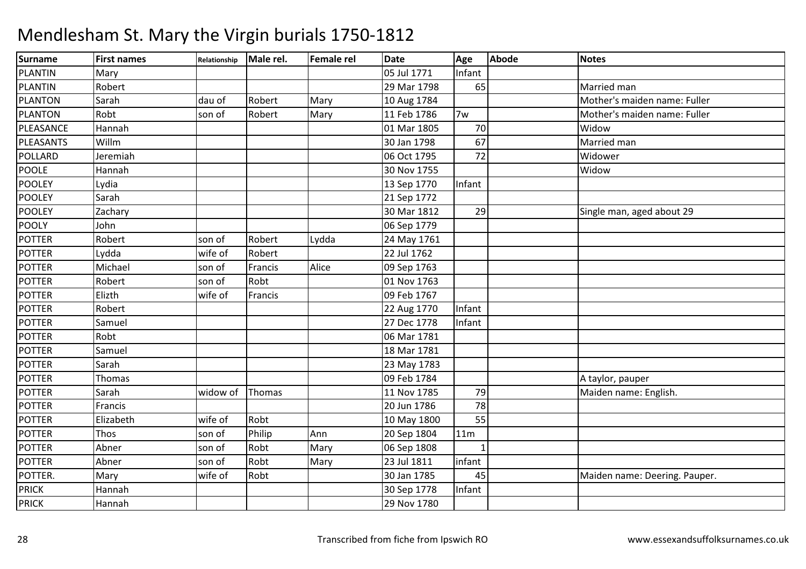| Surname        | <b>First names</b> | Relationship | Male rel. | Female rel | <b>Date</b> | Age          | <b>Abode</b> | <b>Notes</b>                  |
|----------------|--------------------|--------------|-----------|------------|-------------|--------------|--------------|-------------------------------|
| PLANTIN        | Mary               |              |           |            | 05 Jul 1771 | Infant       |              |                               |
| PLANTIN        | Robert             |              |           |            | 29 Mar 1798 | 65           |              | Married man                   |
| <b>PLANTON</b> | Sarah              | dau of       | Robert    | Mary       | 10 Aug 1784 |              |              | Mother's maiden name: Fuller  |
| <b>PLANTON</b> | Robt               | son of       | Robert    | Mary       | 11 Feb 1786 | 7w           |              | Mother's maiden name: Fuller  |
| PLEASANCE      | Hannah             |              |           |            | 01 Mar 1805 | 70           |              | Widow                         |
| PLEASANTS      | Willm              |              |           |            | 30 Jan 1798 | 67           |              | Married man                   |
| POLLARD        | Jeremiah           |              |           |            | 06 Oct 1795 | 72           |              | Widower                       |
| <b>POOLE</b>   | Hannah             |              |           |            | 30 Nov 1755 |              |              | Widow                         |
| <b>POOLEY</b>  | Lydia              |              |           |            | 13 Sep 1770 | Infant       |              |                               |
| <b>POOLEY</b>  | Sarah              |              |           |            | 21 Sep 1772 |              |              |                               |
| POOLEY         | Zachary            |              |           |            | 30 Mar 1812 | 29           |              | Single man, aged about 29     |
| <b>POOLY</b>   | John               |              |           |            | 06 Sep 1779 |              |              |                               |
| <b>POTTER</b>  | Robert             | son of       | Robert    | Lydda      | 24 May 1761 |              |              |                               |
| <b>POTTER</b>  | Lydda              | wife of      | Robert    |            | 22 Jul 1762 |              |              |                               |
| <b>POTTER</b>  | Michael            | son of       | Francis   | Alice      | 09 Sep 1763 |              |              |                               |
| <b>POTTER</b>  | Robert             | son of       | Robt      |            | 01 Nov 1763 |              |              |                               |
| <b>POTTER</b>  | Elizth             | wife of      | Francis   |            | 09 Feb 1767 |              |              |                               |
| <b>POTTER</b>  | Robert             |              |           |            | 22 Aug 1770 | Infant       |              |                               |
| <b>POTTER</b>  | Samuel             |              |           |            | 27 Dec 1778 | Infant       |              |                               |
| <b>POTTER</b>  | Robt               |              |           |            | 06 Mar 1781 |              |              |                               |
| <b>POTTER</b>  | Samuel             |              |           |            | 18 Mar 1781 |              |              |                               |
| <b>POTTER</b>  | Sarah              |              |           |            | 23 May 1783 |              |              |                               |
| POTTER         | <b>Thomas</b>      |              |           |            | 09 Feb 1784 |              |              | A taylor, pauper              |
| <b>POTTER</b>  | Sarah              | widow of     | Thomas    |            | 11 Nov 1785 | 79           |              | Maiden name: English.         |
| <b>POTTER</b>  | Francis            |              |           |            | 20 Jun 1786 | 78           |              |                               |
| POTTER         | Elizabeth          | wife of      | Robt      |            | 10 May 1800 | 55           |              |                               |
| POTTER         | Thos               | son of       | Philip    | Ann        | 20 Sep 1804 | 11m          |              |                               |
| <b>POTTER</b>  | Abner              | son of       | Robt      | Mary       | 06 Sep 1808 | $\mathbf{1}$ |              |                               |
| POTTER         | Abner              | son of       | Robt      | Mary       | 23 Jul 1811 | infant       |              |                               |
| POTTER.        | Mary               | wife of      | Robt      |            | 30 Jan 1785 | 45           |              | Maiden name: Deering. Pauper. |
| <b>PRICK</b>   | Hannah             |              |           |            | 30 Sep 1778 | Infant       |              |                               |
| <b>PRICK</b>   | Hannah             |              |           |            | 29 Nov 1780 |              |              |                               |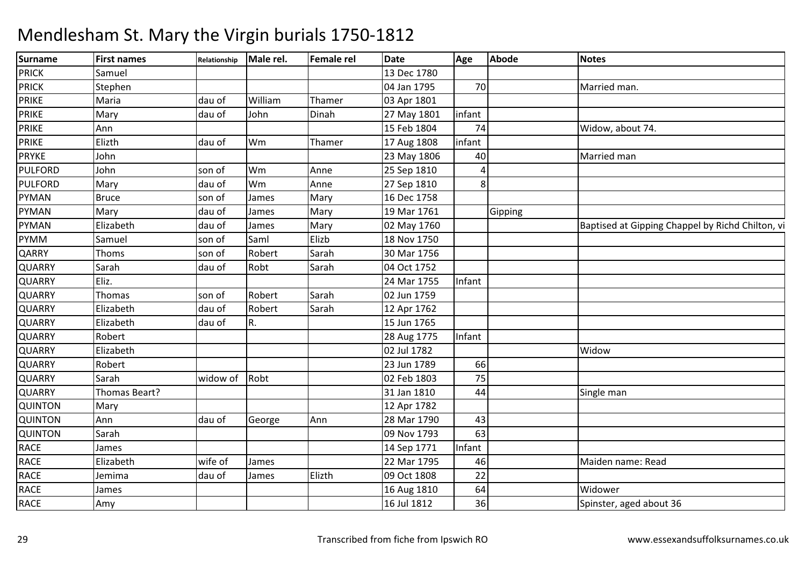| <b>Surname</b> | <b>First names</b> | Relationship  | Male rel. | <b>Female rel</b> | Date        | Age    | Abode   | <b>Notes</b>                                     |
|----------------|--------------------|---------------|-----------|-------------------|-------------|--------|---------|--------------------------------------------------|
| <b>PRICK</b>   | Samuel             |               |           |                   | 13 Dec 1780 |        |         |                                                  |
| <b>PRICK</b>   | Stephen            |               |           |                   | 04 Jan 1795 | 70     |         | Married man.                                     |
| <b>PRIKE</b>   | Maria              | dau of        | William   | Thamer            | 03 Apr 1801 |        |         |                                                  |
| <b>PRIKE</b>   | Mary               | dau of        | John      | Dinah             | 27 May 1801 | infant |         |                                                  |
| PRIKE          | Ann                |               |           |                   | 15 Feb 1804 | 74     |         | Widow, about 74.                                 |
| <b>PRIKE</b>   | Elizth             | dau of        | Wm        | Thamer            | 17 Aug 1808 | infant |         |                                                  |
| <b>PRYKE</b>   | John               |               |           |                   | 23 May 1806 | 40     |         | Married man                                      |
| <b>PULFORD</b> | John               | son of        | Wm        | Anne              | 25 Sep 1810 | Δ      |         |                                                  |
| <b>PULFORD</b> | Mary               | dau of        | Wm        | Anne              | 27 Sep 1810 | 8      |         |                                                  |
| <b>PYMAN</b>   | <b>Bruce</b>       | son of        | James     | Mary              | 16 Dec 1758 |        |         |                                                  |
| <b>PYMAN</b>   | Mary               | dau of        | James     | Mary              | 19 Mar 1761 |        | Gipping |                                                  |
| PYMAN          | Elizabeth          | dau of        | James     | Mary              | 02 May 1760 |        |         | Baptised at Gipping Chappel by Richd Chilton, vi |
| <b>PYMM</b>    | Samuel             | son of        | Saml      | Elizb             | 18 Nov 1750 |        |         |                                                  |
| QARRY          | Thoms              | son of        | Robert    | Sarah             | 30 Mar 1756 |        |         |                                                  |
| QUARRY         | Sarah              | dau of        | Robt      | Sarah             | 04 Oct 1752 |        |         |                                                  |
| <b>QUARRY</b>  | Eliz.              |               |           |                   | 24 Mar 1755 | Infant |         |                                                  |
| QUARRY         | Thomas             | son of        | Robert    | Sarah             | 02 Jun 1759 |        |         |                                                  |
| <b>QUARRY</b>  | Elizabeth          | dau of        | Robert    | Sarah             | 12 Apr 1762 |        |         |                                                  |
| <b>QUARRY</b>  | Elizabeth          | dau of        | R.        |                   | 15 Jun 1765 |        |         |                                                  |
| <b>QUARRY</b>  | Robert             |               |           |                   | 28 Aug 1775 | Infant |         |                                                  |
| QUARRY         | Elizabeth          |               |           |                   | 02 Jul 1782 |        |         | Widow                                            |
| QUARRY         | Robert             |               |           |                   | 23 Jun 1789 | 66     |         |                                                  |
| <b>QUARRY</b>  | Sarah              | widow of Robt |           |                   | 02 Feb 1803 | 75     |         |                                                  |
| <b>QUARRY</b>  | Thomas Beart?      |               |           |                   | 31 Jan 1810 | 44     |         | Single man                                       |
| <b>QUINTON</b> | Mary               |               |           |                   | 12 Apr 1782 |        |         |                                                  |
| <b>QUINTON</b> | Ann                | dau of        | George    | Ann               | 28 Mar 1790 | 43     |         |                                                  |
| QUINTON        | Sarah              |               |           |                   | 09 Nov 1793 | 63     |         |                                                  |
| <b>RACE</b>    | James              |               |           |                   | 14 Sep 1771 | Infant |         |                                                  |
| <b>RACE</b>    | Elizabeth          | wife of       | James     |                   | 22 Mar 1795 | 46     |         | Maiden name: Read                                |
| RACE           | Jemima             | dau of        | James     | Elizth            | 09 Oct 1808 | 22     |         |                                                  |
| <b>RACE</b>    | James              |               |           |                   | 16 Aug 1810 | 64     |         | Widower                                          |
| RACE           | Amy                |               |           |                   | 16 Jul 1812 | 36     |         | Spinster, aged about 36                          |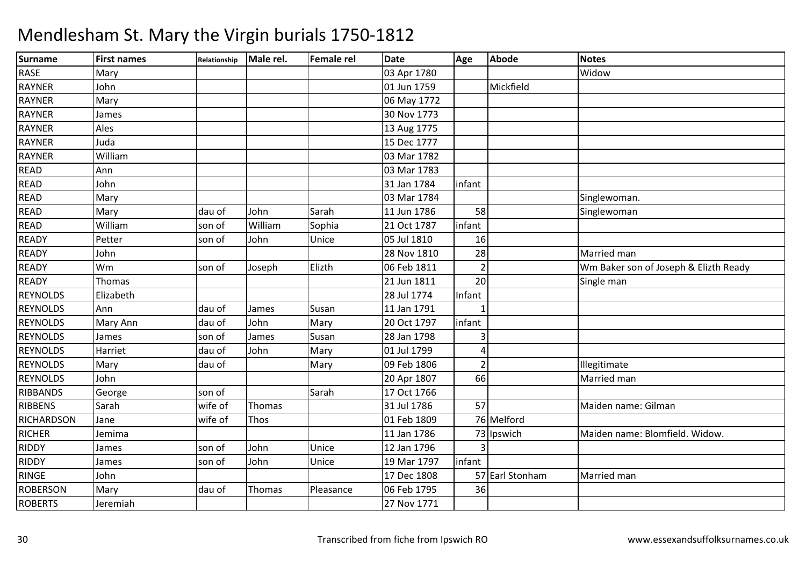| <b>Surname</b>    | <b>First names</b> | Relationship | Male rel. | <b>Female rel</b> | <b>Date</b> | Age           | Abode           | <b>Notes</b>                          |
|-------------------|--------------------|--------------|-----------|-------------------|-------------|---------------|-----------------|---------------------------------------|
| <b>RASE</b>       | Mary               |              |           |                   | 03 Apr 1780 |               |                 | Widow                                 |
| <b>RAYNER</b>     | John               |              |           |                   | 01 Jun 1759 |               | Mickfield       |                                       |
| RAYNER            | Mary               |              |           |                   | 06 May 1772 |               |                 |                                       |
| <b>RAYNER</b>     | James              |              |           |                   | 30 Nov 1773 |               |                 |                                       |
| <b>RAYNER</b>     | Ales               |              |           |                   | 13 Aug 1775 |               |                 |                                       |
| <b>RAYNER</b>     | Juda               |              |           |                   | 15 Dec 1777 |               |                 |                                       |
| <b>RAYNER</b>     | William            |              |           |                   | 03 Mar 1782 |               |                 |                                       |
| <b>READ</b>       | Ann                |              |           |                   | 03 Mar 1783 |               |                 |                                       |
| <b>READ</b>       | John               |              |           |                   | 31 Jan 1784 | infant        |                 |                                       |
| READ              | Mary               |              |           |                   | 03 Mar 1784 |               |                 | Singlewoman.                          |
| <b>READ</b>       | Mary               | dau of       | John      | Sarah             | 11 Jun 1786 | 58            |                 | Singlewoman                           |
| <b>READ</b>       | William            | son of       | William   | Sophia            | 21 Oct 1787 | infant        |                 |                                       |
| <b>READY</b>      | Petter             | son of       | John      | Unice             | 05 Jul 1810 | 16            |                 |                                       |
| READY             | John               |              |           |                   | 28 Nov 1810 | 28            |                 | Married man                           |
| READY             | Wm                 | son of       | Joseph    | Elizth            | 06 Feb 1811 |               |                 | Wm Baker son of Joseph & Elizth Ready |
| <b>READY</b>      | Thomas             |              |           |                   | 21 Jun 1811 | 20            |                 | Single man                            |
| <b>REYNOLDS</b>   | Elizabeth          |              |           |                   | 28 Jul 1774 | Infant        |                 |                                       |
| <b>REYNOLDS</b>   | Ann                | dau of       | James     | Susan             | 11 Jan 1791 |               |                 |                                       |
| <b>REYNOLDS</b>   | Mary Ann           | dau of       | John      | Mary              | 20 Oct 1797 | infant        |                 |                                       |
| <b>REYNOLDS</b>   | James              | son of       | James     | Susan             | 28 Jan 1798 |               |                 |                                       |
| <b>REYNOLDS</b>   | Harriet            | dau of       | John      | Mary              | 01 Jul 1799 | Δ             |                 |                                       |
| <b>REYNOLDS</b>   | Mary               | dau of       |           | Mary              | 09 Feb 1806 | $\mathcal{P}$ |                 | Illegitimate                          |
| <b>REYNOLDS</b>   | John               |              |           |                   | 20 Apr 1807 | 66            |                 | Married man                           |
| <b>RIBBANDS</b>   | George             | son of       |           | Sarah             | 17 Oct 1766 |               |                 |                                       |
| RIBBENS           | Sarah              | wife of      | Thomas    |                   | 31 Jul 1786 | 57            |                 | Maiden name: Gilman                   |
| <b>RICHARDSON</b> | Jane               | wife of      | Thos      |                   | 01 Feb 1809 |               | 76 Melford      |                                       |
| <b>RICHER</b>     | Jemima             |              |           |                   | 11 Jan 1786 |               | 73 Ipswich      | Maiden name: Blomfield. Widow.        |
| RIDDY             | James              | son of       | John      | Unice             | 12 Jan 1796 |               |                 |                                       |
| RIDDY             | James              | son of       | John      | Unice             | 19 Mar 1797 | infant        |                 |                                       |
| <b>RINGE</b>      | John               |              |           |                   | 17 Dec 1808 |               | 57 Earl Stonham | Married man                           |
| <b>ROBERSON</b>   | Mary               | dau of       | Thomas    | Pleasance         | 06 Feb 1795 | 36            |                 |                                       |
| <b>ROBERTS</b>    | Jeremiah           |              |           |                   | 27 Nov 1771 |               |                 |                                       |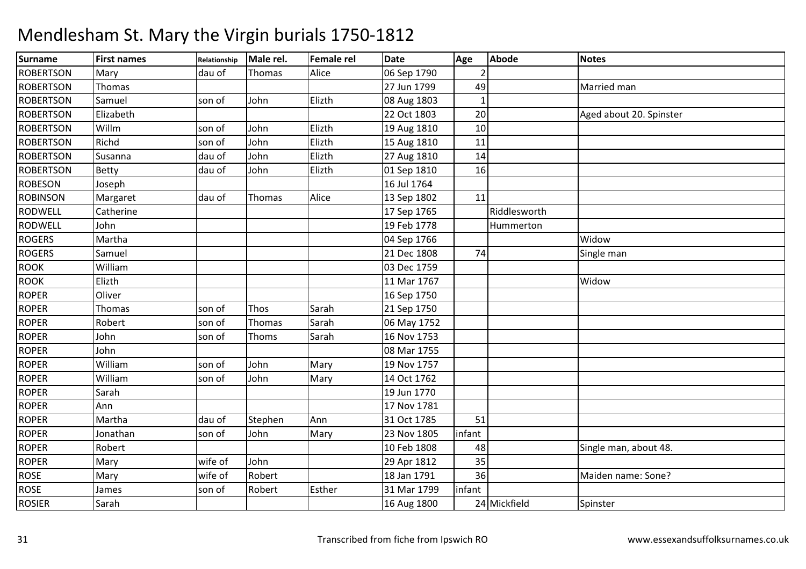### Surnamee First names Relationship Male rel. Female rel Date Age Abode Notes **ROBERTSON** N Mary 19 dau of Thomas Alice 106 Sep 1790 2 ROBERTSONN Thomas 27 Jun 1799 49 Married man Married man 27 Jun 1799 49 Married man Married man Married man Married man Married man Married man Married man Married man Married man Married man Married man Married man Married man Mar **ROBERTSON** N Samuel son of John Elizth 108 Aug 1803 1 **ROBERTSON**  Elizabeth 22 Oct 1803 <sup>20</sup> Aged about 20. Spinster **ROBERTSON** Willm<br>Richd son of John Elizth 19 Aug 1810 <sup>10</sup> **ROBERTSON** Richd son of John Elizth 15 Aug 1810 11 ROBERTSON Susanna dau of John Elizth 27 Aug 1810 <sup>14</sup> **ROBERTSON** N Betty dau of John Elizth 101 Sep 1810 16 ROBESONN Joseph 16 Jul 1764 ROBINSONN Margaret dau of Thomas Alice 13 Sep 1802 11 RODWELL Catherine 17 Sep 1765 RiddlesworthHummerton RODWELL John 19 Feb 1778 Hummerton **ROGERS**  Martha 04 Sep 17666 Widow Widow 8 74 Single man ROGERSS Samuel 21 Dec 1808 ROOKWilliam<br>Elizth m 03 Dec 1759 ROOK Elizth 11 Mar 1767 WidowROPERR Oliver 2016 16 Sep 1750 ROPERR Thomas son of Thos Sarah 21 Sep 1750 ROPERR Robert Son of Thomas Sarah 106 May 1752 ROPERR John son of Thoms Sarah 16 Nov 1753 ROPER John 08 Mar 1755 ROPER William son of John Mary 19 Nov 1757 ROPERWilliam<br>Sarah son of John Mary 14 Oct 1762 ROPERR Sarah 1770 ROPERR Ann 17 Nov 1781 ROPERR Martha 1990 dau of Stephen Ann 31 Oct 1785 51 ROPERR Jonathan Son of John Mary 23 Nov 1805 infant ROPERRand Robert Robert 10 Feb 1808 48 Single man, about 48. ROPERR Mary Wife of John 29 Apr 1812 35 ROSEE Mary Wife of Robert 18 Jan 1791 18 Jan 1791 136 Maiden name: Sone?<br>31 Mar 1799 infant ROSEE James Son of Robert Esther 31 Mar 1799 infant<br>24 Mickfield ROSIERR |Sarah | | |16 Aug 1800 24|Mickfield |Spinster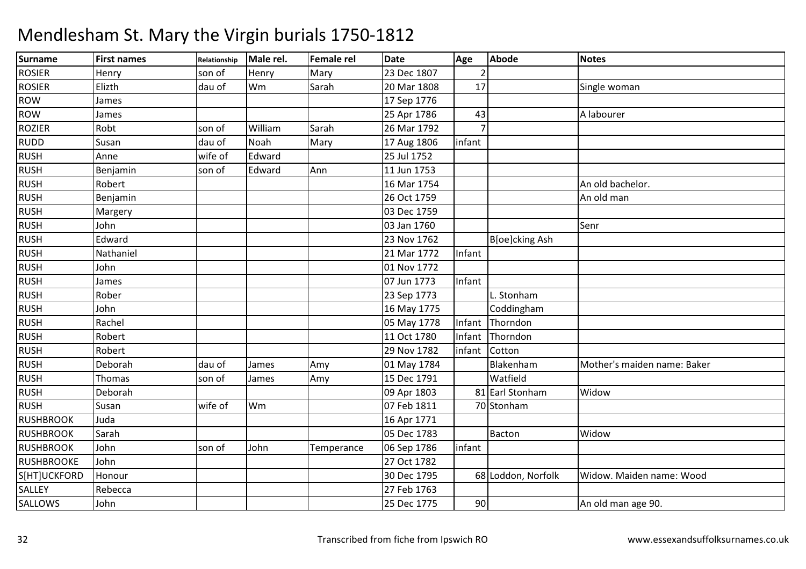### Surnamee First names Relationship Male rel. Female rel Date Age Abode Notes ROSIERR Henry Son of Henry Mary 23 Dec 1807 2 ROSIERR Elizth dau of Wm m Sarah 20 Mar 1808 17 Single woman ROWW James 17 Sep 1776<br>W James 1980 - 17 Sep 1776 ROWW James 25 Apr 1786 43 A labourer (Alabourer 1995)<br>25 Apr 1786 - A labourer (Alabourer 1995) **ROZIER** R Robt Son of William William Sarah 26 Mar 1792<br>Noah Mary 17 Aug 1806 7 infant RUDDD Susan dau of Noah Mary 17 Aug 1806 infant RUSHH Anne Wife of Edward 25 Jul 1752 RUSHH Benjamin Son of Edward Ann 11 Jun 1753 RUSHH Robert Robert Robert Research Research Research Research Public Property Research Public Property Research P<br>An old bachelor. RUSHH Benjamin 26 Oct 1759 An old man and the Benjamin 26 Oct 1759 An old man and the Benjamin 2016 Oct 1759 An old man and the Benjamin 2016 Oct 1759 An old man and the Benjamin 2016 Oct 1759 An old man and the Benjamin 2016 RUSHH Margery 1999 Margery 1999 Margery 1999 Margery 1999 Margery 1999 Margery 1999 Margery 1999 Margery 1999 Margery 1999 Margery 1999 Margery 1999 Margery 1999 Margery 1999 Margery 1999 Margery 1999 Margery 1999 Margery 1999 RUSHH John Senr RUSHH Edward **Edward Bloese Bloese Bloese Report Prop** 23 Nov 1762 Bloe]cking Ash RUSHH Nathaniel 21 Mar 1772 Infant RUSH John 01 Nov 1772 RUSHH James 2007 Jun 1773 | Infant RUSH Rober 23 Sep 1773 L. StonhamCoddingham RUSHH John 16 May 1775 Coddingham RUSHH Rachel 2008 Rachel 2008 Rachel 2008 Ray 1778 Infant Thorndon RUSHH Robert Robert Research Robert 2011 College Research 2012 11 Oct 1780 Infant Thorndon RUSHH Robert Robert 29 Nov 1782 | infant Cotton RUSHH Deborah dau of James Amy 01 May 1784 Blakenham Mother's maiden name: Baker RUSHH Thomas Son of James Amy 15 Dec 1791 Watfield RUSH Deborah 09 Apr 1803 <sup>81</sup> Earl Stonham81 Earl Stonham Widow RUSHH Susan Wife of Wm Vm 07 Feb 1811 70 Stonham<br>16 Apr 1771 **RUSHBROOK** K | Juda | 16 Apr 1771 **RUSHBROOK**  Sarah 05 Dec 1783 Bacton Widow**RUSHBROOK** K John 1988 Son of John Temperance 06 Sep 1786 infant **RUSHBROOKE**  Johnn 27 Oct 1782 S[HT]UCKFORD Honour 1990 Monour 1990 Monour 1990 Monour 1990 Monour 1990 Monour 1990 Monour 1990 Monour 1990 Monour 1990 Mo<br>Rebecca 1990 Monour 1990 Monour 1990 Monour 1990 Monour 1990 Monour 1990 Monour 1990 Monour 1990 Monour 1990 M<br> SALLEY Rebecca 27 Feb 176325 Dec 1775 SALLOWS Johnn 1990 Bee 1990 An old man age 90.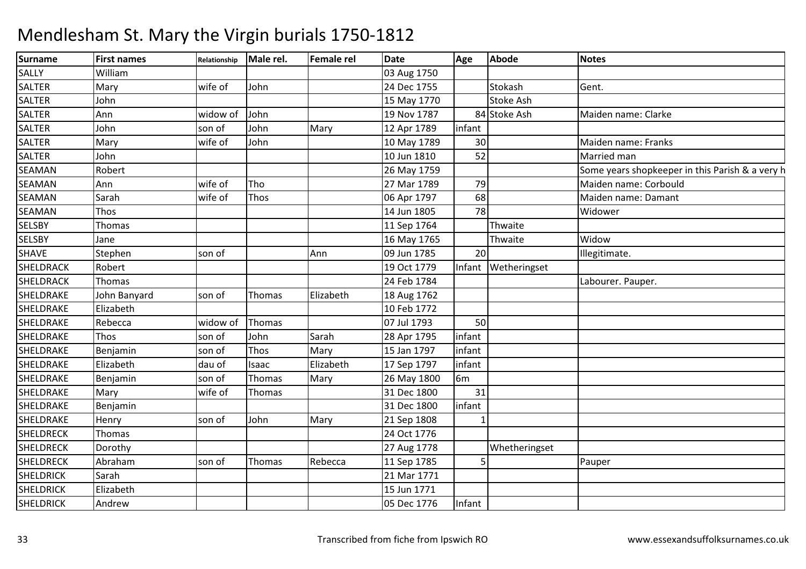| Surname          | <b>First names</b> | Relationship | Male rel. | <b>Female rel</b> | Date        | Age            | <b>Abode</b>        | <b>Notes</b>                                    |
|------------------|--------------------|--------------|-----------|-------------------|-------------|----------------|---------------------|-------------------------------------------------|
| <b>SALLY</b>     | William            |              |           |                   | 03 Aug 1750 |                |                     |                                                 |
| <b>SALTER</b>    | Mary               | wife of      | John      |                   | 24 Dec 1755 |                | Stokash             | Gent.                                           |
| SALTER           | John               |              |           |                   | 15 May 1770 |                | <b>Stoke Ash</b>    |                                                 |
| <b>SALTER</b>    | Ann                | widow of     | John      |                   | 19 Nov 1787 |                | 84 Stoke Ash        | Maiden name: Clarke                             |
| <b>SALTER</b>    | John               | son of       | John      | Mary              | 12 Apr 1789 | infant         |                     |                                                 |
| <b>SALTER</b>    | Mary               | wife of      | John      |                   | 10 May 1789 | 30             |                     | Maiden name: Franks                             |
| <b>SALTER</b>    | John               |              |           |                   | 10 Jun 1810 | 52             |                     | Married man                                     |
| <b>SEAMAN</b>    | Robert             |              |           |                   | 26 May 1759 |                |                     | Some years shopkeeper in this Parish & a very h |
| <b>SEAMAN</b>    | Ann                | wife of      | Tho       |                   | 27 Mar 1789 | 79             |                     | Maiden name: Corbould                           |
| <b>SEAMAN</b>    | Sarah              | wife of      | Thos      |                   | 06 Apr 1797 | 68             |                     | Maiden name: Damant                             |
| <b>SEAMAN</b>    | Thos               |              |           |                   | 14 Jun 1805 | 78             |                     | Widower                                         |
| <b>SELSBY</b>    | Thomas             |              |           |                   | 11 Sep 1764 |                | Thwaite             |                                                 |
| <b>SELSBY</b>    | Jane               |              |           |                   | 16 May 1765 |                | Thwaite             | Widow                                           |
| <b>SHAVE</b>     | Stephen            | son of       |           | Ann               | 09 Jun 1785 | 20             |                     | Illegitimate.                                   |
| <b>SHELDRACK</b> | Robert             |              |           |                   | 19 Oct 1779 |                | Infant Wetheringset |                                                 |
| <b>SHELDRACK</b> | Thomas             |              |           |                   | 24 Feb 1784 |                |                     | Labourer. Pauper.                               |
| SHELDRAKE        | John Banyard       | son of       | Thomas    | Elizabeth         | 18 Aug 1762 |                |                     |                                                 |
| SHELDRAKE        | Elizabeth          |              |           |                   | 10 Feb 1772 |                |                     |                                                 |
| SHELDRAKE        | Rebecca            | widow of     | Thomas    |                   | 07 Jul 1793 | 50             |                     |                                                 |
| SHELDRAKE        | <b>Thos</b>        | son of       | John      | Sarah             | 28 Apr 1795 | infant         |                     |                                                 |
| SHELDRAKE        | Benjamin           | son of       | Thos      | Mary              | 15 Jan 1797 | infant         |                     |                                                 |
| SHELDRAKE        | Elizabeth          | dau of       | Isaac     | Elizabeth         | 17 Sep 1797 | infant         |                     |                                                 |
| SHELDRAKE        | Benjamin           | son of       | Thomas    | Mary              | 26 May 1800 | 6 <sub>m</sub> |                     |                                                 |
| SHELDRAKE        | Mary               | wife of      | Thomas    |                   | 31 Dec 1800 | 31             |                     |                                                 |
| SHELDRAKE        | Benjamin           |              |           |                   | 31 Dec 1800 | infant         |                     |                                                 |
| SHELDRAKE        | Henry              | son of       | John      | Mary              | 21 Sep 1808 |                |                     |                                                 |
| <b>SHELDRECK</b> | Thomas             |              |           |                   | 24 Oct 1776 |                |                     |                                                 |
| <b>SHELDRECK</b> | Dorothy            |              |           |                   | 27 Aug 1778 |                | Whetheringset       |                                                 |
| <b>SHELDRECK</b> | Abraham            | son of       | Thomas    | Rebecca           | 11 Sep 1785 |                |                     | Pauper                                          |
| <b>SHELDRICK</b> | Sarah              |              |           |                   | 21 Mar 1771 |                |                     |                                                 |
| <b>SHELDRICK</b> | Elizabeth          |              |           |                   | 15 Jun 1771 |                |                     |                                                 |
| <b>SHELDRICK</b> | Andrew             |              |           |                   | 05 Dec 1776 | Infant         |                     |                                                 |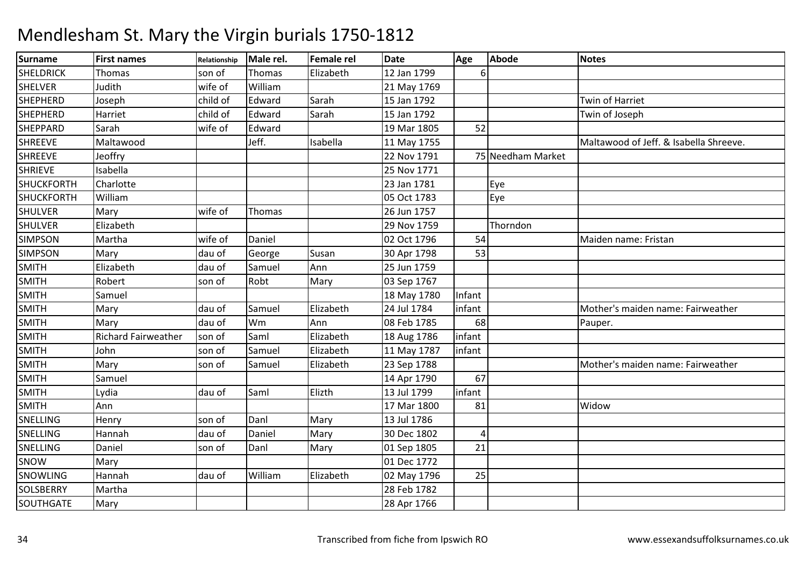| <b>Surname</b>    | <b>First names</b>         | Relationship | Male rel. | Female rel | <b>Date</b> | Age    | Abode             | <b>Notes</b>                           |
|-------------------|----------------------------|--------------|-----------|------------|-------------|--------|-------------------|----------------------------------------|
| <b>SHELDRICK</b>  | Thomas                     | son of       | Thomas    | Elizabeth  | 12 Jan 1799 | 6      |                   |                                        |
| <b>SHELVER</b>    | Judith                     | wife of      | William   |            | 21 May 1769 |        |                   |                                        |
| <b>SHEPHERD</b>   | Joseph                     | child of     | Edward    | Sarah      | 15 Jan 1792 |        |                   | Twin of Harriet                        |
| SHEPHERD          | Harriet                    | child of     | Edward    | Sarah      | 15 Jan 1792 |        |                   | Twin of Joseph                         |
| <b>SHEPPARD</b>   | Sarah                      | wife of      | Edward    |            | 19 Mar 1805 | 52     |                   |                                        |
| <b>SHREEVE</b>    | Maltawood                  |              | Jeff.     | Isabella   | 11 May 1755 |        |                   | Maltawood of Jeff. & Isabella Shreeve. |
| <b>SHREEVE</b>    | Jeoffry                    |              |           |            | 22 Nov 1791 |        | 75 Needham Market |                                        |
| <b>SHRIEVE</b>    | Isabella                   |              |           |            | 25 Nov 1771 |        |                   |                                        |
| <b>SHUCKFORTH</b> | Charlotte                  |              |           |            | 23 Jan 1781 |        | Eye               |                                        |
| <b>SHUCKFORTH</b> | William                    |              |           |            | 05 Oct 1783 |        | Eye               |                                        |
| <b>SHULVER</b>    | Mary                       | wife of      | Thomas    |            | 26 Jun 1757 |        |                   |                                        |
| <b>SHULVER</b>    | Elizabeth                  |              |           |            | 29 Nov 1759 |        | Thorndon          |                                        |
| <b>SIMPSON</b>    | Martha                     | wife of      | Daniel    |            | 02 Oct 1796 | 54     |                   | Maiden name: Fristan                   |
| <b>SIMPSON</b>    | Mary                       | dau of       | George    | Susan      | 30 Apr 1798 | 53     |                   |                                        |
| <b>SMITH</b>      | Elizabeth                  | dau of       | Samuel    | Ann        | 25 Jun 1759 |        |                   |                                        |
| <b>SMITH</b>      | Robert                     | son of       | Robt      | Mary       | 03 Sep 1767 |        |                   |                                        |
| <b>SMITH</b>      | Samuel                     |              |           |            | 18 May 1780 | Infant |                   |                                        |
| <b>SMITH</b>      | Mary                       | dau of       | Samuel    | Elizabeth  | 24 Jul 1784 | infant |                   | Mother's maiden name: Fairweather      |
| <b>SMITH</b>      | Mary                       | dau of       | Wm        | Ann        | 08 Feb 1785 | 68     |                   | Pauper.                                |
| <b>SMITH</b>      | <b>Richard Fairweather</b> | son of       | Saml      | Elizabeth  | 18 Aug 1786 | infant |                   |                                        |
| <b>SMITH</b>      | John                       | son of       | Samuel    | Elizabeth  | 11 May 1787 | infant |                   |                                        |
| <b>SMITH</b>      | Mary                       | son of       | Samuel    | Elizabeth  | 23 Sep 1788 |        |                   | Mother's maiden name: Fairweather      |
| <b>SMITH</b>      | Samuel                     |              |           |            | 14 Apr 1790 | 67     |                   |                                        |
| <b>SMITH</b>      | Lydia                      | dau of       | Saml      | Elizth     | 13 Jul 1799 | infant |                   |                                        |
| <b>SMITH</b>      | Ann                        |              |           |            | 17 Mar 1800 | 81     |                   | Widow                                  |
| <b>SNELLING</b>   | Henry                      | son of       | Danl      | Mary       | 13 Jul 1786 |        |                   |                                        |
| SNELLING          | Hannah                     | dau of       | Daniel    | Mary       | 30 Dec 1802 | 4      |                   |                                        |
| <b>SNELLING</b>   | Daniel                     | son of       | Danl      | Mary       | 01 Sep 1805 | 21     |                   |                                        |
| SNOW              | Mary                       |              |           |            | 01 Dec 1772 |        |                   |                                        |
| SNOWLING          | Hannah                     | dau of       | William   | Elizabeth  | 02 May 1796 | 25     |                   |                                        |
| SOLSBERRY         | Martha                     |              |           |            | 28 Feb 1782 |        |                   |                                        |
| <b>SOUTHGATE</b>  | Mary                       |              |           |            | 28 Apr 1766 |        |                   |                                        |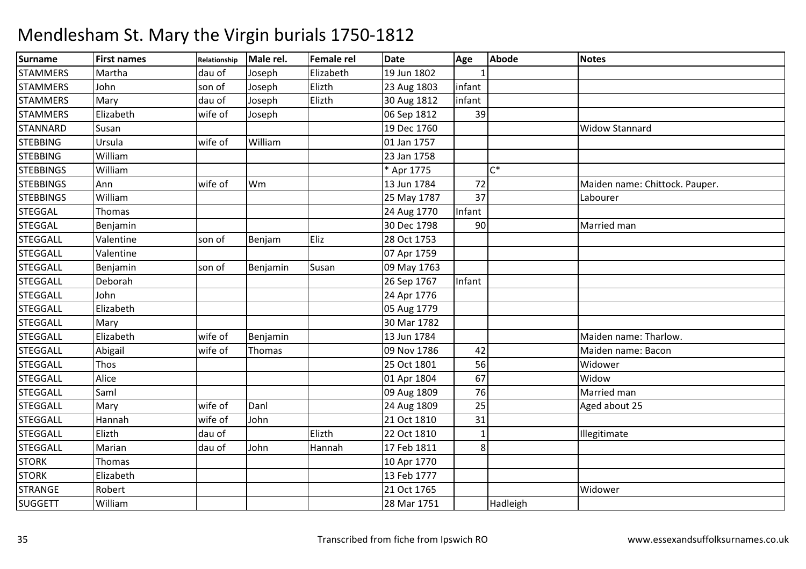| <b>Surname</b>   | <b>First names</b> | Relationship | Male rel. | Female rel | <b>Date</b> | Age    | Abode    | <b>Notes</b>                   |
|------------------|--------------------|--------------|-----------|------------|-------------|--------|----------|--------------------------------|
| <b>STAMMERS</b>  | Martha             | dau of       | Joseph    | Elizabeth  | 19 Jun 1802 |        |          |                                |
| <b>STAMMERS</b>  | John               | son of       | Joseph    | Elizth     | 23 Aug 1803 | infant |          |                                |
| <b>STAMMERS</b>  | Mary               | dau of       | Joseph    | Elizth     | 30 Aug 1812 | infant |          |                                |
| <b>STAMMERS</b>  | Elizabeth          | wife of      | Joseph    |            | 06 Sep 1812 | 39     |          |                                |
| <b>STANNARD</b>  | Susan              |              |           |            | 19 Dec 1760 |        |          | <b>Widow Stannard</b>          |
| <b>STEBBING</b>  | Ursula             | wife of      | William   |            | 01 Jan 1757 |        |          |                                |
| <b>STEBBING</b>  | William            |              |           |            | 23 Jan 1758 |        |          |                                |
| <b>STEBBINGS</b> | William            |              |           |            | * Apr 1775  |        | $C^*$    |                                |
| <b>STEBBINGS</b> | Ann                | wife of      | Wm        |            | 13 Jun 1784 | 72     |          | Maiden name: Chittock. Pauper. |
| <b>STEBBINGS</b> | William            |              |           |            | 25 May 1787 | 37     |          | Labourer                       |
| <b>STEGGAL</b>   | Thomas             |              |           |            | 24 Aug 1770 | Infant |          |                                |
| <b>STEGGAL</b>   | Benjamin           |              |           |            | 30 Dec 1798 | 90     |          | Married man                    |
| <b>STEGGALL</b>  | Valentine          | son of       | Benjam    | Eliz       | 28 Oct 1753 |        |          |                                |
| <b>STEGGALL</b>  | Valentine          |              |           |            | 07 Apr 1759 |        |          |                                |
| <b>STEGGALL</b>  | Benjamin           | son of       | Benjamin  | Susan      | 09 May 1763 |        |          |                                |
| <b>STEGGALL</b>  | Deborah            |              |           |            | 26 Sep 1767 | Infant |          |                                |
| <b>STEGGALL</b>  | John               |              |           |            | 24 Apr 1776 |        |          |                                |
| <b>STEGGALL</b>  | Elizabeth          |              |           |            | 05 Aug 1779 |        |          |                                |
| <b>STEGGALL</b>  | Mary               |              |           |            | 30 Mar 1782 |        |          |                                |
| <b>STEGGALL</b>  | Elizabeth          | wife of      | Benjamin  |            | 13 Jun 1784 |        |          | Maiden name: Tharlow.          |
| <b>STEGGALL</b>  | Abigail            | wife of      | Thomas    |            | 09 Nov 1786 | 42     |          | Maiden name: Bacon             |
| <b>STEGGALL</b>  | Thos               |              |           |            | 25 Oct 1801 | 56     |          | Widower                        |
| <b>STEGGALL</b>  | Alice              |              |           |            | 01 Apr 1804 | 67     |          | Widow                          |
| <b>STEGGALL</b>  | Saml               |              |           |            | 09 Aug 1809 | 76     |          | Married man                    |
| <b>STEGGALL</b>  | Mary               | wife of      | Danl      |            | 24 Aug 1809 | 25     |          | Aged about 25                  |
| <b>STEGGALL</b>  | Hannah             | wife of      | John      |            | 21 Oct 1810 | 31     |          |                                |
| <b>STEGGALL</b>  | Elizth             | dau of       |           | Elizth     | 22 Oct 1810 |        |          | Illegitimate                   |
| <b>STEGGALL</b>  | Marian             | dau of       | John      | Hannah     | 17 Feb 1811 | 8      |          |                                |
| <b>STORK</b>     | Thomas             |              |           |            | 10 Apr 1770 |        |          |                                |
| <b>STORK</b>     | Elizabeth          |              |           |            | 13 Feb 1777 |        |          |                                |
| <b>STRANGE</b>   | Robert             |              |           |            | 21 Oct 1765 |        |          | Widower                        |
| <b>SUGGETT</b>   | William            |              |           |            | 28 Mar 1751 |        | Hadleigh |                                |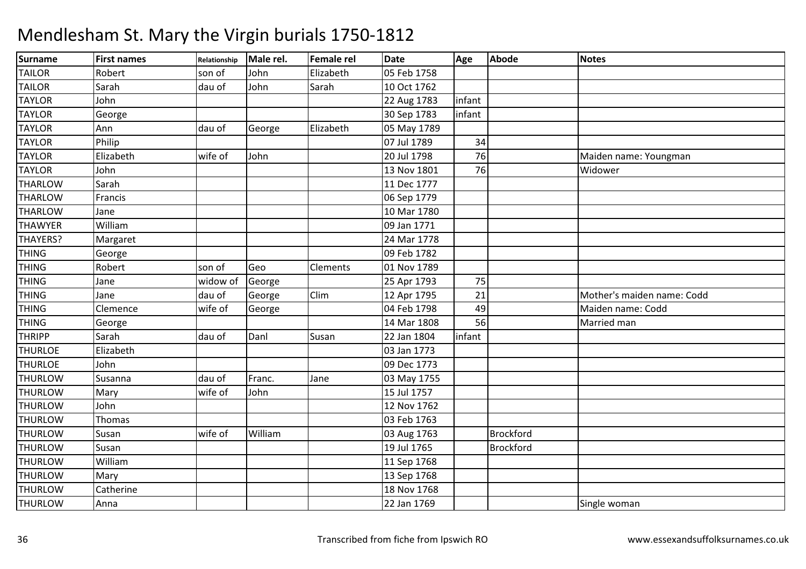### Surnamee First names Relationship Male rel. Female rel Date Age Abode Notes TAILORR Robert son of John Elizabeth 05 Feb 1758 TAILORR Sarah dau of John Sarah 10 Oct 1762 TAYLORR John 22 Aug 1783 |infant TAYLORR George Research Contains the Sep 1783 infant TAYLORR Ann dau of George Elizabeth 105 May 1789 TAYLORR Philip 134 TAYLOR Elizabeth wife of John 20 Jul 1798 <sup>76</sup> Maiden name: Youngman TAYLORR John 13 Nov 1801 76 Widower THARLOWW Sarah 11 Dec 1777<br>W Sarah 11 Dec 1777 **THARLOW**  Francis 06 Sep 1779 **THARLOW**  Jane 10 Mar 1780 **THAWYER** William<br>Margaret 09 Jan 1771 THAYERS?? Margaret 1990 | 24 Mar 1778 09 Feb 1782 THINGGeorge 1782 THINGG Robert Son of Geo Clements 01 Nov 1789 THINGG Jane Widow of George 25 Apr 1793 75 THINGG Jane dau of George Clim Clim 12 Apr 1795 21 Mother's maiden name: Codd<br>04 Feb 1798 49 Maiden name: Codd THINGG Clemence Wife of George 1994 Feb 1798 49 Maiden name: Codd THINGGeorge 14 Mar 1808 56 Married man THRIPP Sarah dau of Danl Susan 22 Jan 1804 infant **THURLOE**  Elizabeth 03 Jan 1773 **THURLOE**  Johnn 09 Dec 1773 **THURLOW**  Susanna dau of Franc. Jane 03 May 1755 THURLOWW Mary wife of John 15 Jul 1757<br>With the Service of Dohn 120 Mars 176 **THURLOW**  John 12 Nov 1762 **THURLOW** W Thomas 103 Feb 1763<br>W Super William 103 Feb 1763 **THURLOW** W Susan 1997 | Wife of William 1998 | Brockford | Brockford<br>With Current Library | 10 | 10 | 1765 | Durchford **THURLOW**  Susan 19 Jul 1765 Brockford **THURLOW**  William 11 Sep 1768 **THURLOW** W Mary 13 Sep 1768<br>W Sethering 2008 - 19 November 19 November 19 November 19 November 19 November 19 November 19 November 1766 **THURLOW** W Catherine 18 Nov 1768<br>
Museum Anne 1990 - Anne 1769<br>
22 Januari - Anne 1760 **THURLOW** Anna 22 Jan 1769 Single woman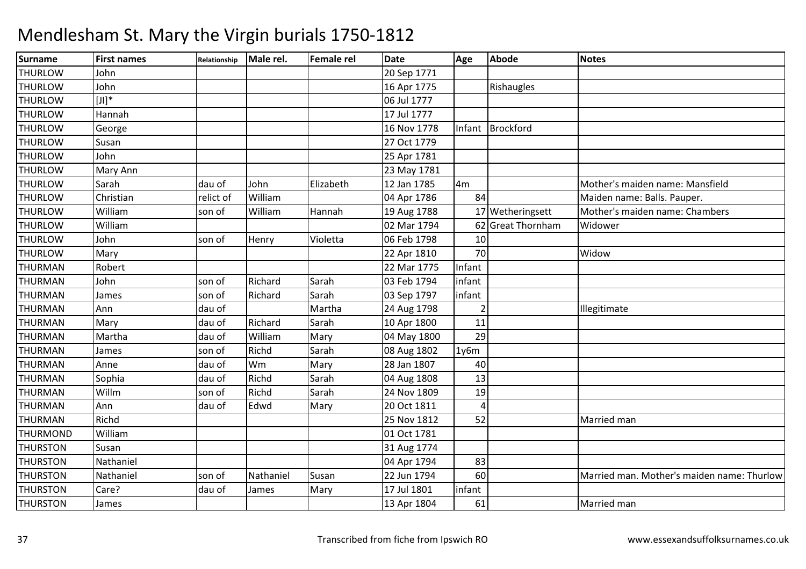| <b>Surname</b>  | <b>First names</b>    | Relationship | Male rel. | <b>Female rel</b> | <b>Date</b> | Age            | Abode             | <b>Notes</b>                               |
|-----------------|-----------------------|--------------|-----------|-------------------|-------------|----------------|-------------------|--------------------------------------------|
| <b>THURLOW</b>  | John                  |              |           |                   | 20 Sep 1771 |                |                   |                                            |
| <b>THURLOW</b>  | John                  |              |           |                   | 16 Apr 1775 |                | Rishaugles        |                                            |
| <b>THURLOW</b>  | $[{\sf J} {\sf I}]^*$ |              |           |                   | 06 Jul 1777 |                |                   |                                            |
| <b>THURLOW</b>  | Hannah                |              |           |                   | 17 Jul 1777 |                |                   |                                            |
| <b>THURLOW</b>  | George                |              |           |                   | 16 Nov 1778 | Infant         | Brockford         |                                            |
| <b>THURLOW</b>  | Susan                 |              |           |                   | 27 Oct 1779 |                |                   |                                            |
| <b>THURLOW</b>  | John                  |              |           |                   | 25 Apr 1781 |                |                   |                                            |
| <b>THURLOW</b>  | Mary Ann              |              |           |                   | 23 May 1781 |                |                   |                                            |
| <b>THURLOW</b>  | Sarah                 | dau of       | John      | Elizabeth         | 12 Jan 1785 | 4 <sub>m</sub> |                   | Mother's maiden name: Mansfield            |
| <b>THURLOW</b>  | Christian             | relict of    | William   |                   | 04 Apr 1786 | 84             |                   | Maiden name: Balls. Pauper.                |
| <b>THURLOW</b>  | William               | son of       | William   | Hannah            | 19 Aug 1788 |                | 17 Wetheringsett  | Mother's maiden name: Chambers             |
| <b>THURLOW</b>  | William               |              |           |                   | 02 Mar 1794 |                | 62 Great Thornham | Widower                                    |
| <b>THURLOW</b>  | John                  | son of       | Henry     | Violetta          | 06 Feb 1798 | 10             |                   |                                            |
| <b>THURLOW</b>  | Mary                  |              |           |                   | 22 Apr 1810 | 70             |                   | Widow                                      |
| <b>THURMAN</b>  | Robert                |              |           |                   | 22 Mar 1775 | Infant         |                   |                                            |
| <b>THURMAN</b>  | John                  | son of       | Richard   | Sarah             | 03 Feb 1794 | infant         |                   |                                            |
| <b>THURMAN</b>  | James                 | son of       | Richard   | Sarah             | 03 Sep 1797 | infant         |                   |                                            |
| <b>THURMAN</b>  | Ann                   | dau of       |           | Martha            | 24 Aug 1798 | $\overline{2}$ |                   | Illegitimate                               |
| <b>THURMAN</b>  | Mary                  | dau of       | Richard   | Sarah             | 10 Apr 1800 | 11             |                   |                                            |
| <b>THURMAN</b>  | Martha                | dau of       | William   | Mary              | 04 May 1800 | 29             |                   |                                            |
| <b>THURMAN</b>  | James                 | son of       | Richd     | Sarah             | 08 Aug 1802 | 1y6m           |                   |                                            |
| <b>THURMAN</b>  | Anne                  | dau of       | Wm        | Mary              | 28 Jan 1807 | 40             |                   |                                            |
| <b>THURMAN</b>  | Sophia                | dau of       | Richd     | Sarah             | 04 Aug 1808 | 13             |                   |                                            |
| <b>THURMAN</b>  | Willm                 | son of       | Richd     | Sarah             | 24 Nov 1809 | 19             |                   |                                            |
| <b>THURMAN</b>  | Ann                   | dau of       | Edwd      | Mary              | 20 Oct 1811 | 4              |                   |                                            |
| <b>THURMAN</b>  | Richd                 |              |           |                   | 25 Nov 1812 | 52             |                   | Married man                                |
| <b>THURMOND</b> | William               |              |           |                   | 01 Oct 1781 |                |                   |                                            |
| <b>THURSTON</b> | Susan                 |              |           |                   | 31 Aug 1774 |                |                   |                                            |
| <b>THURSTON</b> | Nathaniel             |              |           |                   | 04 Apr 1794 | 83             |                   |                                            |
| <b>THURSTON</b> | Nathaniel             | son of       | Nathaniel | Susan             | 22 Jun 1794 | 60             |                   | Married man. Mother's maiden name: Thurlow |
| <b>THURSTON</b> | Care?                 | dau of       | James     | Mary              | 17 Jul 1801 | infant         |                   |                                            |
| <b>THURSTON</b> | James                 |              |           |                   | 13 Apr 1804 | 61             |                   | Married man                                |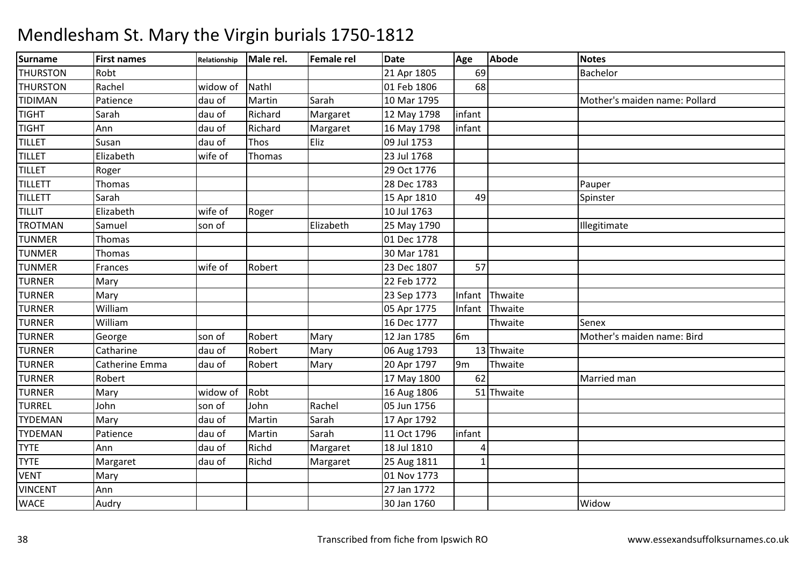### Surnamee First names Relationship Male rel. Female rel Date Age Abode Notes THURSTONRobt Robt 21 Apr 1805 69 Bachelor THURSTONN Rachel Widow of Nathl 101 Feb 1806 68 TIDIMANPatience 1992 dau of Martin Sarah 10 Mar 1795 Mother's maiden name: Pollard<br>Sarah 12 Martin Margaret 12 May 1798 infant TIGHT Sarahdau of Richard Margaret 12 May 1798 linfant<br>dau of Richard Margaret 16 May 1798 linfant TIGHT AnnMargaret 16 May 1798<br>Eliz 09 Jul 1753 TILLET Susan dau of Thos Eliz 09 Jul 1753 TILLET Elizabethh wife of Thomas 23 Jul 1768 TILLETT Roger 29 Oct 1776 28 Dec 1783 TILLETTT Thomas 28 Dec 1783 28 Dec 1783 **Pauper**<br>15 Apr 1810 1990 1991 1991 1991 1992 TILLETT Sarah 15 Apr 1810 <sup>49</sup> Spinster TILLIT Elizabeth wife of Roger 10 Jul 1763 TROTMANN Samuel son of Elizabeth 25 May 1790 Illegitimate TUNMERR Thomas 1778 TUNMERR Thomas 1781 TUNMERR Frances wife of Robert 23 Dec 1807 57 TURNERR Mary 22 Feb 1772 TURNERR Mary 23 Sep 1773 Infant Thwaite TURNER William 05 Apr 1775 Infant Thwaite TURNER Williamm 16 Dec 1777 Thwaite Senex<br>
16 Dec 1777 Thwaite Senex TURNERR George Son of Robert Mary 12 Jan 1785 6m 6m Mother's maiden name: Bird<br>13 Thwaite TURNERR Catharine dau of Robert Mary 06 Aug 1793 13 Thwaite TURNERR Catherine Emma dau of Robert Mary 20 Apr 1797 9m 9m Thwaite TURNERR Robert 17 May 1800 62 Married man TURNERR Mary widow of Robt 16 Aug 1806 51 Thwaite TURREL John son of John Rachel 05 Jun 1756 TYDEMANN Mary dau of Martin Sarah 17 Apr 1792 TYDEMANN Patience dau of Martin Sarah 11 Oct 1796 infant **TYTE**  Annn 18 Jul 1810 4 $\overline{1}$ **TYTE** Margaret Idau of Richd Margaret 25 Aug 1811<br>01 Nov 1773 VENTT Mary Mary 2011 Nov 1773 27 Jan 1772 VINCENT Ann 27 Jan 1772 **WACE** E Audry 130 Jan 1760 0 | Widow | Widow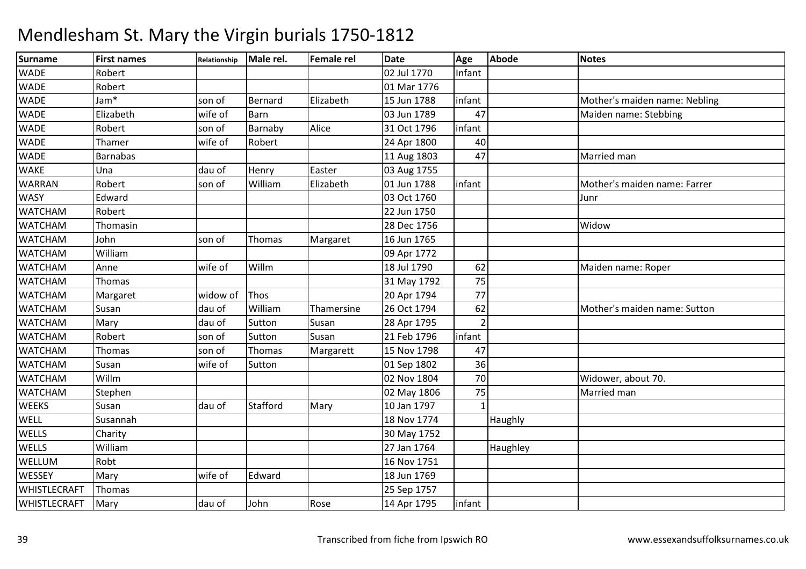| <b>Surname</b>      | <b>First names</b> | Relationship | Male rel. | Female rel | <b>Date</b> | Age    | Abode    | <b>Notes</b>                  |
|---------------------|--------------------|--------------|-----------|------------|-------------|--------|----------|-------------------------------|
| <b>WADE</b>         | Robert             |              |           |            | 02 Jul 1770 | Infant |          |                               |
| <b>WADE</b>         | Robert             |              |           |            | 01 Mar 1776 |        |          |                               |
| <b>WADE</b>         | Jam*               | son of       | Bernard   | Elizabeth  | 15 Jun 1788 | infant |          | Mother's maiden name: Nebling |
| <b>WADE</b>         | Elizabeth          | wife of      | Barn      |            | 03 Jun 1789 | 47     |          | Maiden name: Stebbing         |
| <b>WADE</b>         | Robert             | son of       | Barnaby   | Alice      | 31 Oct 1796 | infant |          |                               |
| <b>WADE</b>         | Thamer             | wife of      | Robert    |            | 24 Apr 1800 | 40     |          |                               |
| <b>WADE</b>         | <b>Barnabas</b>    |              |           |            | 11 Aug 1803 | 47     |          | Married man                   |
| <b>WAKE</b>         | Una                | dau of       | Henry     | Easter     | 03 Aug 1755 |        |          |                               |
| <b>WARRAN</b>       | Robert             | son of       | William   | Elizabeth  | 01 Jun 1788 | infant |          | Mother's maiden name: Farrer  |
| <b>WASY</b>         | Edward             |              |           |            | 03 Oct 1760 |        |          | Junr                          |
| <b>WATCHAM</b>      | Robert             |              |           |            | 22 Jun 1750 |        |          |                               |
| <b>WATCHAM</b>      | Thomasin           |              |           |            | 28 Dec 1756 |        |          | Widow                         |
| <b>WATCHAM</b>      | John               | son of       | Thomas    | Margaret   | 16 Jun 1765 |        |          |                               |
| <b>WATCHAM</b>      | William            |              |           |            | 09 Apr 1772 |        |          |                               |
| <b>WATCHAM</b>      | Anne               | wife of      | Willm     |            | 18 Jul 1790 | 62     |          | Maiden name: Roper            |
| <b>WATCHAM</b>      | Thomas             |              |           |            | 31 May 1792 | 75     |          |                               |
| <b>WATCHAM</b>      | Margaret           | widow of     | Thos      |            | 20 Apr 1794 | 77     |          |                               |
| <b>WATCHAM</b>      | Susan              | dau of       | William   | Thamersine | 26 Oct 1794 | 62     |          | Mother's maiden name: Sutton  |
| <b>WATCHAM</b>      | Mary               | dau of       | Sutton    | Susan      | 28 Apr 1795 |        |          |                               |
| <b>WATCHAM</b>      | Robert             | son of       | Sutton    | Susan      | 21 Feb 1796 | infant |          |                               |
| <b>WATCHAM</b>      | Thomas             | son of       | Thomas    | Margarett  | 15 Nov 1798 | 47     |          |                               |
| <b>WATCHAM</b>      | Susan              | wife of      | Sutton    |            | 01 Sep 1802 | 36     |          |                               |
| <b>WATCHAM</b>      | Willm              |              |           |            | 02 Nov 1804 | 70     |          | Widower, about 70.            |
| <b>WATCHAM</b>      | Stephen            |              |           |            | 02 May 1806 | 75     |          | Married man                   |
| <b>WEEKS</b>        | Susan              | dau of       | Stafford  | Mary       | 10 Jan 1797 |        |          |                               |
| <b>WELL</b>         | Susannah           |              |           |            | 18 Nov 1774 |        | Haughly  |                               |
| <b>WELLS</b>        | Charity            |              |           |            | 30 May 1752 |        |          |                               |
| <b>WELLS</b>        | William            |              |           |            | 27 Jan 1764 |        | Haughley |                               |
| WELLUM              | Robt               |              |           |            | 16 Nov 1751 |        |          |                               |
| WESSEY              | Mary               | wife of      | Edward    |            | 18 Jun 1769 |        |          |                               |
| WHISTLECRAFT        | Thomas             |              |           |            | 25 Sep 1757 |        |          |                               |
| <b>WHISTLECRAFT</b> | Mary               | dau of       | John      | Rose       | 14 Apr 1795 | infant |          |                               |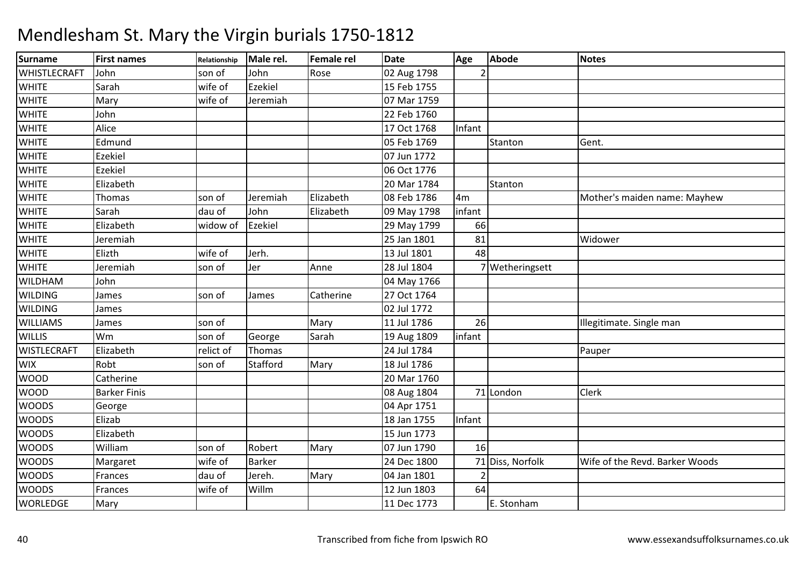| <b>Surname</b>     | <b>First names</b>  | Relationship | Male rel. | <b>Female rel</b> | <b>Date</b> | Age            | <b>Abode</b>     | <b>Notes</b>                   |
|--------------------|---------------------|--------------|-----------|-------------------|-------------|----------------|------------------|--------------------------------|
| WHISTLECRAFT       | John                | son of       | John      | Rose              | 02 Aug 1798 |                |                  |                                |
| <b>WHITE</b>       | Sarah               | wife of      | Ezekiel   |                   | 15 Feb 1755 |                |                  |                                |
| <b>WHITE</b>       | Mary                | wife of      | Jeremiah  |                   | 07 Mar 1759 |                |                  |                                |
| <b>WHITE</b>       | John                |              |           |                   | 22 Feb 1760 |                |                  |                                |
| <b>WHITE</b>       | Alice               |              |           |                   | 17 Oct 1768 | Infant         |                  |                                |
| <b>WHITE</b>       | Edmund              |              |           |                   | 05 Feb 1769 |                | Stanton          | Gent.                          |
| <b>WHITE</b>       | Ezekiel             |              |           |                   | 07 Jun 1772 |                |                  |                                |
| <b>WHITE</b>       | Ezekiel             |              |           |                   | 06 Oct 1776 |                |                  |                                |
| <b>WHITE</b>       | Elizabeth           |              |           |                   | 20 Mar 1784 |                | Stanton          |                                |
| <b>WHITE</b>       | Thomas              | son of       | Jeremiah  | Elizabeth         | 08 Feb 1786 | 4 <sub>m</sub> |                  | Mother's maiden name: Mayhew   |
| <b>WHITE</b>       | Sarah               | dau of       | John      | Elizabeth         | 09 May 1798 | infant         |                  |                                |
| <b>WHITE</b>       | Elizabeth           | widow of     | Ezekiel   |                   | 29 May 1799 | 66             |                  |                                |
| <b>WHITE</b>       | Jeremiah            |              |           |                   | 25 Jan 1801 | 81             |                  | Widower                        |
| <b>WHITE</b>       | Elizth              | wife of      | Jerh.     |                   | 13 Jul 1801 | 48             |                  |                                |
| <b>WHITE</b>       | Jeremiah            | son of       | Jer       | Anne              | 28 Jul 1804 |                | 7 Wetheringsett  |                                |
| <b>WILDHAM</b>     | John                |              |           |                   | 04 May 1766 |                |                  |                                |
| <b>WILDING</b>     | James               | son of       | James     | Catherine         | 27 Oct 1764 |                |                  |                                |
| <b>WILDING</b>     | James               |              |           |                   | 02 Jul 1772 |                |                  |                                |
| <b>WILLIAMS</b>    | James               | son of       |           | Mary              | 11 Jul 1786 | 26             |                  | Illegitimate. Single man       |
| <b>WILLIS</b>      | Wm                  | son of       | George    | Sarah             | 19 Aug 1809 | infant         |                  |                                |
| <b>WISTLECRAFT</b> | Elizabeth           | relict of    | Thomas    |                   | 24 Jul 1784 |                |                  | Pauper                         |
| <b>WIX</b>         | Robt                | son of       | Stafford  | Mary              | 18 Jul 1786 |                |                  |                                |
| <b>WOOD</b>        | Catherine           |              |           |                   | 20 Mar 1760 |                |                  |                                |
| <b>WOOD</b>        | <b>Barker Finis</b> |              |           |                   | 08 Aug 1804 |                | 71 London        | Clerk                          |
| <b>WOODS</b>       | George              |              |           |                   | 04 Apr 1751 |                |                  |                                |
| <b>WOODS</b>       | Elizab              |              |           |                   | 18 Jan 1755 | Infant         |                  |                                |
| <b>WOODS</b>       | Elizabeth           |              |           |                   | 15 Jun 1773 |                |                  |                                |
| <b>WOODS</b>       | William             | son of       | Robert    | Mary              | 07 Jun 1790 | 16             |                  |                                |
| <b>WOODS</b>       | Margaret            | wife of      | Barker    |                   | 24 Dec 1800 |                | 71 Diss, Norfolk | Wife of the Revd. Barker Woods |
| <b>WOODS</b>       | Frances             | dau of       | Jereh.    | Mary              | 04 Jan 1801 |                |                  |                                |
| <b>WOODS</b>       | Frances             | wife of      | Willm     |                   | 12 Jun 1803 | 64             |                  |                                |
| <b>WORLEDGE</b>    | Mary                |              |           |                   | 11 Dec 1773 |                | E. Stonham       |                                |